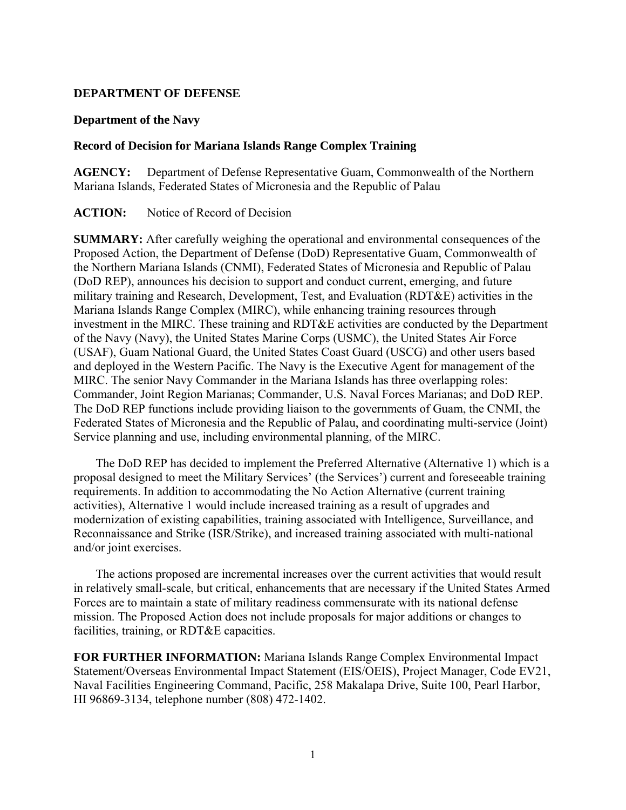## **DEPARTMENT OF DEFENSE**

#### **Department of the Navy**

## **Record of Decision for Mariana Islands Range Complex Training**

**AGENCY:** Department of Defense Representative Guam, Commonwealth of the Northern Mariana Islands, Federated States of Micronesia and the Republic of Palau

## **ACTION:** Notice of Record of Decision

**SUMMARY:** After carefully weighing the operational and environmental consequences of the Proposed Action, the Department of Defense (DoD) Representative Guam, Commonwealth of the Northern Mariana Islands (CNMI), Federated States of Micronesia and Republic of Palau (DoD REP), announces his decision to support and conduct current, emerging, and future military training and Research, Development, Test, and Evaluation (RDT&E) activities in the Mariana Islands Range Complex (MIRC), while enhancing training resources through investment in the MIRC. These training and RDT&E activities are conducted by the Department of the Navy (Navy), the United States Marine Corps (USMC), the United States Air Force (USAF), Guam National Guard, the United States Coast Guard (USCG) and other users based and deployed in the Western Pacific. The Navy is the Executive Agent for management of the MIRC. The senior Navy Commander in the Mariana Islands has three overlapping roles: Commander, Joint Region Marianas; Commander, U.S. Naval Forces Marianas; and DoD REP. The DoD REP functions include providing liaison to the governments of Guam, the CNMI, the Federated States of Micronesia and the Republic of Palau, and coordinating multi-service (Joint) Service planning and use, including environmental planning, of the MIRC.

The DoD REP has decided to implement the Preferred Alternative (Alternative 1) which is a proposal designed to meet the Military Services' (the Services') current and foreseeable training requirements. In addition to accommodating the No Action Alternative (current training activities), Alternative 1 would include increased training as a result of upgrades and modernization of existing capabilities, training associated with Intelligence, Surveillance, and Reconnaissance and Strike (ISR/Strike), and increased training associated with multi-national and/or joint exercises.

The actions proposed are incremental increases over the current activities that would result in relatively small-scale, but critical, enhancements that are necessary if the United States Armed Forces are to maintain a state of military readiness commensurate with its national defense mission. The Proposed Action does not include proposals for major additions or changes to facilities, training, or RDT&E capacities.

**FOR FURTHER INFORMATION:** Mariana Islands Range Complex Environmental Impact Statement/Overseas Environmental Impact Statement (EIS/OEIS), Project Manager, Code EV21, Naval Facilities Engineering Command, Pacific, 258 Makalapa Drive, Suite 100, Pearl Harbor, HI 96869-3134, telephone number (808) 472-1402.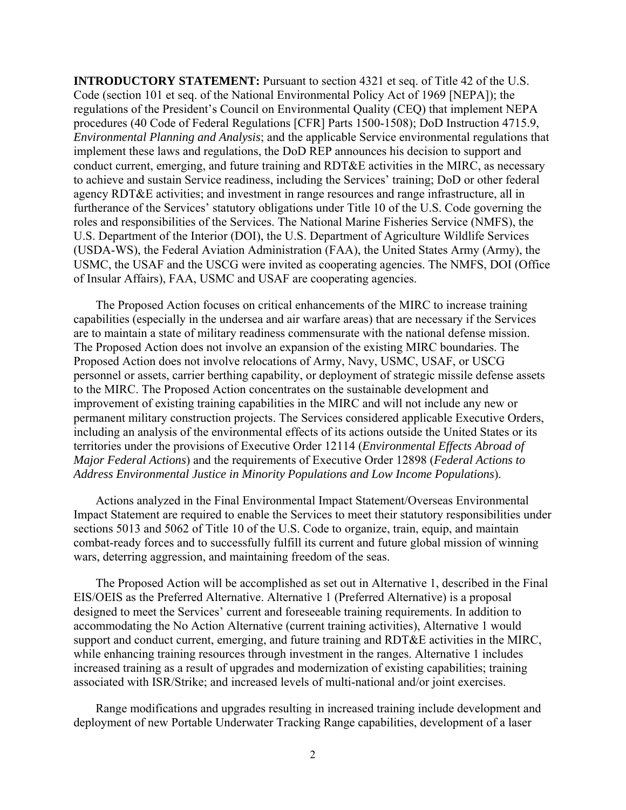**INTRODUCTORY STATEMENT:** Pursuant to section 4321 et seq. of Title 42 of the U.S. Code (section 101 et seq. of the National Environmental Policy Act of 1969 [NEPA]); the regulations of the President's Council on Environmental Quality (CEQ) that implement NEPA procedures (40 Code of Federal Regulations [CFR] Parts 1500-1508); DoD Instruction 4715.9, *Environmental Planning and Analysis*; and the applicable Service environmental regulations that implement these laws and regulations, the DoD REP announces his decision to support and conduct current, emerging, and future training and RDT&E activities in the MIRC, as necessary to achieve and sustain Service readiness, including the Services' training; DoD or other federal agency RDT&E activities; and investment in range resources and range infrastructure, all in furtherance of the Services' statutory obligations under Title 10 of the U.S. Code governing the roles and responsibilities of the Services. The National Marine Fisheries Service (NMFS), the U.S. Department of the Interior (DOI), the U.S. Department of Agriculture Wildlife Services (USDA-WS), the Federal Aviation Administration (FAA), the United States Army (Army), the USMC, the USAF and the USCG were invited as cooperating agencies. The NMFS, DOI (Office of Insular Affairs), FAA, USMC and USAF are cooperating agencies.

The Proposed Action focuses on critical enhancements of the MIRC to increase training capabilities (especially in the undersea and air warfare areas) that are necessary if the Services are to maintain a state of military readiness commensurate with the national defense mission. The Proposed Action does not involve an expansion of the existing MIRC boundaries. The Proposed Action does not involve relocations of Army, Navy, USMC, USAF, or USCG personnel or assets, carrier berthing capability, or deployment of strategic missile defense assets to the MIRC. The Proposed Action concentrates on the sustainable development and improvement of existing training capabilities in the MIRC and will not include any new or permanent military construction projects. The Services considered applicable Executive Orders, including an analysis of the environmental effects of its actions outside the United States or its territories under the provisions of Executive Order 12114 (*Environmental Effects Abroad of Major Federal Actions*) and the requirements of Executive Order 12898 (*Federal Actions to Address Environmental Justice in Minority Populations and Low Income Populations*).

Actions analyzed in the Final Environmental Impact Statement/Overseas Environmental Impact Statement are required to enable the Services to meet their statutory responsibilities under sections 5013 and 5062 of Title 10 of the U.S. Code to organize, train, equip, and maintain combat-ready forces and to successfully fulfill its current and future global mission of winning wars, deterring aggression, and maintaining freedom of the seas.

The Proposed Action will be accomplished as set out in Alternative 1, described in the Final EIS/OEIS as the Preferred Alternative. Alternative 1 (Preferred Alternative) is a proposal designed to meet the Services' current and foreseeable training requirements. In addition to accommodating the No Action Alternative (current training activities), Alternative 1 would support and conduct current, emerging, and future training and RDT&E activities in the MIRC, while enhancing training resources through investment in the ranges. Alternative 1 includes increased training as a result of upgrades and modernization of existing capabilities; training associated with ISR/Strike; and increased levels of multi-national and/or joint exercises.

Range modifications and upgrades resulting in increased training include development and deployment of new Portable Underwater Tracking Range capabilities, development of a laser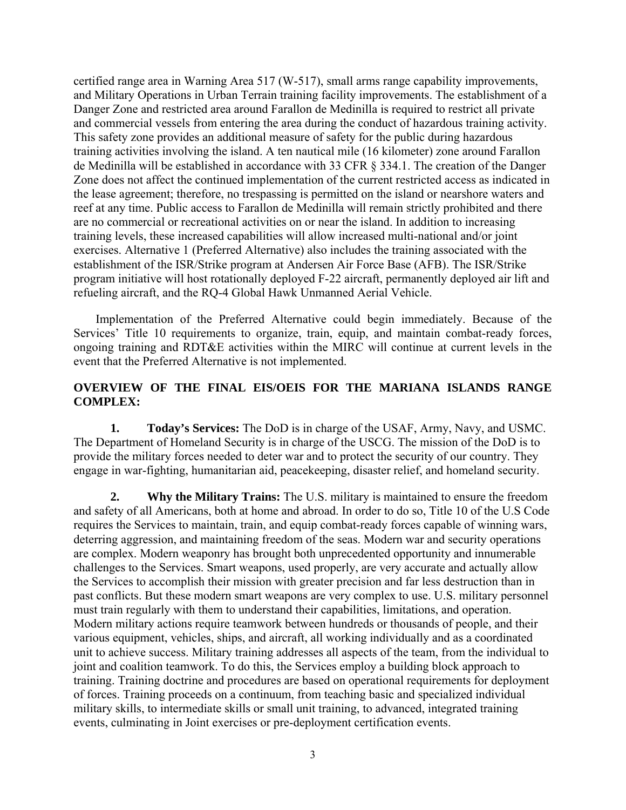certified range area in Warning Area 517 (W-517), small arms range capability improvements, and Military Operations in Urban Terrain training facility improvements. The establishment of a Danger Zone and restricted area around Farallon de Medinilla is required to restrict all private and commercial vessels from entering the area during the conduct of hazardous training activity. This safety zone provides an additional measure of safety for the public during hazardous training activities involving the island. A ten nautical mile (16 kilometer) zone around Farallon de Medinilla will be established in accordance with 33 CFR § 334.1. The creation of the Danger Zone does not affect the continued implementation of the current restricted access as indicated in the lease agreement; therefore, no trespassing is permitted on the island or nearshore waters and reef at any time. Public access to Farallon de Medinilla will remain strictly prohibited and there are no commercial or recreational activities on or near the island. In addition to increasing training levels, these increased capabilities will allow increased multi-national and/or joint exercises. Alternative 1 (Preferred Alternative) also includes the training associated with the establishment of the ISR/Strike program at Andersen Air Force Base (AFB). The ISR/Strike program initiative will host rotationally deployed F-22 aircraft, permanently deployed air lift and refueling aircraft, and the RQ-4 Global Hawk Unmanned Aerial Vehicle.

Implementation of the Preferred Alternative could begin immediately. Because of the Services' Title 10 requirements to organize, train, equip, and maintain combat-ready forces, ongoing training and RDT&E activities within the MIRC will continue at current levels in the event that the Preferred Alternative is not implemented.

# **OVERVIEW OF THE FINAL EIS/OEIS FOR THE MARIANA ISLANDS RANGE COMPLEX:**

**1. Today's Services:** The DoD is in charge of the USAF, Army, Navy, and USMC. The Department of Homeland Security is in charge of the USCG. The mission of the DoD is to provide the military forces needed to deter war and to protect the security of our country. They engage in war-fighting, humanitarian aid, peacekeeping, disaster relief, and homeland security.

**2. Why the Military Trains:** The U.S. military is maintained to ensure the freedom and safety of all Americans, both at home and abroad. In order to do so, Title 10 of the U.S Code requires the Services to maintain, train, and equip combat-ready forces capable of winning wars, deterring aggression, and maintaining freedom of the seas. Modern war and security operations are complex. Modern weaponry has brought both unprecedented opportunity and innumerable challenges to the Services. Smart weapons, used properly, are very accurate and actually allow the Services to accomplish their mission with greater precision and far less destruction than in past conflicts. But these modern smart weapons are very complex to use. U.S. military personnel must train regularly with them to understand their capabilities, limitations, and operation. Modern military actions require teamwork between hundreds or thousands of people, and their various equipment, vehicles, ships, and aircraft, all working individually and as a coordinated unit to achieve success. Military training addresses all aspects of the team, from the individual to joint and coalition teamwork. To do this, the Services employ a building block approach to training. Training doctrine and procedures are based on operational requirements for deployment of forces. Training proceeds on a continuum, from teaching basic and specialized individual military skills, to intermediate skills or small unit training, to advanced, integrated training events, culminating in Joint exercises or pre-deployment certification events.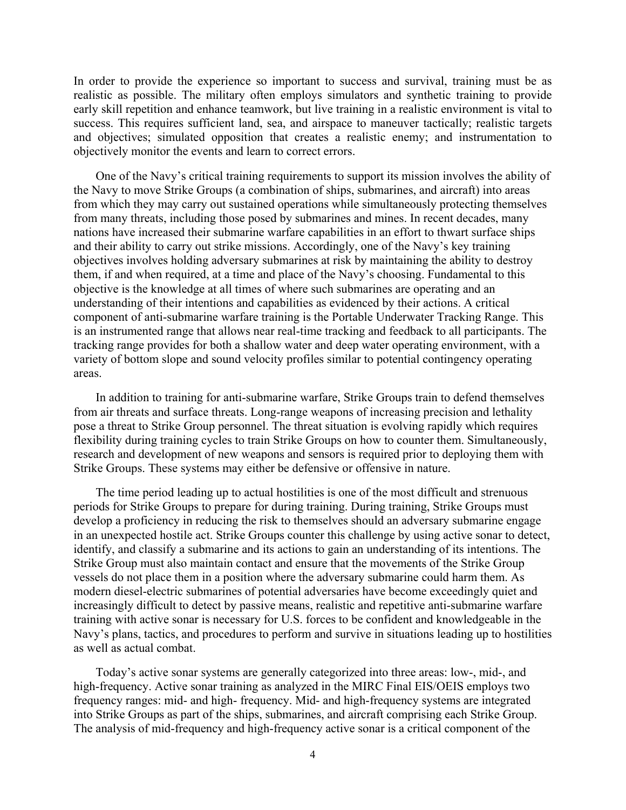In order to provide the experience so important to success and survival, training must be as realistic as possible. The military often employs simulators and synthetic training to provide early skill repetition and enhance teamwork, but live training in a realistic environment is vital to success. This requires sufficient land, sea, and airspace to maneuver tactically; realistic targets and objectives; simulated opposition that creates a realistic enemy; and instrumentation to objectively monitor the events and learn to correct errors.

One of the Navy's critical training requirements to support its mission involves the ability of the Navy to move Strike Groups (a combination of ships, submarines, and aircraft) into areas from which they may carry out sustained operations while simultaneously protecting themselves from many threats, including those posed by submarines and mines. In recent decades, many nations have increased their submarine warfare capabilities in an effort to thwart surface ships and their ability to carry out strike missions. Accordingly, one of the Navy's key training objectives involves holding adversary submarines at risk by maintaining the ability to destroy them, if and when required, at a time and place of the Navy's choosing. Fundamental to this objective is the knowledge at all times of where such submarines are operating and an understanding of their intentions and capabilities as evidenced by their actions. A critical component of anti-submarine warfare training is the Portable Underwater Tracking Range. This is an instrumented range that allows near real-time tracking and feedback to all participants. The tracking range provides for both a shallow water and deep water operating environment, with a variety of bottom slope and sound velocity profiles similar to potential contingency operating areas.

In addition to training for anti-submarine warfare, Strike Groups train to defend themselves from air threats and surface threats. Long-range weapons of increasing precision and lethality pose a threat to Strike Group personnel. The threat situation is evolving rapidly which requires flexibility during training cycles to train Strike Groups on how to counter them. Simultaneously, research and development of new weapons and sensors is required prior to deploying them with Strike Groups. These systems may either be defensive or offensive in nature.

The time period leading up to actual hostilities is one of the most difficult and strenuous periods for Strike Groups to prepare for during training. During training, Strike Groups must develop a proficiency in reducing the risk to themselves should an adversary submarine engage in an unexpected hostile act. Strike Groups counter this challenge by using active sonar to detect, identify, and classify a submarine and its actions to gain an understanding of its intentions. The Strike Group must also maintain contact and ensure that the movements of the Strike Group vessels do not place them in a position where the adversary submarine could harm them. As modern diesel-electric submarines of potential adversaries have become exceedingly quiet and increasingly difficult to detect by passive means, realistic and repetitive anti-submarine warfare training with active sonar is necessary for U.S. forces to be confident and knowledgeable in the Navy's plans, tactics, and procedures to perform and survive in situations leading up to hostilities as well as actual combat.

Today's active sonar systems are generally categorized into three areas: low-, mid-, and high-frequency. Active sonar training as analyzed in the MIRC Final EIS/OEIS employs two frequency ranges: mid- and high- frequency. Mid- and high-frequency systems are integrated into Strike Groups as part of the ships, submarines, and aircraft comprising each Strike Group. The analysis of mid-frequency and high-frequency active sonar is a critical component of the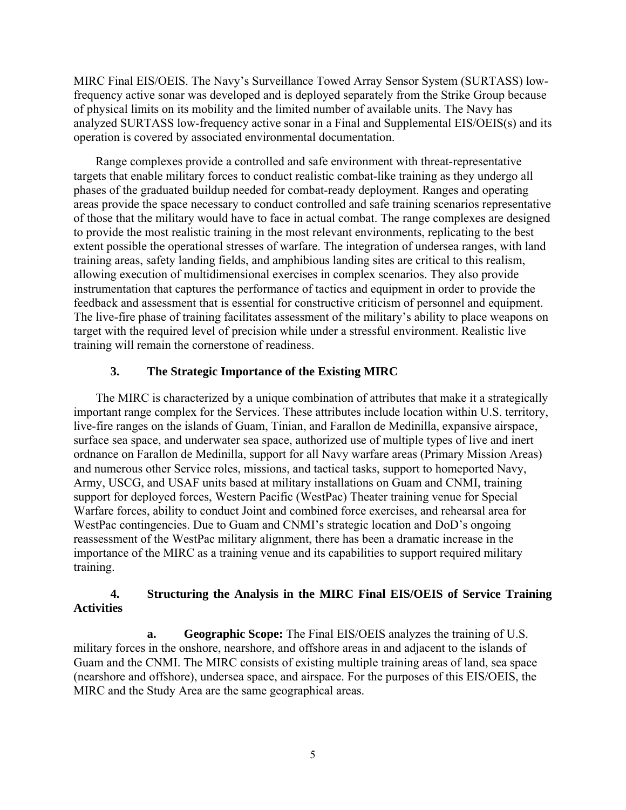MIRC Final EIS/OEIS. The Navy's Surveillance Towed Array Sensor System (SURTASS) lowfrequency active sonar was developed and is deployed separately from the Strike Group because of physical limits on its mobility and the limited number of available units. The Navy has analyzed SURTASS low-frequency active sonar in a Final and Supplemental EIS/OEIS(s) and its operation is covered by associated environmental documentation.

Range complexes provide a controlled and safe environment with threat-representative targets that enable military forces to conduct realistic combat-like training as they undergo all phases of the graduated buildup needed for combat-ready deployment. Ranges and operating areas provide the space necessary to conduct controlled and safe training scenarios representative of those that the military would have to face in actual combat. The range complexes are designed to provide the most realistic training in the most relevant environments, replicating to the best extent possible the operational stresses of warfare. The integration of undersea ranges, with land training areas, safety landing fields, and amphibious landing sites are critical to this realism, allowing execution of multidimensional exercises in complex scenarios. They also provide instrumentation that captures the performance of tactics and equipment in order to provide the feedback and assessment that is essential for constructive criticism of personnel and equipment. The live-fire phase of training facilitates assessment of the military's ability to place weapons on target with the required level of precision while under a stressful environment. Realistic live training will remain the cornerstone of readiness.

# **3. The Strategic Importance of the Existing MIRC**

The MIRC is characterized by a unique combination of attributes that make it a strategically important range complex for the Services. These attributes include location within U.S. territory, live-fire ranges on the islands of Guam, Tinian, and Farallon de Medinilla, expansive airspace, surface sea space, and underwater sea space, authorized use of multiple types of live and inert ordnance on Farallon de Medinilla, support for all Navy warfare areas (Primary Mission Areas) and numerous other Service roles, missions, and tactical tasks, support to homeported Navy, Army, USCG, and USAF units based at military installations on Guam and CNMI, training support for deployed forces, Western Pacific (WestPac) Theater training venue for Special Warfare forces, ability to conduct Joint and combined force exercises, and rehearsal area for WestPac contingencies. Due to Guam and CNMI's strategic location and DoD's ongoing reassessment of the WestPac military alignment, there has been a dramatic increase in the importance of the MIRC as a training venue and its capabilities to support required military training.

# **4. Structuring the Analysis in the MIRC Final EIS/OEIS of Service Training Activities**

**a. Geographic Scope:** The Final EIS/OEIS analyzes the training of U.S. military forces in the onshore, nearshore, and offshore areas in and adjacent to the islands of Guam and the CNMI. The MIRC consists of existing multiple training areas of land, sea space (nearshore and offshore), undersea space, and airspace. For the purposes of this EIS/OEIS, the MIRC and the Study Area are the same geographical areas.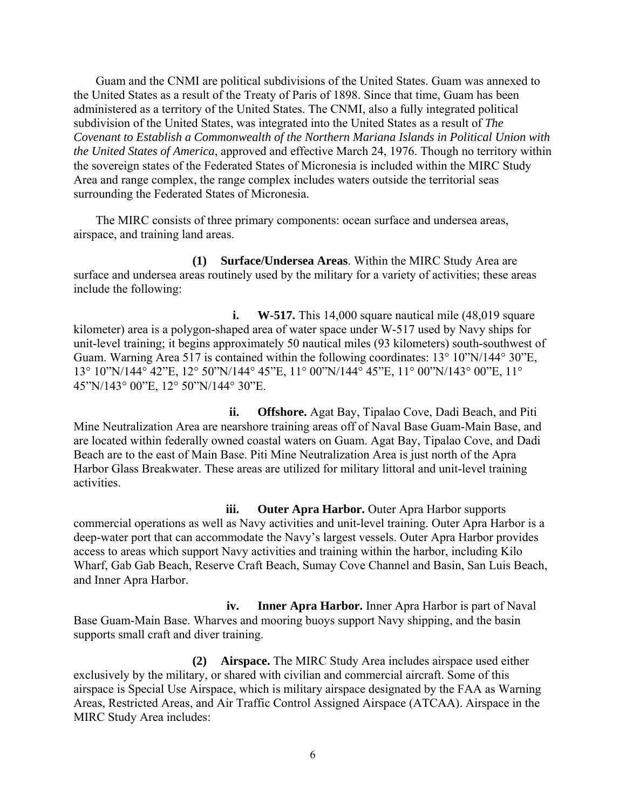Guam and the CNMI are political subdivisions of the United States. Guam was annexed to the United States as a result of the Treaty of Paris of 1898. Since that time, Guam has been administered as a territory of the United States. The CNMI, also a fully integrated political subdivision of the United States, was integrated into the United States as a result of *The Covenant to Establish a Commonwealth of the Northern Mariana Islands in Political Union with the United States of America*, approved and effective March 24, 1976. Though no territory within the sovereign states of the Federated States of Micronesia is included within the MIRC Study Area and range complex, the range complex includes waters outside the territorial seas surrounding the Federated States of Micronesia.

The MIRC consists of three primary components: ocean surface and undersea areas, airspace, and training land areas.

**(1) Surface/Undersea Areas**. Within the MIRC Study Area are surface and undersea areas routinely used by the military for a variety of activities; these areas include the following:

**i. W-517.** This 14,000 square nautical mile (48,019 square) kilometer) area is a polygon-shaped area of water space under W-517 used by Navy ships for unit-level training; it begins approximately 50 nautical miles (93 kilometers) south-southwest of Guam. Warning Area 517 is contained within the following coordinates: 13° 10"N/144° 30"E, 13° 10"N/144° 42"E, 12° 50"N/144° 45"E, 11° 00"N/144° 45"E, 11° 00"N/143° 00"E, 11° 45"N/143° 00"E, 12° 50"N/144° 30"E.

**ii. Offshore.** Agat Bay, Tipalao Cove, Dadi Beach, and Piti Mine Neutralization Area are nearshore training areas off of Naval Base Guam-Main Base, and are located within federally owned coastal waters on Guam. Agat Bay, Tipalao Cove, and Dadi Beach are to the east of Main Base. Piti Mine Neutralization Area is just north of the Apra Harbor Glass Breakwater. These areas are utilized for military littoral and unit-level training activities.

**iii. Outer Apra Harbor.** Outer Apra Harbor supports commercial operations as well as Navy activities and unit-level training. Outer Apra Harbor is a deep-water port that can accommodate the Navy's largest vessels. Outer Apra Harbor provides access to areas which support Navy activities and training within the harbor, including Kilo Wharf, Gab Gab Beach, Reserve Craft Beach, Sumay Cove Channel and Basin, San Luis Beach, and Inner Apra Harbor.

**iv. Inner Apra Harbor.** Inner Apra Harbor is part of Naval Base Guam-Main Base. Wharves and mooring buoys support Navy shipping, and the basin supports small craft and diver training.

**(2) Airspace.** The MIRC Study Area includes airspace used either exclusively by the military, or shared with civilian and commercial aircraft. Some of this airspace is Special Use Airspace, which is military airspace designated by the FAA as Warning Areas, Restricted Areas, and Air Traffic Control Assigned Airspace (ATCAA). Airspace in the MIRC Study Area includes: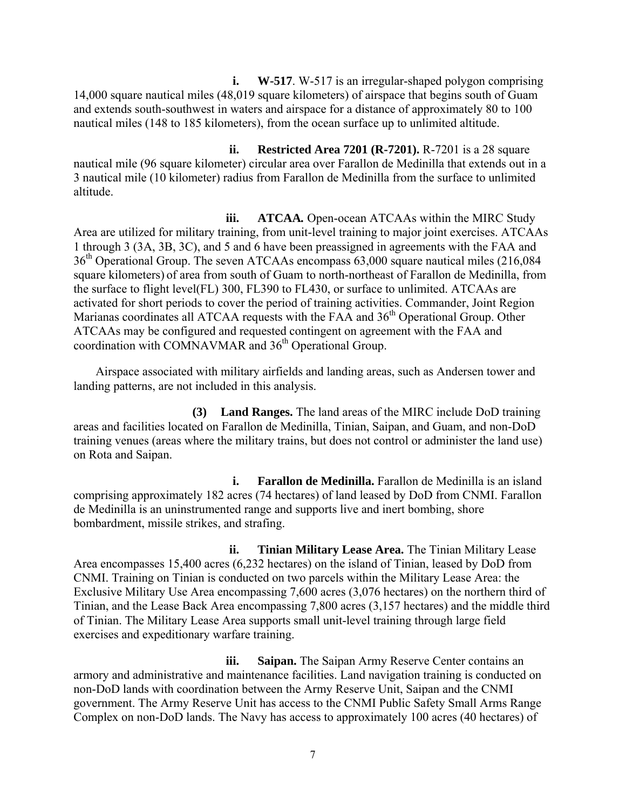**i. W-517**. W-517 is an irregular-shaped polygon comprising 14,000 square nautical miles (48,019 square kilometers) of airspace that begins south of Guam and extends south-southwest in waters and airspace for a distance of approximately 80 to 100 nautical miles (148 to 185 kilometers), from the ocean surface up to unlimited altitude.

**ii. Restricted Area 7201 (R-7201).** R-7201 is a 28 square nautical mile (96 square kilometer) circular area over Farallon de Medinilla that extends out in a 3 nautical mile (10 kilometer) radius from Farallon de Medinilla from the surface to unlimited altitude.

**iii. ATCAA***.* Open-ocean ATCAAs within the MIRC Study Area are utilized for military training, from unit-level training to major joint exercises. ATCAAs 1 through 3 (3A, 3B, 3C), and 5 and 6 have been preassigned in agreements with the FAA and 36<sup>th</sup> Operational Group. The seven ATCAAs encompass 63,000 square nautical miles (216,084) square kilometers) of area from south of Guam to north-northeast of Farallon de Medinilla, from the surface to flight level(FL) 300, FL390 to FL430, or surface to unlimited. ATCAAs are activated for short periods to cover the period of training activities. Commander, Joint Region Marianas coordinates all ATCAA requests with the FAA and 36<sup>th</sup> Operational Group. Other ATCAAs may be configured and requested contingent on agreement with the FAA and coordination with COMNAVMAR and 36<sup>th</sup> Operational Group.

Airspace associated with military airfields and landing areas, such as Andersen tower and landing patterns, are not included in this analysis.

**(3) Land Ranges.** The land areas of the MIRC include DoD training areas and facilities located on Farallon de Medinilla, Tinian, Saipan, and Guam, and non-DoD training venues (areas where the military trains, but does not control or administer the land use) on Rota and Saipan.

**i. Farallon de Medinilla.** Farallon de Medinilla is an island comprising approximately 182 acres (74 hectares) of land leased by DoD from CNMI. Farallon de Medinilla is an uninstrumented range and supports live and inert bombing, shore bombardment, missile strikes, and strafing.

**ii. Tinian Military Lease Area.** The Tinian Military Lease Area encompasses 15,400 acres (6,232 hectares) on the island of Tinian, leased by DoD from CNMI. Training on Tinian is conducted on two parcels within the Military Lease Area: the Exclusive Military Use Area encompassing 7,600 acres (3,076 hectares) on the northern third of Tinian, and the Lease Back Area encompassing 7,800 acres (3,157 hectares) and the middle third of Tinian. The Military Lease Area supports small unit-level training through large field exercises and expeditionary warfare training.

**iii. Saipan.** The Saipan Army Reserve Center contains an armory and administrative and maintenance facilities. Land navigation training is conducted on non-DoD lands with coordination between the Army Reserve Unit, Saipan and the CNMI government. The Army Reserve Unit has access to the CNMI Public Safety Small Arms Range Complex on non-DoD lands. The Navy has access to approximately 100 acres (40 hectares) of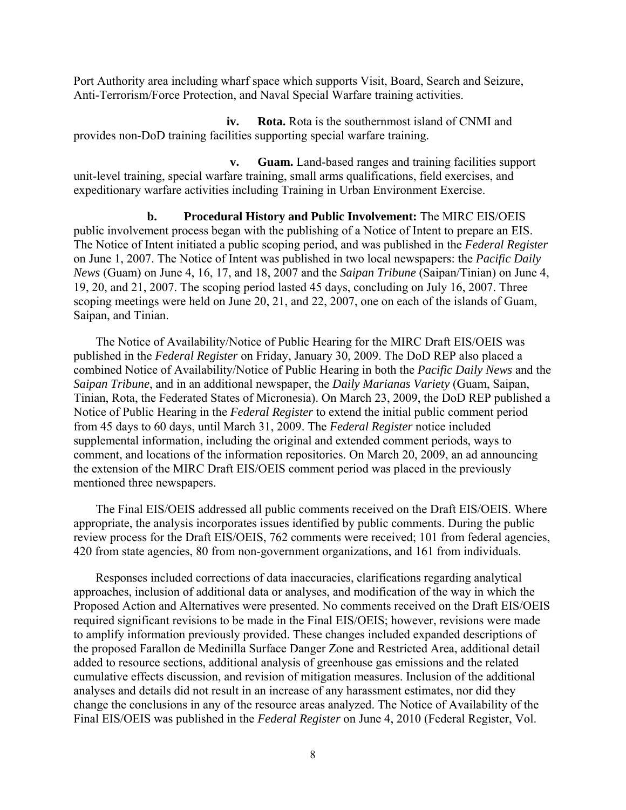Port Authority area including wharf space which supports Visit, Board, Search and Seizure, Anti-Terrorism/Force Protection, and Naval Special Warfare training activities.

**iv. Rota.** Rota is the southernmost island of CNMI and provides non-DoD training facilities supporting special warfare training.

**v. Guam.** Land-based ranges and training facilities support unit-level training, special warfare training, small arms qualifications, field exercises, and expeditionary warfare activities including Training in Urban Environment Exercise.

**b. Procedural History and Public Involvement:** The MIRC EIS/OEIS public involvement process began with the publishing of a Notice of Intent to prepare an EIS. The Notice of Intent initiated a public scoping period, and was published in the *Federal Register* on June 1, 2007. The Notice of Intent wa*s* published in two local newspapers: the *Pacific Daily News* (Guam) on June 4, 16, 17, and 18, 2007 and the *Saipan Tribune* (Saipan/Tinian) on June 4, 19, 20, and 21, 2007. The scoping period lasted 45 days, concluding on July 16, 2007. Three scoping meetings were held on June 20, 21, and 22, 2007, one on each of the islands of Guam, Saipan, and Tinian.

The Notice of Availability/Notice of Public Hearing for the MIRC Draft EIS/OEIS was published in the *Federal Register* on Friday, January 30, 2009. The DoD REP also placed a combined Notice of Availability/Notice of Public Hearing in both the *Pacific Daily News* and the *Saipan Tribune*, and in an additional newspaper, the *Daily Marianas Variety* (Guam, Saipan, Tinian, Rota, the Federated States of Micronesia). On March 23, 2009, the DoD REP published a Notice of Public Hearing in the *Federal Register* to extend the initial public comment period from 45 days to 60 days, until March 31, 2009. The *Federal Register* notice included supplemental information, including the original and extended comment periods, ways to comment, and locations of the information repositories. On March 20, 2009, an ad announcing the extension of the MIRC Draft EIS/OEIS comment period was placed in the previously mentioned three newspapers.

The Final EIS/OEIS addressed all public comments received on the Draft EIS/OEIS. Where appropriate, the analysis incorporates issues identified by public comments. During the public review process for the Draft EIS/OEIS, 762 comments were received; 101 from federal agencies, 420 from state agencies, 80 from non-government organizations, and 161 from individuals.

Responses included corrections of data inaccuracies, clarifications regarding analytical approaches, inclusion of additional data or analyses, and modification of the way in which the Proposed Action and Alternatives were presented. No comments received on the Draft EIS/OEIS required significant revisions to be made in the Final EIS/OEIS; however, revisions were made to amplify information previously provided. These changes included expanded descriptions of the proposed Farallon de Medinilla Surface Danger Zone and Restricted Area, additional detail added to resource sections, additional analysis of greenhouse gas emissions and the related cumulative effects discussion, and revision of mitigation measures. Inclusion of the additional analyses and details did not result in an increase of any harassment estimates, nor did they change the conclusions in any of the resource areas analyzed. The Notice of Availability of the Final EIS/OEIS was published in the *Federal Register* on June 4, 2010 (Federal Register, Vol.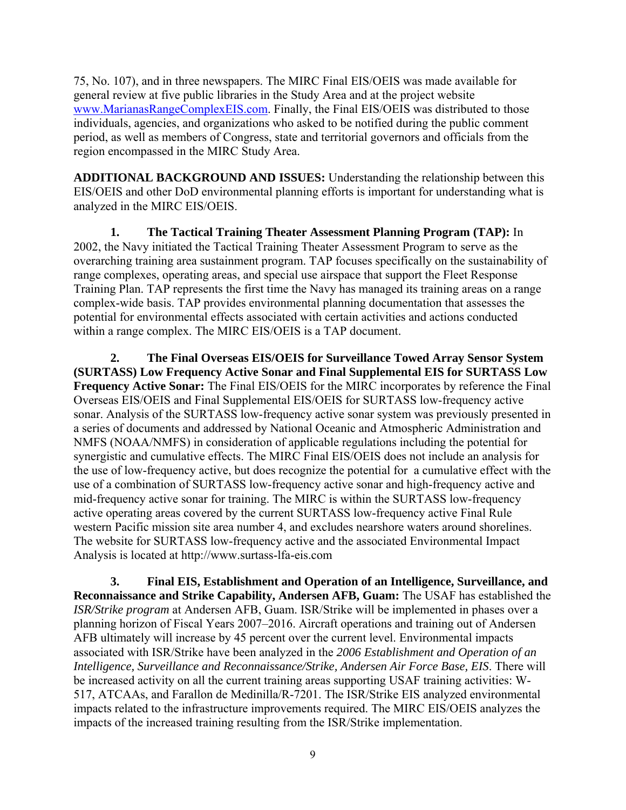75, No. 107), and in three newspapers. The MIRC Final EIS/OEIS was made available for general review at five public libraries in the Study Area and at the project website www.MarianasRangeComplexEIS.com. Finally, the Final EIS/OEIS was distributed to those individuals, agencies, and organizations who asked to be notified during the public comment period, as well as members of Congress, state and territorial governors and officials from the region encompassed in the MIRC Study Area.

**ADDITIONAL BACKGROUND AND ISSUES:** Understanding the relationship between this EIS/OEIS and other DoD environmental planning efforts is important for understanding what is analyzed in the MIRC EIS/OEIS.

**1. The Tactical Training Theater Assessment Planning Program (TAP):** In 2002, the Navy initiated the Tactical Training Theater Assessment Program to serve as the overarching training area sustainment program. TAP focuses specifically on the sustainability of range complexes, operating areas, and special use airspace that support the Fleet Response Training Plan. TAP represents the first time the Navy has managed its training areas on a range complex-wide basis. TAP provides environmental planning documentation that assesses the potential for environmental effects associated with certain activities and actions conducted within a range complex. The MIRC EIS/OEIS is a TAP document.

**2. The Final Overseas EIS/OEIS for Surveillance Towed Array Sensor System (SURTASS) Low Frequency Active Sonar and Final Supplemental EIS for SURTASS Low Frequency Active Sonar:** The Final EIS/OEIS for the MIRC incorporates by reference the Final Overseas EIS/OEIS and Final Supplemental EIS/OEIS for SURTASS low-frequency active sonar. Analysis of the SURTASS low-frequency active sonar system was previously presented in a series of documents and addressed by National Oceanic and Atmospheric Administration and NMFS (NOAA/NMFS) in consideration of applicable regulations including the potential for synergistic and cumulative effects. The MIRC Final EIS/OEIS does not include an analysis for the use of low-frequency active, but does recognize the potential for a cumulative effect with the use of a combination of SURTASS low-frequency active sonar and high-frequency active and mid-frequency active sonar for training. The MIRC is within the SURTASS low-frequency active operating areas covered by the current SURTASS low-frequency active Final Rule western Pacific mission site area number 4, and excludes nearshore waters around shorelines. The website for SURTASS low-frequency active and the associated Environmental Impact Analysis is located at http://www.surtass-lfa-eis.com

**3. Final EIS, Establishment and Operation of an Intelligence, Surveillance, and Reconnaissance and Strike Capability, Andersen AFB, Guam:** The USAF has established the *ISR/Strike program* at Andersen AFB, Guam. ISR/Strike will be implemented in phases over a planning horizon of Fiscal Years 2007–2016. Aircraft operations and training out of Andersen AFB ultimately will increase by 45 percent over the current level. Environmental impacts associated with ISR/Strike have been analyzed in the *2006 Establishment and Operation of an Intelligence, Surveillance and Reconnaissance/Strike, Andersen Air Force Base, EIS*. There will be increased activity on all the current training areas supporting USAF training activities: W-517, ATCAAs, and Farallon de Medinilla/R-7201. The ISR/Strike EIS analyzed environmental impacts related to the infrastructure improvements required. The MIRC EIS/OEIS analyzes the impacts of the increased training resulting from the ISR/Strike implementation.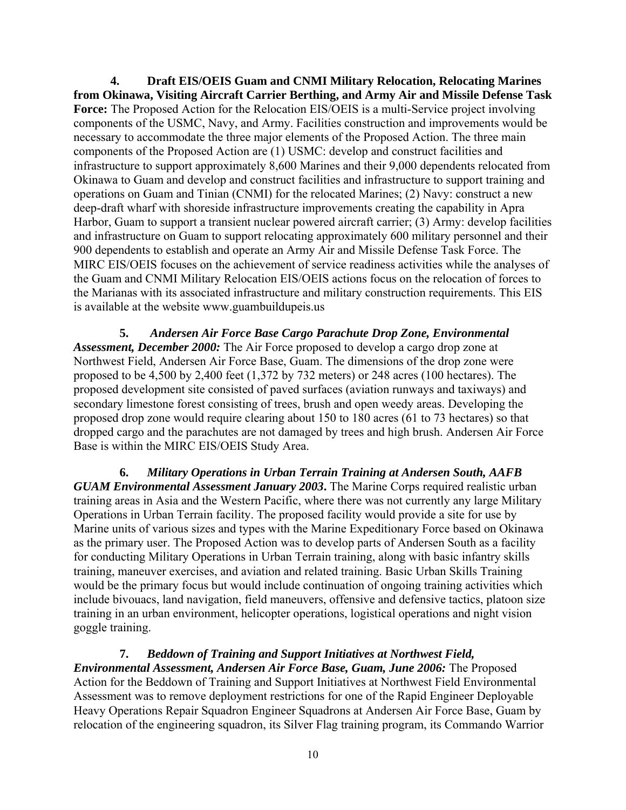**4. Draft EIS/OEIS Guam and CNMI Military Relocation, Relocating Marines from Okinawa, Visiting Aircraft Carrier Berthing, and Army Air and Missile Defense Task Force:** The Proposed Action for the Relocation EIS/OEIS is a multi-Service project involving components of the USMC, Navy, and Army. Facilities construction and improvements would be necessary to accommodate the three major elements of the Proposed Action. The three main components of the Proposed Action are (1) USMC: develop and construct facilities and infrastructure to support approximately 8,600 Marines and their 9,000 dependents relocated from Okinawa to Guam and develop and construct facilities and infrastructure to support training and operations on Guam and Tinian (CNMI) for the relocated Marines; (2) Navy: construct a new deep-draft wharf with shoreside infrastructure improvements creating the capability in Apra Harbor, Guam to support a transient nuclear powered aircraft carrier; (3) Army: develop facilities and infrastructure on Guam to support relocating approximately 600 military personnel and their 900 dependents to establish and operate an Army Air and Missile Defense Task Force. The MIRC EIS/OEIS focuses on the achievement of service readiness activities while the analyses of the Guam and CNMI Military Relocation EIS/OEIS actions focus on the relocation of forces to the Marianas with its associated infrastructure and military construction requirements. This EIS is available at the website www.guambuildupeis.us

**5.** *Andersen Air Force Base Cargo Parachute Drop Zone, Environmental Assessment, December 2000:* The Air Force proposed to develop a cargo drop zone at Northwest Field, Andersen Air Force Base, Guam. The dimensions of the drop zone were proposed to be 4,500 by 2,400 feet (1,372 by 732 meters) or 248 acres (100 hectares). The proposed development site consisted of paved surfaces (aviation runways and taxiways) and secondary limestone forest consisting of trees, brush and open weedy areas. Developing the proposed drop zone would require clearing about 150 to 180 acres (61 to 73 hectares) so that dropped cargo and the parachutes are not damaged by trees and high brush. Andersen Air Force Base is within the MIRC EIS/OEIS Study Area.

**6.** *Military Operations in Urban Terrain Training at Andersen South, AAFB GUAM Environmental Assessment January 2003***.** The Marine Corps required realistic urban training areas in Asia and the Western Pacific, where there was not currently any large Military Operations in Urban Terrain facility. The proposed facility would provide a site for use by Marine units of various sizes and types with the Marine Expeditionary Force based on Okinawa as the primary user. The Proposed Action was to develop parts of Andersen South as a facility for conducting Military Operations in Urban Terrain training, along with basic infantry skills training, maneuver exercises, and aviation and related training. Basic Urban Skills Training would be the primary focus but would include continuation of ongoing training activities which include bivouacs, land navigation, field maneuvers, offensive and defensive tactics, platoon size training in an urban environment, helicopter operations, logistical operations and night vision goggle training.

**7.** *Beddown of Training and Support Initiatives at Northwest Field, Environmental Assessment, Andersen Air Force Base, Guam, June 2006:* The Proposed Action for the Beddown of Training and Support Initiatives at Northwest Field Environmental Assessment was to remove deployment restrictions for one of the Rapid Engineer Deployable Heavy Operations Repair Squadron Engineer Squadrons at Andersen Air Force Base, Guam by relocation of the engineering squadron, its Silver Flag training program, its Commando Warrior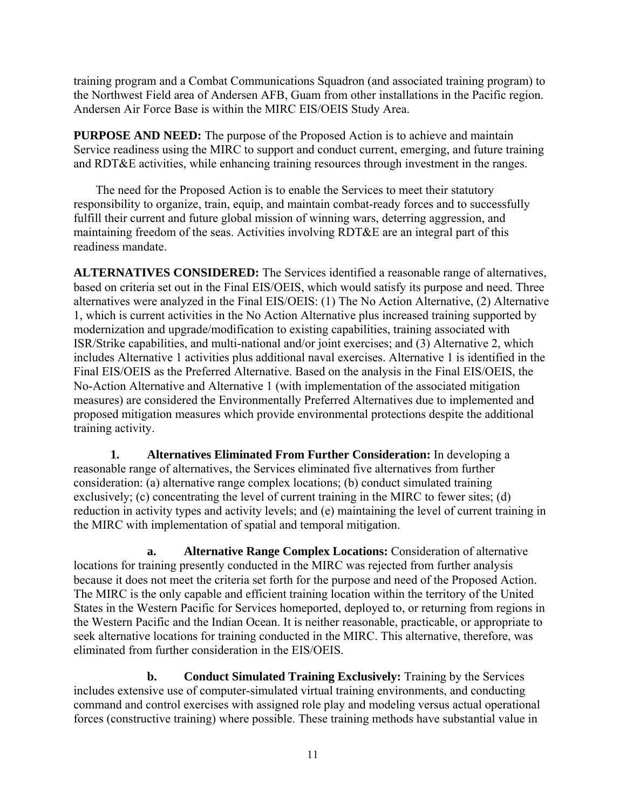training program and a Combat Communications Squadron (and associated training program) to the Northwest Field area of Andersen AFB, Guam from other installations in the Pacific region. Andersen Air Force Base is within the MIRC EIS/OEIS Study Area.

**PURPOSE AND NEED:** The purpose of the Proposed Action is to achieve and maintain Service readiness using the MIRC to support and conduct current, emerging, and future training and RDT&E activities, while enhancing training resources through investment in the ranges.

The need for the Proposed Action is to enable the Services to meet their statutory responsibility to organize, train, equip, and maintain combat-ready forces and to successfully fulfill their current and future global mission of winning wars, deterring aggression, and maintaining freedom of the seas. Activities involving RDT&E are an integral part of this readiness mandate.

**ALTERNATIVES CONSIDERED:** The Services identified a reasonable range of alternatives, based on criteria set out in the Final EIS/OEIS, which would satisfy its purpose and need. Three alternatives were analyzed in the Final EIS/OEIS: (1) The No Action Alternative, (2) Alternative 1, which is current activities in the No Action Alternative plus increased training supported by modernization and upgrade/modification to existing capabilities, training associated with ISR/Strike capabilities, and multi-national and/or joint exercises; and (3) Alternative 2, which includes Alternative 1 activities plus additional naval exercises. Alternative 1 is identified in the Final EIS/OEIS as the Preferred Alternative. Based on the analysis in the Final EIS/OEIS, the No-Action Alternative and Alternative 1 (with implementation of the associated mitigation measures) are considered the Environmentally Preferred Alternatives due to implemented and proposed mitigation measures which provide environmental protections despite the additional training activity.

**1. Alternatives Eliminated From Further Consideration:** In developing a reasonable range of alternatives, the Services eliminated five alternatives from further consideration: (a) alternative range complex locations; (b) conduct simulated training exclusively; (c) concentrating the level of current training in the MIRC to fewer sites; (d) reduction in activity types and activity levels; and (e) maintaining the level of current training in the MIRC with implementation of spatial and temporal mitigation.

**a. Alternative Range Complex Locations:** Consideration of alternative locations for training presently conducted in the MIRC was rejected from further analysis because it does not meet the criteria set forth for the purpose and need of the Proposed Action. The MIRC is the only capable and efficient training location within the territory of the United States in the Western Pacific for Services homeported, deployed to, or returning from regions in the Western Pacific and the Indian Ocean. It is neither reasonable, practicable, or appropriate to seek alternative locations for training conducted in the MIRC. This alternative, therefore, was eliminated from further consideration in the EIS/OEIS.

**b. Conduct Simulated Training Exclusively:** Training by the Services includes extensive use of computer-simulated virtual training environments, and conducting command and control exercises with assigned role play and modeling versus actual operational forces (constructive training) where possible. These training methods have substantial value in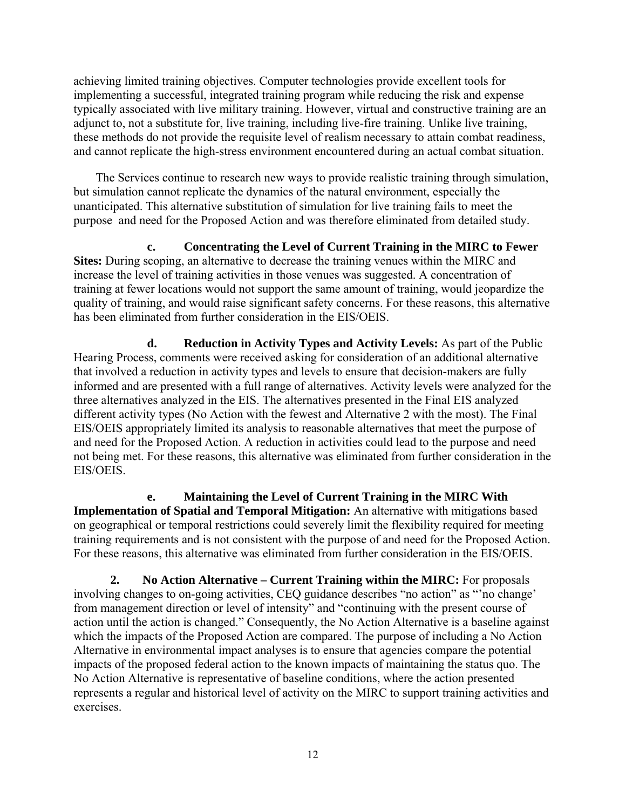achieving limited training objectives. Computer technologies provide excellent tools for implementing a successful, integrated training program while reducing the risk and expense typically associated with live military training. However, virtual and constructive training are an adjunct to, not a substitute for, live training, including live-fire training. Unlike live training, these methods do not provide the requisite level of realism necessary to attain combat readiness, and cannot replicate the high-stress environment encountered during an actual combat situation.

The Services continue to research new ways to provide realistic training through simulation, but simulation cannot replicate the dynamics of the natural environment, especially the unanticipated. This alternative substitution of simulation for live training fails to meet the purpose and need for the Proposed Action and was therefore eliminated from detailed study.

**c. Concentrating the Level of Current Training in the MIRC to Fewer Sites:** During scoping, an alternative to decrease the training venues within the MIRC and increase the level of training activities in those venues was suggested. A concentration of training at fewer locations would not support the same amount of training, would jeopardize the quality of training, and would raise significant safety concerns. For these reasons, this alternative has been eliminated from further consideration in the EIS/OEIS.

**d. Reduction in Activity Types and Activity Levels:** As part of the Public Hearing Process, comments were received asking for consideration of an additional alternative that involved a reduction in activity types and levels to ensure that decision-makers are fully informed and are presented with a full range of alternatives. Activity levels were analyzed for the three alternatives analyzed in the EIS. The alternatives presented in the Final EIS analyzed different activity types (No Action with the fewest and Alternative 2 with the most). The Final EIS/OEIS appropriately limited its analysis to reasonable alternatives that meet the purpose of and need for the Proposed Action. A reduction in activities could lead to the purpose and need not being met. For these reasons, this alternative was eliminated from further consideration in the EIS/OEIS.

**e. Maintaining the Level of Current Training in the MIRC With Implementation of Spatial and Temporal Mitigation:** An alternative with mitigations based on geographical or temporal restrictions could severely limit the flexibility required for meeting training requirements and is not consistent with the purpose of and need for the Proposed Action. For these reasons, this alternative was eliminated from further consideration in the EIS/OEIS.

**2. No Action Alternative – Current Training within the MIRC:** For proposals involving changes to on-going activities, CEQ guidance describes "no action" as "'no change' from management direction or level of intensity" and "continuing with the present course of action until the action is changed." Consequently, the No Action Alternative is a baseline against which the impacts of the Proposed Action are compared. The purpose of including a No Action Alternative in environmental impact analyses is to ensure that agencies compare the potential impacts of the proposed federal action to the known impacts of maintaining the status quo. The No Action Alternative is representative of baseline conditions, where the action presented represents a regular and historical level of activity on the MIRC to support training activities and exercises.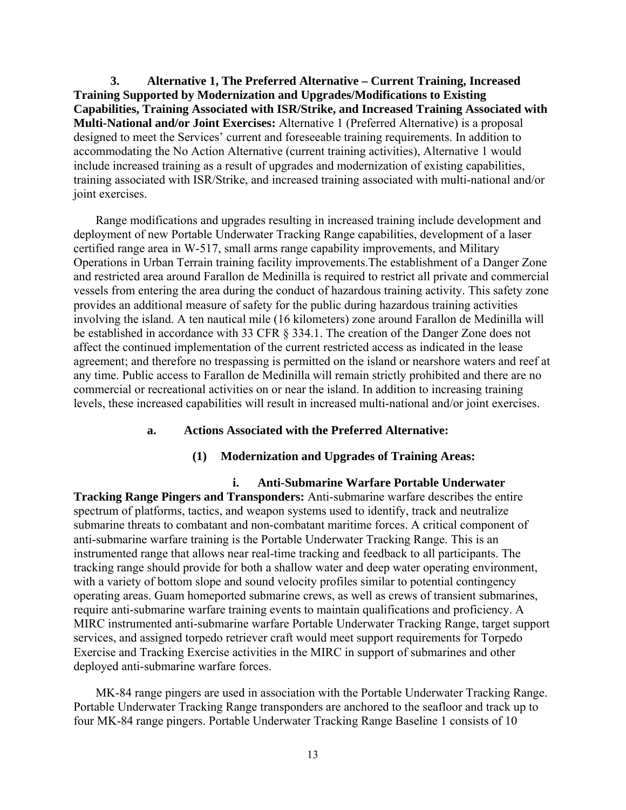**3. Alternative 1, The Preferred Alternative – Current Training, Increased Training Supported by Modernization and Upgrades/Modifications to Existing Capabilities, Training Associated with ISR/Strike, and Increased Training Associated with Multi-National and/or Joint Exercises:** Alternative 1 (Preferred Alternative) is a proposal designed to meet the Services' current and foreseeable training requirements. In addition to accommodating the No Action Alternative (current training activities), Alternative 1 would include increased training as a result of upgrades and modernization of existing capabilities, training associated with ISR/Strike, and increased training associated with multi-national and/or joint exercises.

Range modifications and upgrades resulting in increased training include development and deployment of new Portable Underwater Tracking Range capabilities, development of a laser certified range area in W-517, small arms range capability improvements, and Military Operations in Urban Terrain training facility improvements.The establishment of a Danger Zone and restricted area around Farallon de Medinilla is required to restrict all private and commercial vessels from entering the area during the conduct of hazardous training activity. This safety zone provides an additional measure of safety for the public during hazardous training activities involving the island. A ten nautical mile (16 kilometers) zone around Farallon de Medinilla will be established in accordance with 33 CFR § 334.1. The creation of the Danger Zone does not affect the continued implementation of the current restricted access as indicated in the lease agreement; and therefore no trespassing is permitted on the island or nearshore waters and reef at any time. Public access to Farallon de Medinilla will remain strictly prohibited and there are no commercial or recreational activities on or near the island. In addition to increasing training levels, these increased capabilities will result in increased multi-national and/or joint exercises.

# **a. Actions Associated with the Preferred Alternative:**

# **(1) Modernization and Upgrades of Training Areas:**

**i. Anti-Submarine Warfare Portable Underwater Tracking Range Pingers and Transponders:** Anti-submarine warfare describes the entire spectrum of platforms, tactics, and weapon systems used to identify, track and neutralize submarine threats to combatant and non-combatant maritime forces. A critical component of anti-submarine warfare training is the Portable Underwater Tracking Range. This is an instrumented range that allows near real-time tracking and feedback to all participants. The tracking range should provide for both a shallow water and deep water operating environment, with a variety of bottom slope and sound velocity profiles similar to potential contingency operating areas. Guam homeported submarine crews, as well as crews of transient submarines, require anti-submarine warfare training events to maintain qualifications and proficiency. A MIRC instrumented anti-submarine warfare Portable Underwater Tracking Range, target support services, and assigned torpedo retriever craft would meet support requirements for Torpedo Exercise and Tracking Exercise activities in the MIRC in support of submarines and other deployed anti-submarine warfare forces.

MK-84 range pingers are used in association with the Portable Underwater Tracking Range. Portable Underwater Tracking Range transponders are anchored to the seafloor and track up to four MK-84 range pingers. Portable Underwater Tracking Range Baseline 1 consists of 10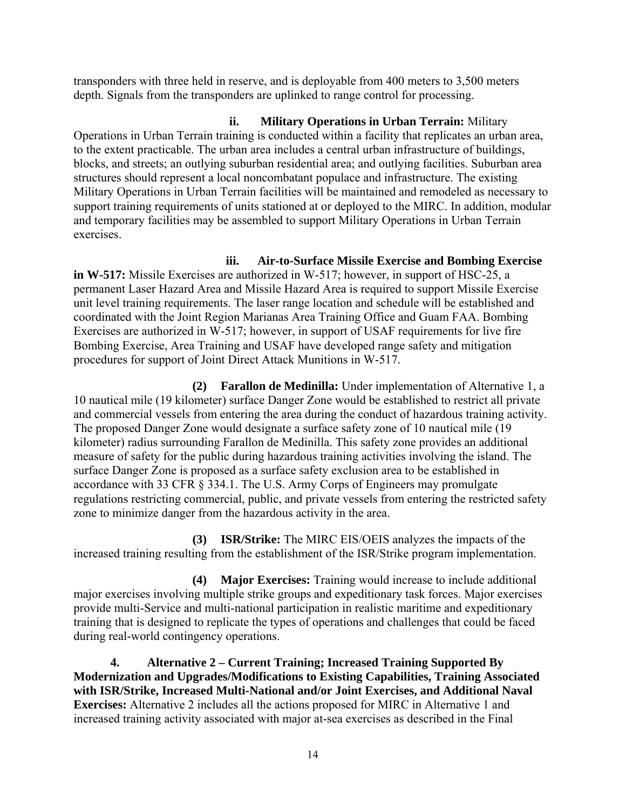transponders with three held in reserve, and is deployable from 400 meters to 3,500 meters depth. Signals from the transponders are uplinked to range control for processing.

**ii. Military Operations in Urban Terrain:** Military Operations in Urban Terrain training is conducted within a facility that replicates an urban area, to the extent practicable. The urban area includes a central urban infrastructure of buildings, blocks, and streets; an outlying suburban residential area; and outlying facilities. Suburban area structures should represent a local noncombatant populace and infrastructure. The existing Military Operations in Urban Terrain facilities will be maintained and remodeled as necessary to support training requirements of units stationed at or deployed to the MIRC. In addition, modular and temporary facilities may be assembled to support Military Operations in Urban Terrain exercises.

**iii. Air-to-Surface Missile Exercise and Bombing Exercise** 

**in W-517:** Missile Exercises are authorized in W-517; however, in support of HSC-25, a permanent Laser Hazard Area and Missile Hazard Area is required to support Missile Exercise unit level training requirements. The laser range location and schedule will be established and coordinated with the Joint Region Marianas Area Training Office and Guam FAA. Bombing Exercises are authorized in W-517; however, in support of USAF requirements for live fire Bombing Exercise, Area Training and USAF have developed range safety and mitigation procedures for support of Joint Direct Attack Munitions in W-517.

**(2) Farallon de Medinilla:** Under implementation of Alternative 1, a 10 nautical mile (19 kilometer) surface Danger Zone would be established to restrict all private and commercial vessels from entering the area during the conduct of hazardous training activity. The proposed Danger Zone would designate a surface safety zone of 10 nautical mile (19 kilometer) radius surrounding Farallon de Medinilla. This safety zone provides an additional measure of safety for the public during hazardous training activities involving the island. The surface Danger Zone is proposed as a surface safety exclusion area to be established in accordance with 33 CFR § 334.1. The U.S. Army Corps of Engineers may promulgate regulations restricting commercial, public, and private vessels from entering the restricted safety zone to minimize danger from the hazardous activity in the area.

**(3) ISR/Strike:** The MIRC EIS/OEIS analyzes the impacts of the increased training resulting from the establishment of the ISR/Strike program implementation.

**(4) Major Exercises:** Training would increase to include additional major exercises involving multiple strike groups and expeditionary task forces. Major exercises provide multi-Service and multi-national participation in realistic maritime and expeditionary training that is designed to replicate the types of operations and challenges that could be faced during real-world contingency operations.

**4. Alternative 2 – Current Training; Increased Training Supported By Modernization and Upgrades/Modifications to Existing Capabilities, Training Associated with ISR/Strike, Increased Multi-National and/or Joint Exercises, and Additional Naval Exercises:** Alternative 2 includes all the actions proposed for MIRC in Alternative 1 and increased training activity associated with major at-sea exercises as described in the Final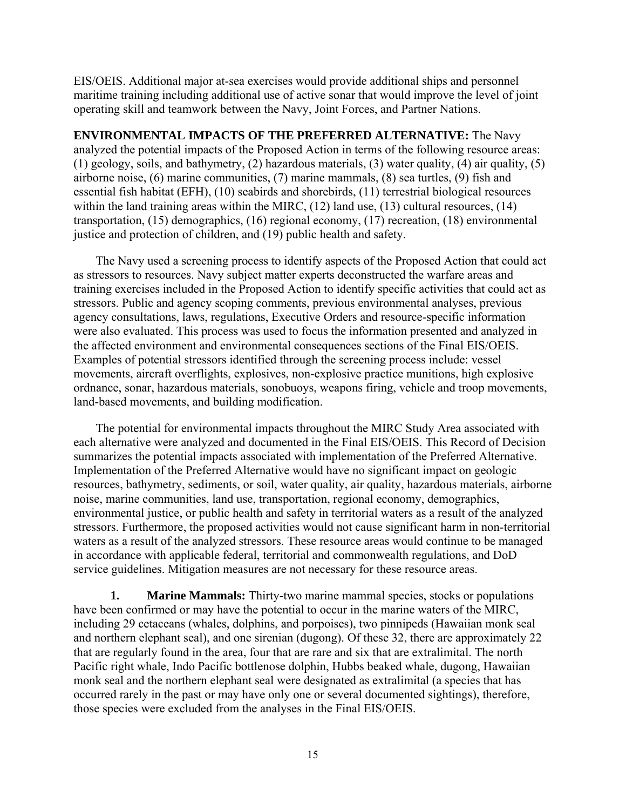EIS/OEIS. Additional major at-sea exercises would provide additional ships and personnel maritime training including additional use of active sonar that would improve the level of joint operating skill and teamwork between the Navy, Joint Forces, and Partner Nations.

**ENVIRONMENTAL IMPACTS OF THE PREFERRED ALTERNATIVE:** The Navy analyzed the potential impacts of the Proposed Action in terms of the following resource areas: (1) geology, soils, and bathymetry, (2) hazardous materials, (3) water quality, (4) air quality, (5) airborne noise, (6) marine communities, (7) marine mammals, (8) sea turtles, (9) fish and essential fish habitat (EFH), (10) seabirds and shorebirds, (11) terrestrial biological resources within the land training areas within the MIRC, (12) land use, (13) cultural resources, (14) transportation, (15) demographics, (16) regional economy, (17) recreation, (18) environmental justice and protection of children, and (19) public health and safety.

The Navy used a screening process to identify aspects of the Proposed Action that could act as stressors to resources. Navy subject matter experts deconstructed the warfare areas and training exercises included in the Proposed Action to identify specific activities that could act as stressors. Public and agency scoping comments, previous environmental analyses, previous agency consultations, laws, regulations, Executive Orders and resource-specific information were also evaluated. This process was used to focus the information presented and analyzed in the affected environment and environmental consequences sections of the Final EIS/OEIS. Examples of potential stressors identified through the screening process include: vessel movements, aircraft overflights, explosives, non-explosive practice munitions, high explosive ordnance, sonar, hazardous materials, sonobuoys, weapons firing, vehicle and troop movements, land-based movements, and building modification.

The potential for environmental impacts throughout the MIRC Study Area associated with each alternative were analyzed and documented in the Final EIS/OEIS. This Record of Decision summarizes the potential impacts associated with implementation of the Preferred Alternative. Implementation of the Preferred Alternative would have no significant impact on geologic resources, bathymetry, sediments, or soil, water quality, air quality, hazardous materials, airborne noise, marine communities, land use, transportation, regional economy, demographics, environmental justice, or public health and safety in territorial waters as a result of the analyzed stressors. Furthermore, the proposed activities would not cause significant harm in non-territorial waters as a result of the analyzed stressors. These resource areas would continue to be managed in accordance with applicable federal, territorial and commonwealth regulations, and DoD service guidelines. Mitigation measures are not necessary for these resource areas.

**1. Marine Mammals:** Thirty-two marine mammal species, stocks or populations have been confirmed or may have the potential to occur in the marine waters of the MIRC, including 29 cetaceans (whales, dolphins, and porpoises), two pinnipeds (Hawaiian monk seal and northern elephant seal), and one sirenian (dugong). Of these 32, there are approximately 22 that are regularly found in the area, four that are rare and six that are extralimital. The north Pacific right whale, Indo Pacific bottlenose dolphin, Hubbs beaked whale, dugong, Hawaiian monk seal and the northern elephant seal were designated as extralimital (a species that has occurred rarely in the past or may have only one or several documented sightings), therefore, those species were excluded from the analyses in the Final EIS/OEIS.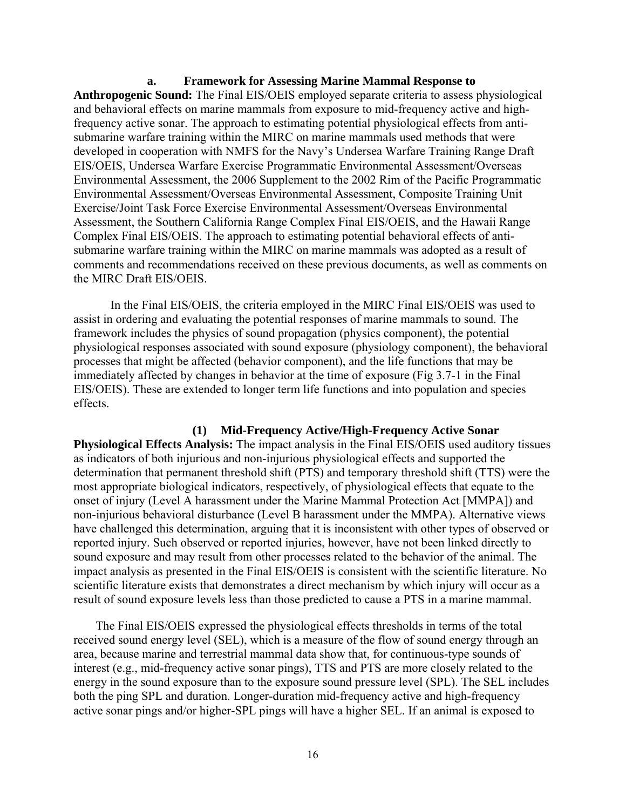**a. Framework for Assessing Marine Mammal Response to Anthropogenic Sound:** The Final EIS/OEIS employed separate criteria to assess physiological and behavioral effects on marine mammals from exposure to mid-frequency active and highfrequency active sonar. The approach to estimating potential physiological effects from antisubmarine warfare training within the MIRC on marine mammals used methods that were developed in cooperation with NMFS for the Navy's Undersea Warfare Training Range Draft EIS/OEIS, Undersea Warfare Exercise Programmatic Environmental Assessment/Overseas Environmental Assessment, the 2006 Supplement to the 2002 Rim of the Pacific Programmatic Environmental Assessment/Overseas Environmental Assessment, Composite Training Unit Exercise/Joint Task Force Exercise Environmental Assessment/Overseas Environmental Assessment, the Southern California Range Complex Final EIS/OEIS, and the Hawaii Range Complex Final EIS/OEIS. The approach to estimating potential behavioral effects of antisubmarine warfare training within the MIRC on marine mammals was adopted as a result of comments and recommendations received on these previous documents, as well as comments on the MIRC Draft EIS/OEIS.

 In the Final EIS/OEIS, the criteria employed in the MIRC Final EIS/OEIS was used to assist in ordering and evaluating the potential responses of marine mammals to sound. The framework includes the physics of sound propagation (physics component), the potential physiological responses associated with sound exposure (physiology component), the behavioral processes that might be affected (behavior component), and the life functions that may be immediately affected by changes in behavior at the time of exposure (Fig 3.7-1 in the Final EIS/OEIS). These are extended to longer term life functions and into population and species effects.

#### **(1) Mid-Frequency Active/High-Frequency Active Sonar**

**Physiological Effects Analysis:** The impact analysis in the Final EIS/OEIS used auditory tissues as indicators of both injurious and non-injurious physiological effects and supported the determination that permanent threshold shift (PTS) and temporary threshold shift (TTS) were the most appropriate biological indicators, respectively, of physiological effects that equate to the onset of injury (Level A harassment under the Marine Mammal Protection Act [MMPA]) and non-injurious behavioral disturbance (Level B harassment under the MMPA). Alternative views have challenged this determination, arguing that it is inconsistent with other types of observed or reported injury. Such observed or reported injuries, however, have not been linked directly to sound exposure and may result from other processes related to the behavior of the animal. The impact analysis as presented in the Final EIS/OEIS is consistent with the scientific literature. No scientific literature exists that demonstrates a direct mechanism by which injury will occur as a result of sound exposure levels less than those predicted to cause a PTS in a marine mammal.

The Final EIS/OEIS expressed the physiological effects thresholds in terms of the total received sound energy level (SEL), which is a measure of the flow of sound energy through an area, because marine and terrestrial mammal data show that, for continuous-type sounds of interest (e.g., mid-frequency active sonar pings), TTS and PTS are more closely related to the energy in the sound exposure than to the exposure sound pressure level (SPL). The SEL includes both the ping SPL and duration. Longer-duration mid-frequency active and high-frequency active sonar pings and/or higher-SPL pings will have a higher SEL. If an animal is exposed to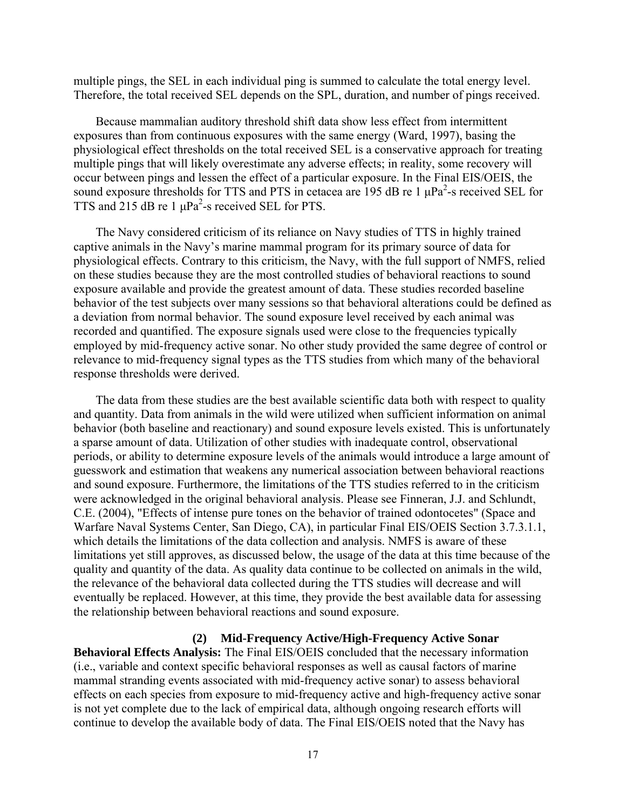multiple pings, the SEL in each individual ping is summed to calculate the total energy level. Therefore, the total received SEL depends on the SPL, duration, and number of pings received.

Because mammalian auditory threshold shift data show less effect from intermittent exposures than from continuous exposures with the same energy (Ward, 1997), basing the physiological effect thresholds on the total received SEL is a conservative approach for treating multiple pings that will likely overestimate any adverse effects; in reality, some recovery will occur between pings and lessen the effect of a particular exposure. In the Final EIS/OEIS, the sound exposure thresholds for TTS and PTS in cetacea are 195 dB re 1  $\mu$ Pa<sup>2</sup>-s received SEL for TTS and 215 dB re 1  $\mu$ Pa<sup>2</sup>-s received SEL for PTS.

The Navy considered criticism of its reliance on Navy studies of TTS in highly trained captive animals in the Navy's marine mammal program for its primary source of data for physiological effects. Contrary to this criticism, the Navy, with the full support of NMFS, relied on these studies because they are the most controlled studies of behavioral reactions to sound exposure available and provide the greatest amount of data. These studies recorded baseline behavior of the test subjects over many sessions so that behavioral alterations could be defined as a deviation from normal behavior. The sound exposure level received by each animal was recorded and quantified. The exposure signals used were close to the frequencies typically employed by mid-frequency active sonar. No other study provided the same degree of control or relevance to mid-frequency signal types as the TTS studies from which many of the behavioral response thresholds were derived.

The data from these studies are the best available scientific data both with respect to quality and quantity. Data from animals in the wild were utilized when sufficient information on animal behavior (both baseline and reactionary) and sound exposure levels existed. This is unfortunately a sparse amount of data. Utilization of other studies with inadequate control, observational periods, or ability to determine exposure levels of the animals would introduce a large amount of guesswork and estimation that weakens any numerical association between behavioral reactions and sound exposure. Furthermore, the limitations of the TTS studies referred to in the criticism were acknowledged in the original behavioral analysis. Please see Finneran, J.J. and Schlundt, C.E. (2004), "Effects of intense pure tones on the behavior of trained odontocetes" (Space and Warfare Naval Systems Center, San Diego, CA), in particular Final EIS/OEIS Section 3.7.3.1.1, which details the limitations of the data collection and analysis. NMFS is aware of these limitations yet still approves, as discussed below, the usage of the data at this time because of the quality and quantity of the data. As quality data continue to be collected on animals in the wild, the relevance of the behavioral data collected during the TTS studies will decrease and will eventually be replaced. However, at this time, they provide the best available data for assessing the relationship between behavioral reactions and sound exposure.

## **(2) Mid-Frequency Active/High-Frequency Active Sonar**

**Behavioral Effects Analysis:** The Final EIS/OEIS concluded that the necessary information (i.e., variable and context specific behavioral responses as well as causal factors of marine mammal stranding events associated with mid-frequency active sonar) to assess behavioral effects on each species from exposure to mid-frequency active and high-frequency active sonar is not yet complete due to the lack of empirical data, although ongoing research efforts will continue to develop the available body of data. The Final EIS/OEIS noted that the Navy has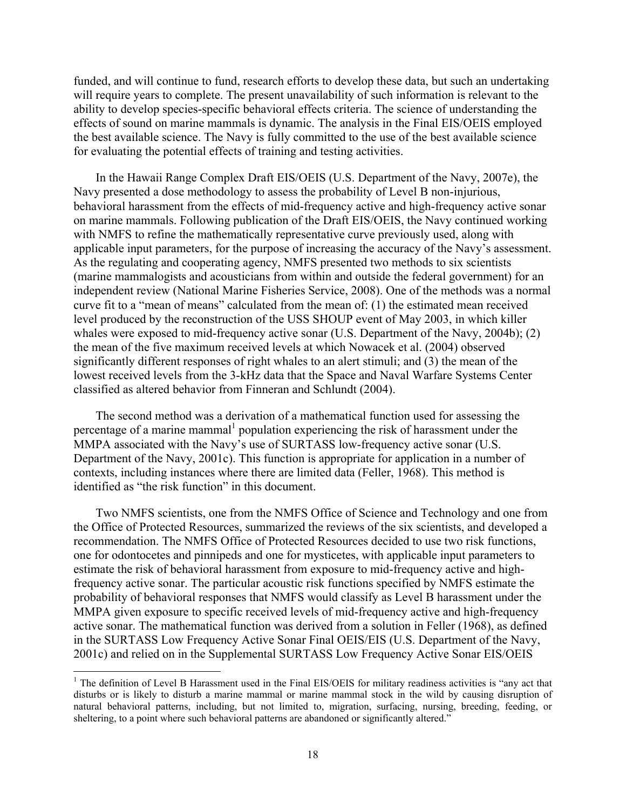funded, and will continue to fund, research efforts to develop these data, but such an undertaking will require years to complete. The present unavailability of such information is relevant to the ability to develop species-specific behavioral effects criteria. The science of understanding the effects of sound on marine mammals is dynamic. The analysis in the Final EIS/OEIS employed the best available science. The Navy is fully committed to the use of the best available science for evaluating the potential effects of training and testing activities.

In the Hawaii Range Complex Draft EIS/OEIS (U.S. Department of the Navy, 2007e), the Navy presented a dose methodology to assess the probability of Level B non-injurious, behavioral harassment from the effects of mid-frequency active and high-frequency active sonar on marine mammals. Following publication of the Draft EIS/OEIS, the Navy continued working with NMFS to refine the mathematically representative curve previously used, along with applicable input parameters, for the purpose of increasing the accuracy of the Navy's assessment. As the regulating and cooperating agency, NMFS presented two methods to six scientists (marine mammalogists and acousticians from within and outside the federal government) for an independent review (National Marine Fisheries Service, 2008). One of the methods was a normal curve fit to a "mean of means" calculated from the mean of: (1) the estimated mean received level produced by the reconstruction of the USS SHOUP event of May 2003, in which killer whales were exposed to mid-frequency active sonar (U.S. Department of the Navy, 2004b); (2) the mean of the five maximum received levels at which Nowacek et al. (2004) observed significantly different responses of right whales to an alert stimuli; and (3) the mean of the lowest received levels from the 3-kHz data that the Space and Naval Warfare Systems Center classified as altered behavior from Finneran and Schlundt (2004).

The second method was a derivation of a mathematical function used for assessing the percentage of a marine mammal<sup>1</sup> population experiencing the risk of harassment under the MMPA associated with the Navy's use of SURTASS low-frequency active sonar (U.S. Department of the Navy, 2001c). This function is appropriate for application in a number of contexts, including instances where there are limited data (Feller, 1968). This method is identified as "the risk function" in this document.

Two NMFS scientists, one from the NMFS Office of Science and Technology and one from the Office of Protected Resources, summarized the reviews of the six scientists, and developed a recommendation. The NMFS Office of Protected Resources decided to use two risk functions, one for odontocetes and pinnipeds and one for mysticetes, with applicable input parameters to estimate the risk of behavioral harassment from exposure to mid-frequency active and highfrequency active sonar. The particular acoustic risk functions specified by NMFS estimate the probability of behavioral responses that NMFS would classify as Level B harassment under the MMPA given exposure to specific received levels of mid-frequency active and high-frequency active sonar. The mathematical function was derived from a solution in Feller (1968), as defined in the SURTASS Low Frequency Active Sonar Final OEIS/EIS (U.S. Department of the Navy, 2001c) and relied on in the Supplemental SURTASS Low Frequency Active Sonar EIS/OEIS

<sup>&</sup>lt;sup>1</sup> The definition of Level B Harassment used in the Final EIS/OEIS for military readiness activities is "any act that disturbs or is likely to disturb a marine mammal or marine mammal stock in the wild by causing disruption of natural behavioral patterns, including, but not limited to, migration, surfacing, nursing, breeding, feeding, or sheltering, to a point where such behavioral patterns are abandoned or significantly altered."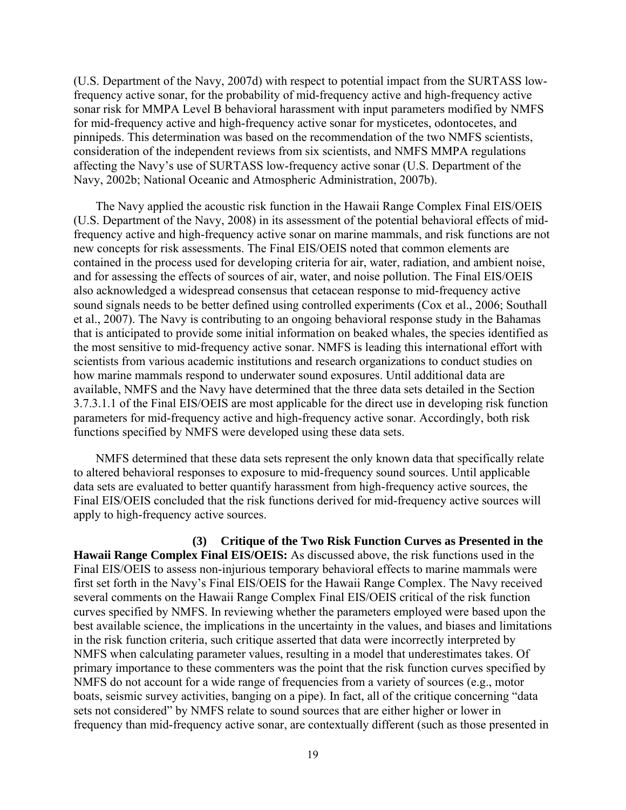(U.S. Department of the Navy, 2007d) with respect to potential impact from the SURTASS lowfrequency active sonar, for the probability of mid-frequency active and high-frequency active sonar risk for MMPA Level B behavioral harassment with input parameters modified by NMFS for mid-frequency active and high-frequency active sonar for mysticetes, odontocetes, and pinnipeds. This determination was based on the recommendation of the two NMFS scientists, consideration of the independent reviews from six scientists, and NMFS MMPA regulations affecting the Navy's use of SURTASS low-frequency active sonar (U.S. Department of the Navy, 2002b; National Oceanic and Atmospheric Administration, 2007b).

The Navy applied the acoustic risk function in the Hawaii Range Complex Final EIS/OEIS (U.S. Department of the Navy, 2008) in its assessment of the potential behavioral effects of midfrequency active and high-frequency active sonar on marine mammals, and risk functions are not new concepts for risk assessments. The Final EIS/OEIS noted that common elements are contained in the process used for developing criteria for air, water, radiation, and ambient noise, and for assessing the effects of sources of air, water, and noise pollution. The Final EIS/OEIS also acknowledged a widespread consensus that cetacean response to mid-frequency active sound signals needs to be better defined using controlled experiments (Cox et al., 2006; Southall et al., 2007). The Navy is contributing to an ongoing behavioral response study in the Bahamas that is anticipated to provide some initial information on beaked whales, the species identified as the most sensitive to mid-frequency active sonar. NMFS is leading this international effort with scientists from various academic institutions and research organizations to conduct studies on how marine mammals respond to underwater sound exposures. Until additional data are available, NMFS and the Navy have determined that the three data sets detailed in the Section 3.7.3.1.1 of the Final EIS/OEIS are most applicable for the direct use in developing risk function parameters for mid-frequency active and high-frequency active sonar. Accordingly, both risk functions specified by NMFS were developed using these data sets.

NMFS determined that these data sets represent the only known data that specifically relate to altered behavioral responses to exposure to mid-frequency sound sources. Until applicable data sets are evaluated to better quantify harassment from high-frequency active sources, the Final EIS/OEIS concluded that the risk functions derived for mid-frequency active sources will apply to high-frequency active sources.

**(3) Critique of the Two Risk Function Curves as Presented in the Hawaii Range Complex Final EIS/OEIS:** As discussed above, the risk functions used in the Final EIS/OEIS to assess non-injurious temporary behavioral effects to marine mammals were first set forth in the Navy's Final EIS/OEIS for the Hawaii Range Complex. The Navy received several comments on the Hawaii Range Complex Final EIS/OEIS critical of the risk function curves specified by NMFS. In reviewing whether the parameters employed were based upon the best available science, the implications in the uncertainty in the values, and biases and limitations in the risk function criteria, such critique asserted that data were incorrectly interpreted by NMFS when calculating parameter values, resulting in a model that underestimates takes. Of primary importance to these commenters was the point that the risk function curves specified by NMFS do not account for a wide range of frequencies from a variety of sources (e.g., motor boats, seismic survey activities, banging on a pipe). In fact, all of the critique concerning "data sets not considered" by NMFS relate to sound sources that are either higher or lower in frequency than mid-frequency active sonar, are contextually different (such as those presented in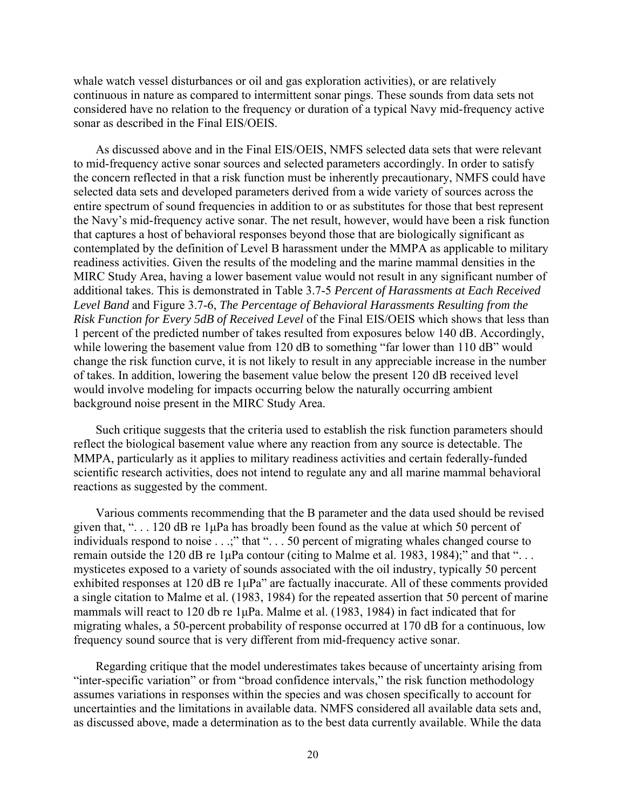whale watch vessel disturbances or oil and gas exploration activities), or are relatively continuous in nature as compared to intermittent sonar pings. These sounds from data sets not considered have no relation to the frequency or duration of a typical Navy mid-frequency active sonar as described in the Final EIS/OEIS.

As discussed above and in the Final EIS/OEIS, NMFS selected data sets that were relevant to mid-frequency active sonar sources and selected parameters accordingly. In order to satisfy the concern reflected in that a risk function must be inherently precautionary, NMFS could have selected data sets and developed parameters derived from a wide variety of sources across the entire spectrum of sound frequencies in addition to or as substitutes for those that best represent the Navy's mid-frequency active sonar. The net result, however, would have been a risk function that captures a host of behavioral responses beyond those that are biologically significant as contemplated by the definition of Level B harassment under the MMPA as applicable to military readiness activities. Given the results of the modeling and the marine mammal densities in the MIRC Study Area, having a lower basement value would not result in any significant number of additional takes. This is demonstrated in Table 3.7-5 *Percent of Harassments at Each Received Level Band* and Figure 3.7-6, *The Percentage of Behavioral Harassments Resulting from the Risk Function for Every 5dB of Received Level* of the Final EIS/OEIS which shows that less than 1 percent of the predicted number of takes resulted from exposures below 140 dB. Accordingly, while lowering the basement value from 120 dB to something "far lower than 110 dB" would change the risk function curve, it is not likely to result in any appreciable increase in the number of takes. In addition, lowering the basement value below the present 120 dB received level would involve modeling for impacts occurring below the naturally occurring ambient background noise present in the MIRC Study Area.

Such critique suggests that the criteria used to establish the risk function parameters should reflect the biological basement value where any reaction from any source is detectable. The MMPA, particularly as it applies to military readiness activities and certain federally-funded scientific research activities, does not intend to regulate any and all marine mammal behavioral reactions as suggested by the comment.

Various comments recommending that the B parameter and the data used should be revised given that, ". . . 120 dB re 1μPa has broadly been found as the value at which 50 percent of individuals respond to noise . . .;" that ". . . 50 percent of migrating whales changed course to remain outside the 120 dB re 1μPa contour (citing to Malme et al. 1983, 1984);" and that ". . . mysticetes exposed to a variety of sounds associated with the oil industry, typically 50 percent exhibited responses at 120 dB re 1μPa" are factually inaccurate. All of these comments provided a single citation to Malme et al. (1983, 1984) for the repeated assertion that 50 percent of marine mammals will react to 120 db re 1μPa. Malme et al. (1983, 1984) in fact indicated that for migrating whales, a 50-percent probability of response occurred at 170 dB for a continuous, low frequency sound source that is very different from mid-frequency active sonar.

Regarding critique that the model underestimates takes because of uncertainty arising from "inter-specific variation" or from "broad confidence intervals," the risk function methodology assumes variations in responses within the species and was chosen specifically to account for uncertainties and the limitations in available data. NMFS considered all available data sets and, as discussed above, made a determination as to the best data currently available. While the data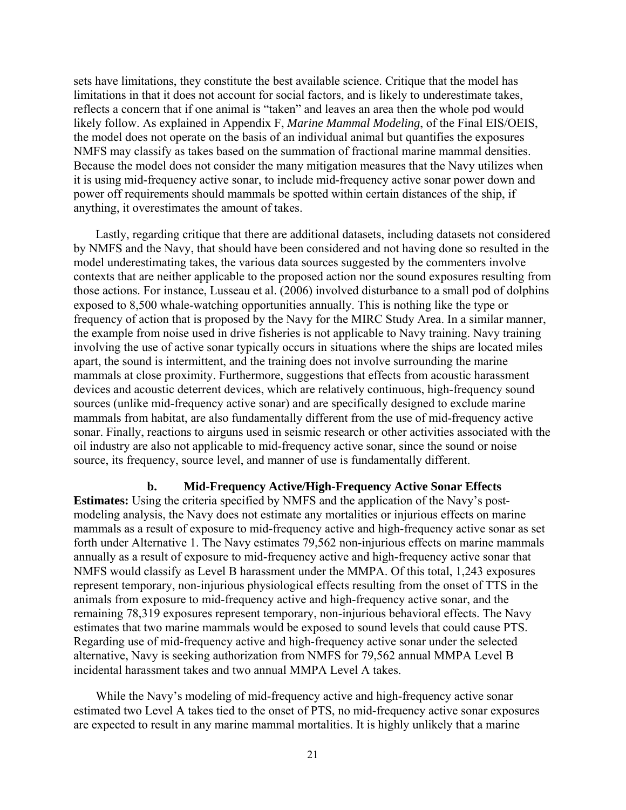sets have limitations, they constitute the best available science. Critique that the model has limitations in that it does not account for social factors, and is likely to underestimate takes, reflects a concern that if one animal is "taken" and leaves an area then the whole pod would likely follow. As explained in Appendix F, *Marine Mammal Modeling*, of the Final EIS/OEIS, the model does not operate on the basis of an individual animal but quantifies the exposures NMFS may classify as takes based on the summation of fractional marine mammal densities. Because the model does not consider the many mitigation measures that the Navy utilizes when it is using mid-frequency active sonar, to include mid-frequency active sonar power down and power off requirements should mammals be spotted within certain distances of the ship, if anything, it overestimates the amount of takes.

Lastly, regarding critique that there are additional datasets, including datasets not considered by NMFS and the Navy, that should have been considered and not having done so resulted in the model underestimating takes, the various data sources suggested by the commenters involve contexts that are neither applicable to the proposed action nor the sound exposures resulting from those actions. For instance, Lusseau et al. (2006) involved disturbance to a small pod of dolphins exposed to 8,500 whale-watching opportunities annually. This is nothing like the type or frequency of action that is proposed by the Navy for the MIRC Study Area. In a similar manner, the example from noise used in drive fisheries is not applicable to Navy training. Navy training involving the use of active sonar typically occurs in situations where the ships are located miles apart, the sound is intermittent, and the training does not involve surrounding the marine mammals at close proximity. Furthermore, suggestions that effects from acoustic harassment devices and acoustic deterrent devices, which are relatively continuous, high-frequency sound sources (unlike mid-frequency active sonar) and are specifically designed to exclude marine mammals from habitat, are also fundamentally different from the use of mid-frequency active sonar. Finally, reactions to airguns used in seismic research or other activities associated with the oil industry are also not applicable to mid-frequency active sonar, since the sound or noise source, its frequency, source level, and manner of use is fundamentally different.

**b. Mid-Frequency Active/High-Frequency Active Sonar Effects Estimates:** Using the criteria specified by NMFS and the application of the Navy's postmodeling analysis, the Navy does not estimate any mortalities or injurious effects on marine mammals as a result of exposure to mid-frequency active and high-frequency active sonar as set forth under Alternative 1. The Navy estimates 79,562 non-injurious effects on marine mammals annually as a result of exposure to mid-frequency active and high-frequency active sonar that NMFS would classify as Level B harassment under the MMPA. Of this total, 1,243 exposures represent temporary, non-injurious physiological effects resulting from the onset of TTS in the animals from exposure to mid-frequency active and high-frequency active sonar, and the remaining 78,319 exposures represent temporary, non-injurious behavioral effects. The Navy estimates that two marine mammals would be exposed to sound levels that could cause PTS. Regarding use of mid-frequency active and high-frequency active sonar under the selected alternative, Navy is seeking authorization from NMFS for 79,562 annual MMPA Level B incidental harassment takes and two annual MMPA Level A takes.

While the Navy's modeling of mid-frequency active and high-frequency active sonar estimated two Level A takes tied to the onset of PTS, no mid-frequency active sonar exposures are expected to result in any marine mammal mortalities. It is highly unlikely that a marine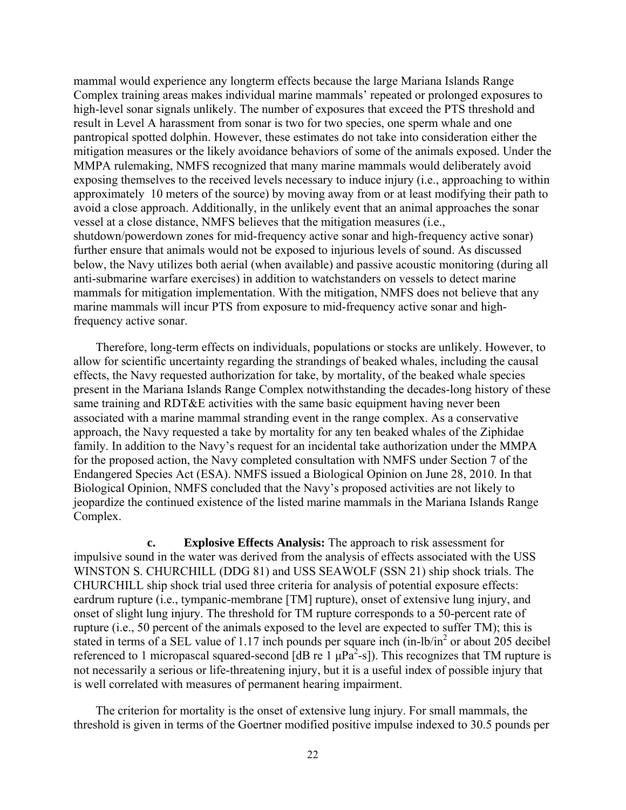mammal would experience any longterm effects because the large Mariana Islands Range Complex training areas makes individual marine mammals' repeated or prolonged exposures to high-level sonar signals unlikely. The number of exposures that exceed the PTS threshold and result in Level A harassment from sonar is two for two species, one sperm whale and one pantropical spotted dolphin. However, these estimates do not take into consideration either the mitigation measures or the likely avoidance behaviors of some of the animals exposed. Under the MMPA rulemaking, NMFS recognized that many marine mammals would deliberately avoid exposing themselves to the received levels necessary to induce injury (i.e., approaching to within approximately 10 meters of the source) by moving away from or at least modifying their path to avoid a close approach. Additionally, in the unlikely event that an animal approaches the sonar vessel at a close distance, NMFS believes that the mitigation measures (i.e., shutdown/powerdown zones for mid-frequency active sonar and high-frequency active sonar) further ensure that animals would not be exposed to injurious levels of sound. As discussed below, the Navy utilizes both aerial (when available) and passive acoustic monitoring (during all anti-submarine warfare exercises) in addition to watchstanders on vessels to detect marine mammals for mitigation implementation. With the mitigation, NMFS does not believe that any marine mammals will incur PTS from exposure to mid-frequency active sonar and highfrequency active sonar.

Therefore, long-term effects on individuals, populations or stocks are unlikely. However, to allow for scientific uncertainty regarding the strandings of beaked whales, including the causal effects, the Navy requested authorization for take, by mortality, of the beaked whale species present in the Mariana Islands Range Complex notwithstanding the decades-long history of these same training and RDT&E activities with the same basic equipment having never been associated with a marine mammal stranding event in the range complex. As a conservative approach, the Navy requested a take by mortality for any ten beaked whales of the Ziphidae family. In addition to the Navy's request for an incidental take authorization under the MMPA for the proposed action, the Navy completed consultation with NMFS under Section 7 of the Endangered Species Act (ESA). NMFS issued a Biological Opinion on June 28, 2010. In that Biological Opinion, NMFS concluded that the Navy's proposed activities are not likely to jeopardize the continued existence of the listed marine mammals in the Mariana Islands Range Complex.

**c. Explosive Effects Analysis:** The approach to risk assessment for impulsive sound in the water was derived from the analysis of effects associated with the USS WINSTON S. CHURCHILL (DDG 81) and USS SEAWOLF (SSN 21) ship shock trials. The CHURCHILL ship shock trial used three criteria for analysis of potential exposure effects: eardrum rupture (i.e., tympanic-membrane [TM] rupture), onset of extensive lung injury, and onset of slight lung injury. The threshold for TM rupture corresponds to a 50-percent rate of rupture (i.e., 50 percent of the animals exposed to the level are expected to suffer TM); this is stated in terms of a SEL value of 1.17 inch pounds per square inch  $(in-lb/in<sup>2</sup> or about 205 decibel)$ referenced to 1 micropascal squared-second [dB re  $1 \mu Pa^2$ -s]). This recognizes that TM rupture is not necessarily a serious or life-threatening injury, but it is a useful index of possible injury that is well correlated with measures of permanent hearing impairment.

The criterion for mortality is the onset of extensive lung injury. For small mammals, the threshold is given in terms of the Goertner modified positive impulse indexed to 30.5 pounds per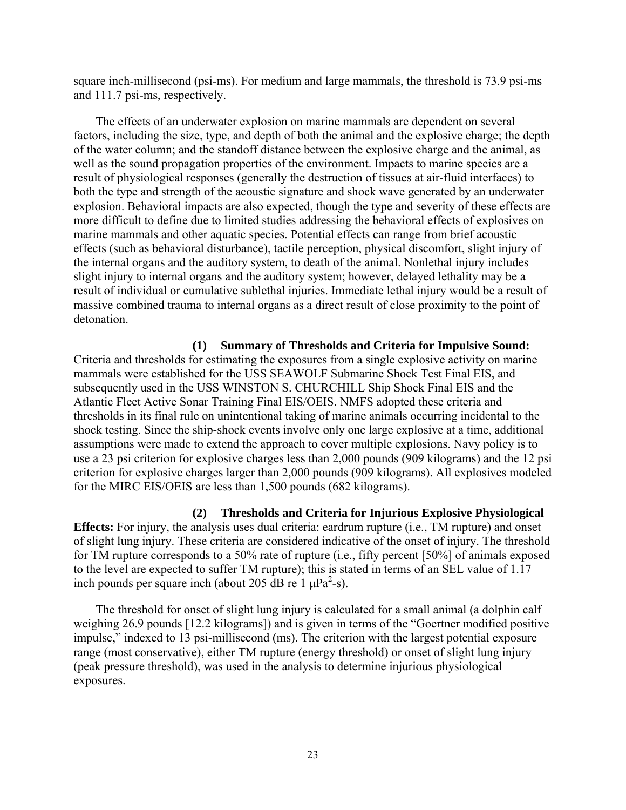square inch-millisecond (psi-ms). For medium and large mammals, the threshold is 73.9 psi-ms and 111.7 psi-ms, respectively.

The effects of an underwater explosion on marine mammals are dependent on several factors, including the size, type, and depth of both the animal and the explosive charge; the depth of the water column; and the standoff distance between the explosive charge and the animal, as well as the sound propagation properties of the environment. Impacts to marine species are a result of physiological responses (generally the destruction of tissues at air-fluid interfaces) to both the type and strength of the acoustic signature and shock wave generated by an underwater explosion. Behavioral impacts are also expected, though the type and severity of these effects are more difficult to define due to limited studies addressing the behavioral effects of explosives on marine mammals and other aquatic species. Potential effects can range from brief acoustic effects (such as behavioral disturbance), tactile perception, physical discomfort, slight injury of the internal organs and the auditory system, to death of the animal. Nonlethal injury includes slight injury to internal organs and the auditory system; however, delayed lethality may be a result of individual or cumulative sublethal injuries. Immediate lethal injury would be a result of massive combined trauma to internal organs as a direct result of close proximity to the point of detonation.

**(1) Summary of Thresholds and Criteria for Impulsive Sound:**  Criteria and thresholds for estimating the exposures from a single explosive activity on marine mammals were established for the USS SEAWOLF Submarine Shock Test Final EIS, and subsequently used in the USS WINSTON S. CHURCHILL Ship Shock Final EIS and the Atlantic Fleet Active Sonar Training Final EIS/OEIS. NMFS adopted these criteria and thresholds in its final rule on unintentional taking of marine animals occurring incidental to the shock testing. Since the ship-shock events involve only one large explosive at a time, additional assumptions were made to extend the approach to cover multiple explosions. Navy policy is to use a 23 psi criterion for explosive charges less than 2,000 pounds (909 kilograms) and the 12 psi criterion for explosive charges larger than 2,000 pounds (909 kilograms). All explosives modeled for the MIRC EIS/OEIS are less than 1,500 pounds (682 kilograms).

**(2) Thresholds and Criteria for Injurious Explosive Physiological Effects:** For injury, the analysis uses dual criteria: eardrum rupture (i.e., TM rupture) and onset of slight lung injury. These criteria are considered indicative of the onset of injury. The threshold for TM rupture corresponds to a 50% rate of rupture (i.e., fifty percent [50%] of animals exposed to the level are expected to suffer TM rupture); this is stated in terms of an SEL value of 1.17 inch pounds per square inch (about 205 dB re 1  $\mu$ Pa<sup>2</sup>-s).

The threshold for onset of slight lung injury is calculated for a small animal (a dolphin calf weighing 26.9 pounds [12.2 kilograms]) and is given in terms of the "Goertner modified positive impulse," indexed to 13 psi-millisecond (ms). The criterion with the largest potential exposure range (most conservative), either TM rupture (energy threshold) or onset of slight lung injury (peak pressure threshold), was used in the analysis to determine injurious physiological exposures.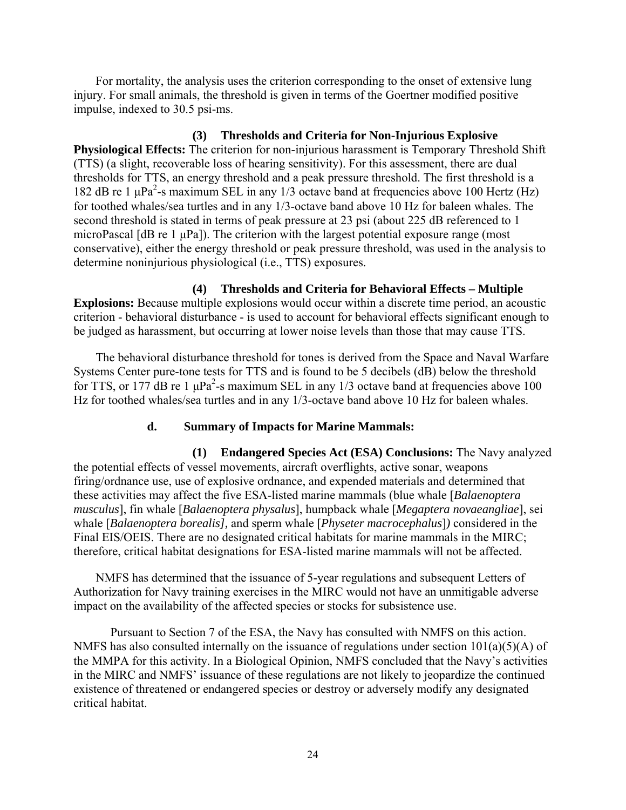For mortality, the analysis uses the criterion corresponding to the onset of extensive lung injury. For small animals, the threshold is given in terms of the Goertner modified positive impulse, indexed to 30.5 psi-ms.

#### **(3) Thresholds and Criteria for Non-Injurious Explosive**

**Physiological Effects:** The criterion for non-injurious harassment is Temporary Threshold Shift (TTS) (a slight, recoverable loss of hearing sensitivity). For this assessment, there are dual thresholds for TTS, an energy threshold and a peak pressure threshold. The first threshold is a 182 dB re 1  $\mu$ Pa<sup>2</sup>-s maximum SEL in any 1/3 octave band at frequencies above 100 Hertz (Hz) for toothed whales/sea turtles and in any 1/3-octave band above 10 Hz for baleen whales. The second threshold is stated in terms of peak pressure at 23 psi (about 225 dB referenced to 1 microPascal [dB re 1 μPa]). The criterion with the largest potential exposure range (most conservative), either the energy threshold or peak pressure threshold, was used in the analysis to determine noninjurious physiological (i.e., TTS) exposures.

## **(4) Thresholds and Criteria for Behavioral Effects – Multiple**

**Explosions:** Because multiple explosions would occur within a discrete time period, an acoustic criterion - behavioral disturbance - is used to account for behavioral effects significant enough to be judged as harassment, but occurring at lower noise levels than those that may cause TTS.

The behavioral disturbance threshold for tones is derived from the Space and Naval Warfare Systems Center pure-tone tests for TTS and is found to be 5 decibels (dB) below the threshold for TTS, or 177 dB re 1  $\mu$ Pa<sup>2</sup>-s maximum SEL in any 1/3 octave band at frequencies above 100 Hz for toothed whales/sea turtles and in any 1/3-octave band above 10 Hz for baleen whales.

# **d. Summary of Impacts for Marine Mammals:**

**(1) Endangered Species Act (ESA) Conclusions:** The Navy analyzed the potential effects of vessel movements, aircraft overflights, active sonar, weapons firing/ordnance use, use of explosive ordnance, and expended materials and determined that these activities may affect the five ESA-listed marine mammals (blue whale [*Balaenoptera musculus*], fin whale [*Balaenoptera physalus*], humpback whale [*Megaptera novaeangliae*], sei whale [*Balaenoptera borealis],* and sperm whale [*Physeter macrocephalus*]*)* considered in the Final EIS/OEIS. There are no designated critical habitats for marine mammals in the MIRC; therefore, critical habitat designations for ESA-listed marine mammals will not be affected.

NMFS has determined that the issuance of 5-year regulations and subsequent Letters of Authorization for Navy training exercises in the MIRC would not have an unmitigable adverse impact on the availability of the affected species or stocks for subsistence use.

 Pursuant to Section 7 of the ESA, the Navy has consulted with NMFS on this action. NMFS has also consulted internally on the issuance of regulations under section 101(a)(5)(A) of the MMPA for this activity. In a Biological Opinion, NMFS concluded that the Navy's activities in the MIRC and NMFS' issuance of these regulations are not likely to jeopardize the continued existence of threatened or endangered species or destroy or adversely modify any designated critical habitat.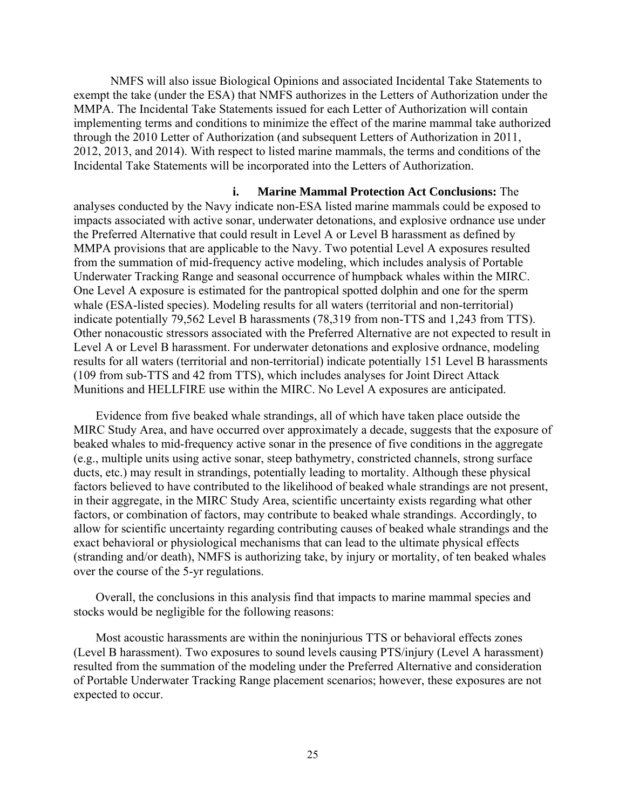NMFS will also issue Biological Opinions and associated Incidental Take Statements to exempt the take (under the ESA) that NMFS authorizes in the Letters of Authorization under the MMPA. The Incidental Take Statements issued for each Letter of Authorization will contain implementing terms and conditions to minimize the effect of the marine mammal take authorized through the 2010 Letter of Authorization (and subsequent Letters of Authorization in 2011, 2012, 2013, and 2014). With respect to listed marine mammals, the terms and conditions of the Incidental Take Statements will be incorporated into the Letters of Authorization.

**i. Marine Mammal Protection Act Conclusions:** The analyses conducted by the Navy indicate non-ESA listed marine mammals could be exposed to impacts associated with active sonar, underwater detonations, and explosive ordnance use under the Preferred Alternative that could result in Level A or Level B harassment as defined by MMPA provisions that are applicable to the Navy. Two potential Level A exposures resulted from the summation of mid-frequency active modeling, which includes analysis of Portable Underwater Tracking Range and seasonal occurrence of humpback whales within the MIRC. One Level A exposure is estimated for the pantropical spotted dolphin and one for the sperm whale (ESA-listed species). Modeling results for all waters (territorial and non-territorial) indicate potentially 79,562 Level B harassments (78,319 from non-TTS and 1,243 from TTS). Other nonacoustic stressors associated with the Preferred Alternative are not expected to result in Level A or Level B harassment. For underwater detonations and explosive ordnance, modeling results for all waters (territorial and non-territorial) indicate potentially 151 Level B harassments (109 from sub-TTS and 42 from TTS), which includes analyses for Joint Direct Attack Munitions and HELLFIRE use within the MIRC. No Level A exposures are anticipated.

Evidence from five beaked whale strandings, all of which have taken place outside the MIRC Study Area, and have occurred over approximately a decade, suggests that the exposure of beaked whales to mid-frequency active sonar in the presence of five conditions in the aggregate (e.g., multiple units using active sonar, steep bathymetry, constricted channels, strong surface ducts, etc.) may result in strandings, potentially leading to mortality. Although these physical factors believed to have contributed to the likelihood of beaked whale strandings are not present, in their aggregate, in the MIRC Study Area, scientific uncertainty exists regarding what other factors, or combination of factors, may contribute to beaked whale strandings. Accordingly, to allow for scientific uncertainty regarding contributing causes of beaked whale strandings and the exact behavioral or physiological mechanisms that can lead to the ultimate physical effects (stranding and/or death), NMFS is authorizing take, by injury or mortality, of ten beaked whales over the course of the 5-yr regulations.

Overall, the conclusions in this analysis find that impacts to marine mammal species and stocks would be negligible for the following reasons:

Most acoustic harassments are within the noninjurious TTS or behavioral effects zones (Level B harassment). Two exposures to sound levels causing PTS/injury (Level A harassment) resulted from the summation of the modeling under the Preferred Alternative and consideration of Portable Underwater Tracking Range placement scenarios; however, these exposures are not expected to occur.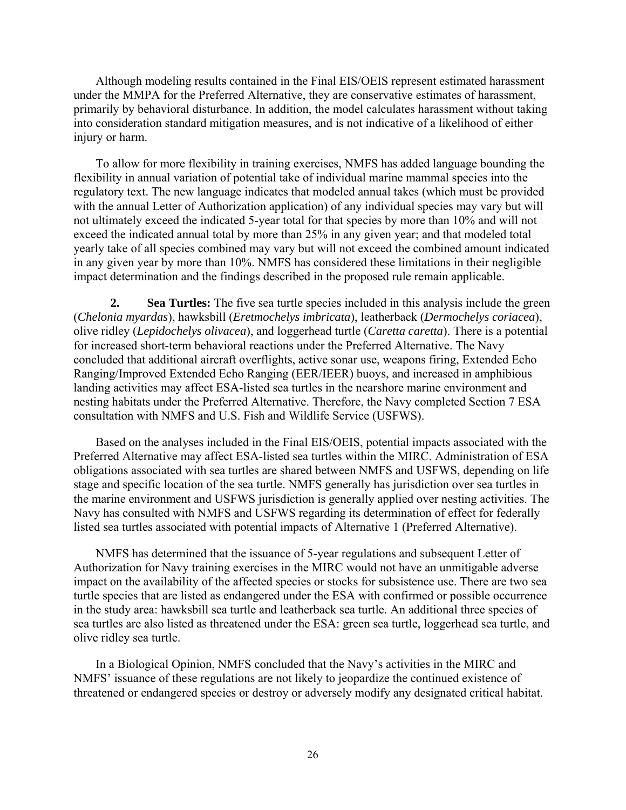Although modeling results contained in the Final EIS/OEIS represent estimated harassment under the MMPA for the Preferred Alternative, they are conservative estimates of harassment, primarily by behavioral disturbance. In addition, the model calculates harassment without taking into consideration standard mitigation measures, and is not indicative of a likelihood of either injury or harm.

To allow for more flexibility in training exercises, NMFS has added language bounding the flexibility in annual variation of potential take of individual marine mammal species into the regulatory text. The new language indicates that modeled annual takes (which must be provided with the annual Letter of Authorization application) of any individual species may vary but will not ultimately exceed the indicated 5-year total for that species by more than 10% and will not exceed the indicated annual total by more than 25% in any given year; and that modeled total yearly take of all species combined may vary but will not exceed the combined amount indicated in any given year by more than 10%. NMFS has considered these limitations in their negligible impact determination and the findings described in the proposed rule remain applicable.

**2. Sea Turtles:** The five sea turtle species included in this analysis include the green (*Chelonia myardas*), hawksbill (*Eretmochelys imbricata*), leatherback (*Dermochelys coriacea*), olive ridley (*Lepidochelys olivacea*), and loggerhead turtle (*Caretta caretta*). There is a potential for increased short-term behavioral reactions under the Preferred Alternative. The Navy concluded that additional aircraft overflights, active sonar use, weapons firing, Extended Echo Ranging/Improved Extended Echo Ranging (EER/IEER) buoys, and increased in amphibious landing activities may affect ESA-listed sea turtles in the nearshore marine environment and nesting habitats under the Preferred Alternative. Therefore, the Navy completed Section 7 ESA consultation with NMFS and U.S. Fish and Wildlife Service (USFWS).

Based on the analyses included in the Final EIS/OEIS, potential impacts associated with the Preferred Alternative may affect ESA-listed sea turtles within the MIRC. Administration of ESA obligations associated with sea turtles are shared between NMFS and USFWS, depending on life stage and specific location of the sea turtle. NMFS generally has jurisdiction over sea turtles in the marine environment and USFWS jurisdiction is generally applied over nesting activities. The Navy has consulted with NMFS and USFWS regarding its determination of effect for federally listed sea turtles associated with potential impacts of Alternative 1 (Preferred Alternative).

NMFS has determined that the issuance of 5-year regulations and subsequent Letter of Authorization for Navy training exercises in the MIRC would not have an unmitigable adverse impact on the availability of the affected species or stocks for subsistence use. There are two sea turtle species that are listed as endangered under the ESA with confirmed or possible occurrence in the study area: hawksbill sea turtle and leatherback sea turtle. An additional three species of sea turtles are also listed as threatened under the ESA: green sea turtle, loggerhead sea turtle, and olive ridley sea turtle.

In a Biological Opinion, NMFS concluded that the Navy's activities in the MIRC and NMFS' issuance of these regulations are not likely to jeopardize the continued existence of threatened or endangered species or destroy or adversely modify any designated critical habitat.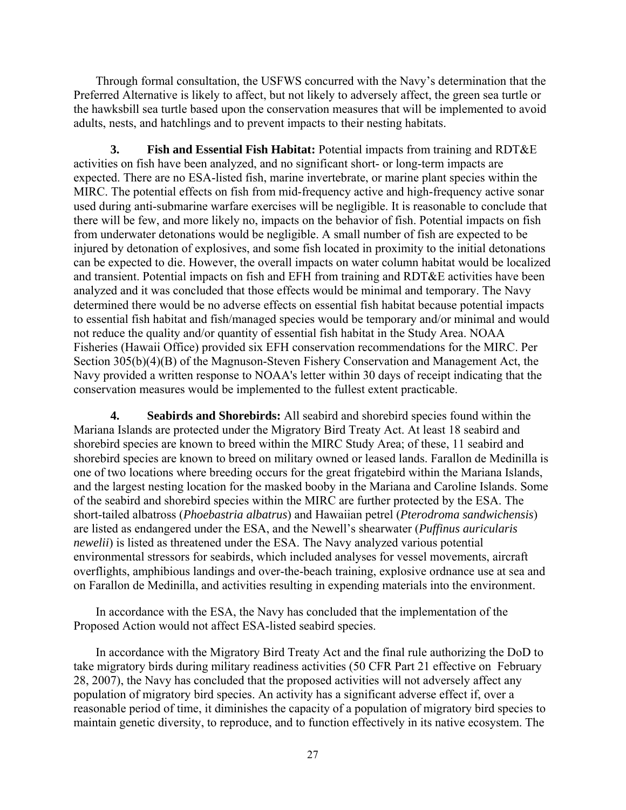Through formal consultation, the USFWS concurred with the Navy's determination that the Preferred Alternative is likely to affect, but not likely to adversely affect, the green sea turtle or the hawksbill sea turtle based upon the conservation measures that will be implemented to avoid adults, nests, and hatchlings and to prevent impacts to their nesting habitats.

**3. Fish and Essential Fish Habitat:** Potential impacts from training and RDT&E activities on fish have been analyzed, and no significant short- or long-term impacts are expected. There are no ESA-listed fish, marine invertebrate, or marine plant species within the MIRC. The potential effects on fish from mid-frequency active and high-frequency active sonar used during anti-submarine warfare exercises will be negligible. It is reasonable to conclude that there will be few, and more likely no, impacts on the behavior of fish. Potential impacts on fish from underwater detonations would be negligible. A small number of fish are expected to be injured by detonation of explosives, and some fish located in proximity to the initial detonations can be expected to die. However, the overall impacts on water column habitat would be localized and transient. Potential impacts on fish and EFH from training and RDT&E activities have been analyzed and it was concluded that those effects would be minimal and temporary. The Navy determined there would be no adverse effects on essential fish habitat because potential impacts to essential fish habitat and fish/managed species would be temporary and/or minimal and would not reduce the quality and/or quantity of essential fish habitat in the Study Area. NOAA Fisheries (Hawaii Office) provided six EFH conservation recommendations for the MIRC. Per Section 305(b)(4)(B) of the Magnuson-Steven Fishery Conservation and Management Act, the Navy provided a written response to NOAA's letter within 30 days of receipt indicating that the conservation measures would be implemented to the fullest extent practicable.

**4. Seabirds and Shorebirds:** All seabird and shorebird species found within the Mariana Islands are protected under the Migratory Bird Treaty Act. At least 18 seabird and shorebird species are known to breed within the MIRC Study Area; of these, 11 seabird and shorebird species are known to breed on military owned or leased lands. Farallon de Medinilla is one of two locations where breeding occurs for the great frigatebird within the Mariana Islands, and the largest nesting location for the masked booby in the Mariana and Caroline Islands. Some of the seabird and shorebird species within the MIRC are further protected by the ESA. The short-tailed albatross (*Phoebastria albatrus*) and Hawaiian petrel (*Pterodroma sandwichensis*) are listed as endangered under the ESA, and the Newell's shearwater (*Puffinus auricularis newelii*) is listed as threatened under the ESA. The Navy analyzed various potential environmental stressors for seabirds, which included analyses for vessel movements, aircraft overflights, amphibious landings and over-the-beach training, explosive ordnance use at sea and on Farallon de Medinilla, and activities resulting in expending materials into the environment.

In accordance with the ESA, the Navy has concluded that the implementation of the Proposed Action would not affect ESA-listed seabird species.

In accordance with the Migratory Bird Treaty Act and the final rule authorizing the DoD to take migratory birds during military readiness activities (50 CFR Part 21 effective on February 28, 2007), the Navy has concluded that the proposed activities will not adversely affect any population of migratory bird species. An activity has a significant adverse effect if, over a reasonable period of time, it diminishes the capacity of a population of migratory bird species to maintain genetic diversity, to reproduce, and to function effectively in its native ecosystem. The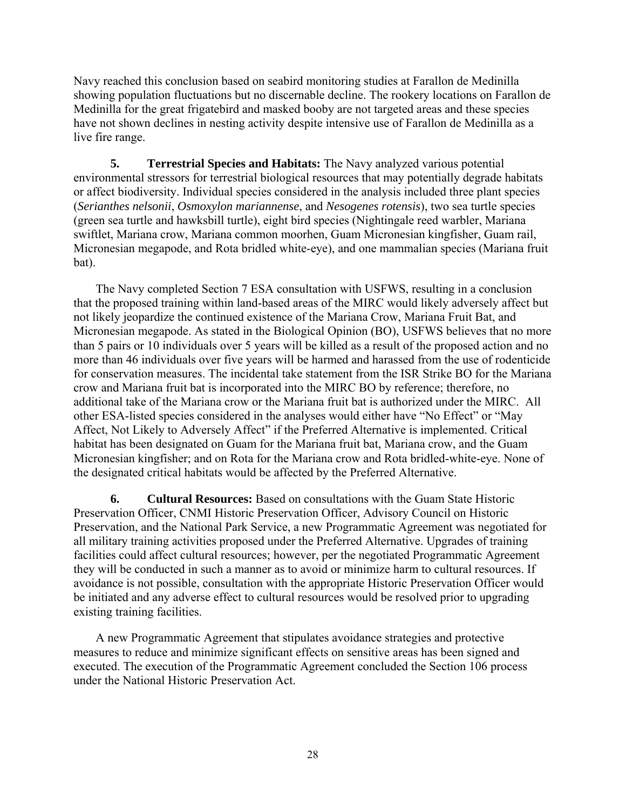Navy reached this conclusion based on seabird monitoring studies at Farallon de Medinilla showing population fluctuations but no discernable decline. The rookery locations on Farallon de Medinilla for the great frigatebird and masked booby are not targeted areas and these species have not shown declines in nesting activity despite intensive use of Farallon de Medinilla as a live fire range.

**5. Terrestrial Species and Habitats:** The Navy analyzed various potential environmental stressors for terrestrial biological resources that may potentially degrade habitats or affect biodiversity. Individual species considered in the analysis included three plant species (*Serianthes nelsonii*, *Osmoxylon mariannense*, and *Nesogenes rotensis*), two sea turtle species (green sea turtle and hawksbill turtle), eight bird species (Nightingale reed warbler, Mariana swiftlet, Mariana crow, Mariana common moorhen, Guam Micronesian kingfisher, Guam rail, Micronesian megapode, and Rota bridled white-eye), and one mammalian species (Mariana fruit bat).

The Navy completed Section 7 ESA consultation with USFWS, resulting in a conclusion that the proposed training within land-based areas of the MIRC would likely adversely affect but not likely jeopardize the continued existence of the Mariana Crow, Mariana Fruit Bat, and Micronesian megapode. As stated in the Biological Opinion (BO), USFWS believes that no more than 5 pairs or 10 individuals over 5 years will be killed as a result of the proposed action and no more than 46 individuals over five years will be harmed and harassed from the use of rodenticide for conservation measures. The incidental take statement from the ISR Strike BO for the Mariana crow and Mariana fruit bat is incorporated into the MIRC BO by reference; therefore, no additional take of the Mariana crow or the Mariana fruit bat is authorized under the MIRC. All other ESA-listed species considered in the analyses would either have "No Effect" or "May Affect, Not Likely to Adversely Affect" if the Preferred Alternative is implemented. Critical habitat has been designated on Guam for the Mariana fruit bat, Mariana crow, and the Guam Micronesian kingfisher; and on Rota for the Mariana crow and Rota bridled-white-eye. None of the designated critical habitats would be affected by the Preferred Alternative.

**6. Cultural Resources:** Based on consultations with the Guam State Historic Preservation Officer, CNMI Historic Preservation Officer, Advisory Council on Historic Preservation, and the National Park Service, a new Programmatic Agreement was negotiated for all military training activities proposed under the Preferred Alternative. Upgrades of training facilities could affect cultural resources; however, per the negotiated Programmatic Agreement they will be conducted in such a manner as to avoid or minimize harm to cultural resources. If avoidance is not possible, consultation with the appropriate Historic Preservation Officer would be initiated and any adverse effect to cultural resources would be resolved prior to upgrading existing training facilities.

A new Programmatic Agreement that stipulates avoidance strategies and protective measures to reduce and minimize significant effects on sensitive areas has been signed and executed. The execution of the Programmatic Agreement concluded the Section 106 process under the National Historic Preservation Act.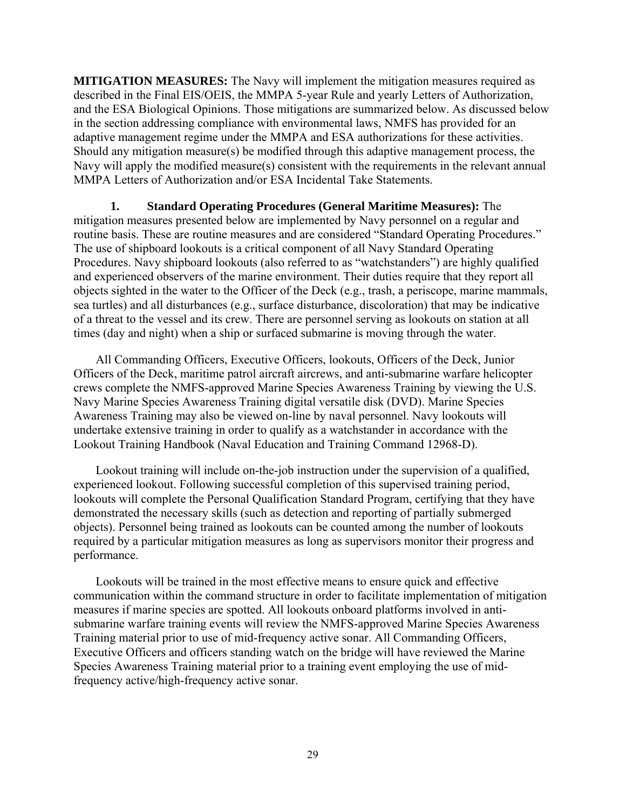**MITIGATION MEASURES:** The Navy will implement the mitigation measures required as described in the Final EIS/OEIS, the MMPA 5-year Rule and yearly Letters of Authorization, and the ESA Biological Opinions. Those mitigations are summarized below. As discussed below in the section addressing compliance with environmental laws, NMFS has provided for an adaptive management regime under the MMPA and ESA authorizations for these activities. Should any mitigation measure(s) be modified through this adaptive management process, the Navy will apply the modified measure(s) consistent with the requirements in the relevant annual MMPA Letters of Authorization and/or ESA Incidental Take Statements.

**1. Standard Operating Procedures (General Maritime Measures):** The mitigation measures presented below are implemented by Navy personnel on a regular and routine basis. These are routine measures and are considered "Standard Operating Procedures." The use of shipboard lookouts is a critical component of all Navy Standard Operating Procedures. Navy shipboard lookouts (also referred to as "watchstanders") are highly qualified and experienced observers of the marine environment. Their duties require that they report all objects sighted in the water to the Officer of the Deck (e.g., trash, a periscope, marine mammals, sea turtles) and all disturbances (e.g., surface disturbance, discoloration) that may be indicative of a threat to the vessel and its crew. There are personnel serving as lookouts on station at all times (day and night) when a ship or surfaced submarine is moving through the water.

All Commanding Officers, Executive Officers, lookouts, Officers of the Deck, Junior Officers of the Deck, maritime patrol aircraft aircrews, and anti-submarine warfare helicopter crews complete the NMFS-approved Marine Species Awareness Training by viewing the U.S. Navy Marine Species Awareness Training digital versatile disk (DVD). Marine Species Awareness Training may also be viewed on-line by naval personnel. Navy lookouts will undertake extensive training in order to qualify as a watchstander in accordance with the Lookout Training Handbook (Naval Education and Training Command 12968-D).

Lookout training will include on-the-job instruction under the supervision of a qualified, experienced lookout. Following successful completion of this supervised training period, lookouts will complete the Personal Qualification Standard Program, certifying that they have demonstrated the necessary skills (such as detection and reporting of partially submerged objects). Personnel being trained as lookouts can be counted among the number of lookouts required by a particular mitigation measures as long as supervisors monitor their progress and performance.

Lookouts will be trained in the most effective means to ensure quick and effective communication within the command structure in order to facilitate implementation of mitigation measures if marine species are spotted. All lookouts onboard platforms involved in antisubmarine warfare training events will review the NMFS-approved Marine Species Awareness Training material prior to use of mid-frequency active sonar. All Commanding Officers, Executive Officers and officers standing watch on the bridge will have reviewed the Marine Species Awareness Training material prior to a training event employing the use of midfrequency active/high-frequency active sonar.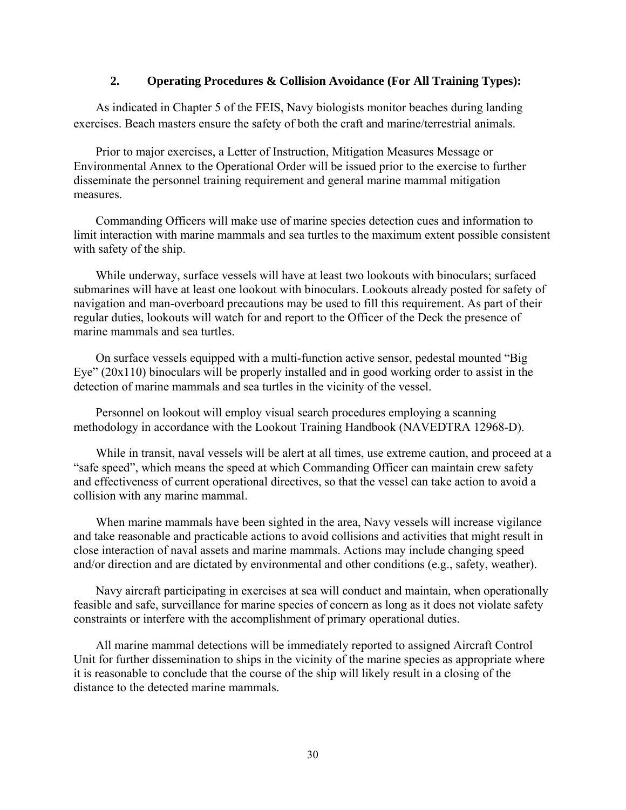# **2. Operating Procedures & Collision Avoidance (For All Training Types):**

As indicated in Chapter 5 of the FEIS, Navy biologists monitor beaches during landing exercises. Beach masters ensure the safety of both the craft and marine/terrestrial animals.

Prior to major exercises, a Letter of Instruction, Mitigation Measures Message or Environmental Annex to the Operational Order will be issued prior to the exercise to further disseminate the personnel training requirement and general marine mammal mitigation measures.

Commanding Officers will make use of marine species detection cues and information to limit interaction with marine mammals and sea turtles to the maximum extent possible consistent with safety of the ship.

While underway, surface vessels will have at least two lookouts with binoculars; surfaced submarines will have at least one lookout with binoculars. Lookouts already posted for safety of navigation and man-overboard precautions may be used to fill this requirement. As part of their regular duties, lookouts will watch for and report to the Officer of the Deck the presence of marine mammals and sea turtles.

On surface vessels equipped with a multi-function active sensor, pedestal mounted "Big Eye" (20x110) binoculars will be properly installed and in good working order to assist in the detection of marine mammals and sea turtles in the vicinity of the vessel.

Personnel on lookout will employ visual search procedures employing a scanning methodology in accordance with the Lookout Training Handbook (NAVEDTRA 12968-D).

While in transit, naval vessels will be alert at all times, use extreme caution, and proceed at a "safe speed", which means the speed at which Commanding Officer can maintain crew safety and effectiveness of current operational directives, so that the vessel can take action to avoid a collision with any marine mammal.

When marine mammals have been sighted in the area, Navy vessels will increase vigilance and take reasonable and practicable actions to avoid collisions and activities that might result in close interaction of naval assets and marine mammals. Actions may include changing speed and/or direction and are dictated by environmental and other conditions (e.g., safety, weather).

Navy aircraft participating in exercises at sea will conduct and maintain, when operationally feasible and safe, surveillance for marine species of concern as long as it does not violate safety constraints or interfere with the accomplishment of primary operational duties.

All marine mammal detections will be immediately reported to assigned Aircraft Control Unit for further dissemination to ships in the vicinity of the marine species as appropriate where it is reasonable to conclude that the course of the ship will likely result in a closing of the distance to the detected marine mammals.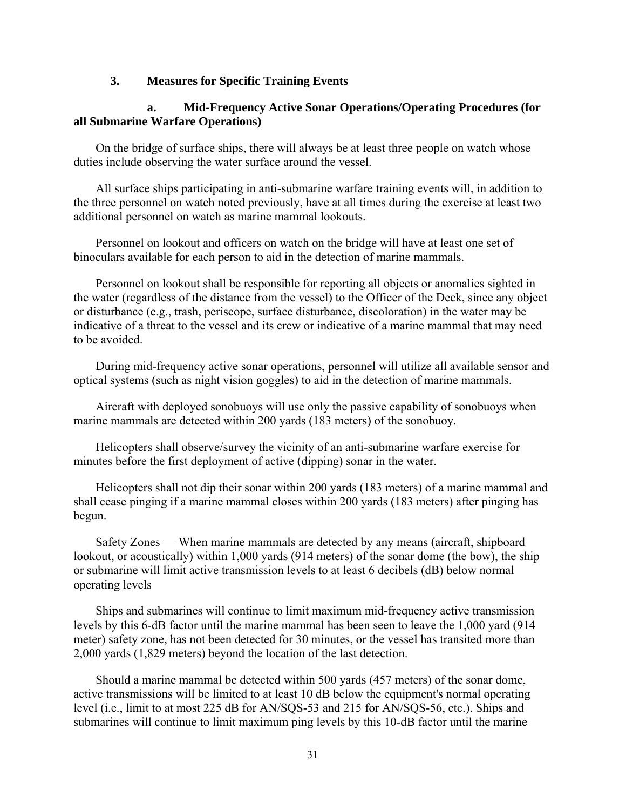# **3. Measures for Specific Training Events**

# **a. Mid-Frequency Active Sonar Operations/Operating Procedures (for all Submarine Warfare Operations)**

On the bridge of surface ships, there will always be at least three people on watch whose duties include observing the water surface around the vessel.

All surface ships participating in anti-submarine warfare training events will, in addition to the three personnel on watch noted previously, have at all times during the exercise at least two additional personnel on watch as marine mammal lookouts.

Personnel on lookout and officers on watch on the bridge will have at least one set of binoculars available for each person to aid in the detection of marine mammals.

Personnel on lookout shall be responsible for reporting all objects or anomalies sighted in the water (regardless of the distance from the vessel) to the Officer of the Deck, since any object or disturbance (e.g., trash, periscope, surface disturbance, discoloration) in the water may be indicative of a threat to the vessel and its crew or indicative of a marine mammal that may need to be avoided.

During mid-frequency active sonar operations, personnel will utilize all available sensor and optical systems (such as night vision goggles) to aid in the detection of marine mammals.

Aircraft with deployed sonobuoys will use only the passive capability of sonobuoys when marine mammals are detected within 200 yards (183 meters) of the sonobuoy.

Helicopters shall observe/survey the vicinity of an anti-submarine warfare exercise for minutes before the first deployment of active (dipping) sonar in the water.

Helicopters shall not dip their sonar within 200 yards (183 meters) of a marine mammal and shall cease pinging if a marine mammal closes within 200 yards (183 meters) after pinging has begun.

Safety Zones — When marine mammals are detected by any means (aircraft, shipboard lookout, or acoustically) within 1,000 yards (914 meters) of the sonar dome (the bow), the ship or submarine will limit active transmission levels to at least 6 decibels (dB) below normal operating levels

Ships and submarines will continue to limit maximum mid-frequency active transmission levels by this 6-dB factor until the marine mammal has been seen to leave the 1,000 yard (914 meter) safety zone, has not been detected for 30 minutes, or the vessel has transited more than 2,000 yards (1,829 meters) beyond the location of the last detection.

Should a marine mammal be detected within 500 yards (457 meters) of the sonar dome, active transmissions will be limited to at least 10 dB below the equipment's normal operating level (i.e., limit to at most 225 dB for AN/SQS-53 and 215 for AN/SQS-56, etc.). Ships and submarines will continue to limit maximum ping levels by this 10-dB factor until the marine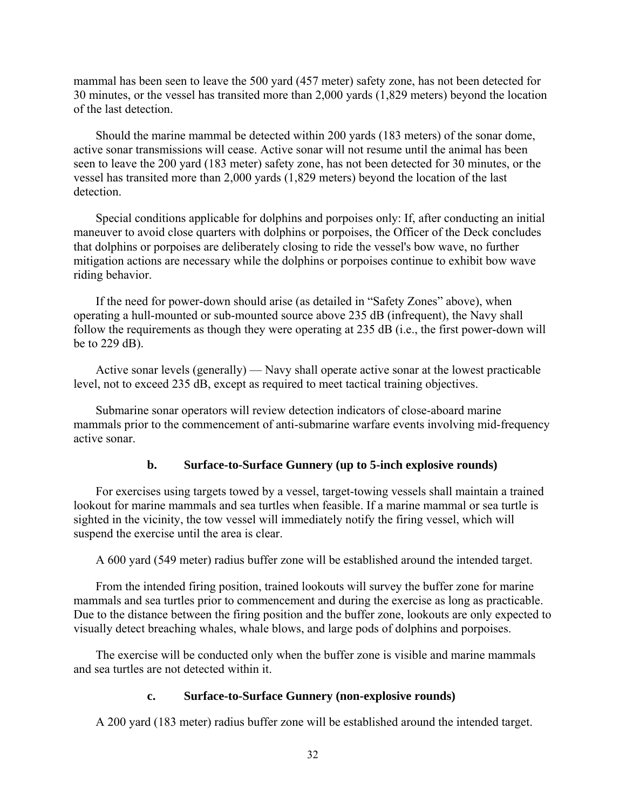mammal has been seen to leave the 500 yard (457 meter) safety zone, has not been detected for 30 minutes, or the vessel has transited more than 2,000 yards (1,829 meters) beyond the location of the last detection.

Should the marine mammal be detected within 200 yards (183 meters) of the sonar dome, active sonar transmissions will cease. Active sonar will not resume until the animal has been seen to leave the 200 yard (183 meter) safety zone, has not been detected for 30 minutes, or the vessel has transited more than 2,000 yards (1,829 meters) beyond the location of the last detection.

Special conditions applicable for dolphins and porpoises only: If, after conducting an initial maneuver to avoid close quarters with dolphins or porpoises, the Officer of the Deck concludes that dolphins or porpoises are deliberately closing to ride the vessel's bow wave, no further mitigation actions are necessary while the dolphins or porpoises continue to exhibit bow wave riding behavior.

If the need for power-down should arise (as detailed in "Safety Zones" above), when operating a hull-mounted or sub-mounted source above 235 dB (infrequent), the Navy shall follow the requirements as though they were operating at 235 dB (i.e., the first power-down will be to 229 dB).

Active sonar levels (generally) — Navy shall operate active sonar at the lowest practicable level, not to exceed 235 dB, except as required to meet tactical training objectives.

Submarine sonar operators will review detection indicators of close-aboard marine mammals prior to the commencement of anti-submarine warfare events involving mid-frequency active sonar.

# **b. Surface-to-Surface Gunnery (up to 5-inch explosive rounds)**

For exercises using targets towed by a vessel, target-towing vessels shall maintain a trained lookout for marine mammals and sea turtles when feasible. If a marine mammal or sea turtle is sighted in the vicinity, the tow vessel will immediately notify the firing vessel, which will suspend the exercise until the area is clear.

A 600 yard (549 meter) radius buffer zone will be established around the intended target.

From the intended firing position, trained lookouts will survey the buffer zone for marine mammals and sea turtles prior to commencement and during the exercise as long as practicable. Due to the distance between the firing position and the buffer zone, lookouts are only expected to visually detect breaching whales, whale blows, and large pods of dolphins and porpoises.

The exercise will be conducted only when the buffer zone is visible and marine mammals and sea turtles are not detected within it.

# **c. Surface-to-Surface Gunnery (non-explosive rounds)**

A 200 yard (183 meter) radius buffer zone will be established around the intended target.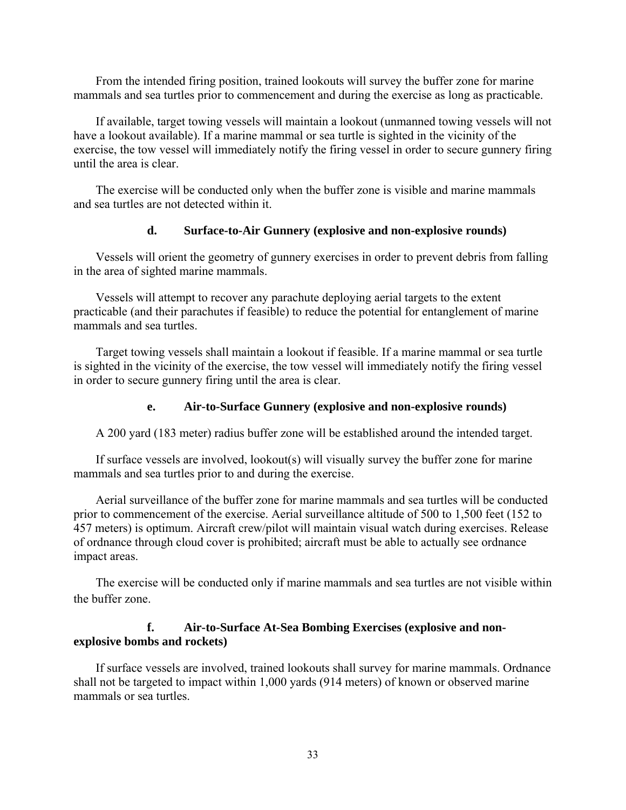From the intended firing position, trained lookouts will survey the buffer zone for marine mammals and sea turtles prior to commencement and during the exercise as long as practicable.

If available, target towing vessels will maintain a lookout (unmanned towing vessels will not have a lookout available). If a marine mammal or sea turtle is sighted in the vicinity of the exercise, the tow vessel will immediately notify the firing vessel in order to secure gunnery firing until the area is clear.

The exercise will be conducted only when the buffer zone is visible and marine mammals and sea turtles are not detected within it.

# **d. Surface-to-Air Gunnery (explosive and non-explosive rounds)**

Vessels will orient the geometry of gunnery exercises in order to prevent debris from falling in the area of sighted marine mammals.

Vessels will attempt to recover any parachute deploying aerial targets to the extent practicable (and their parachutes if feasible) to reduce the potential for entanglement of marine mammals and sea turtles.

Target towing vessels shall maintain a lookout if feasible. If a marine mammal or sea turtle is sighted in the vicinity of the exercise, the tow vessel will immediately notify the firing vessel in order to secure gunnery firing until the area is clear.

#### **e. Air-to-Surface Gunnery (explosive and non-explosive rounds)**

A 200 yard (183 meter) radius buffer zone will be established around the intended target.

If surface vessels are involved, lookout(s) will visually survey the buffer zone for marine mammals and sea turtles prior to and during the exercise.

Aerial surveillance of the buffer zone for marine mammals and sea turtles will be conducted prior to commencement of the exercise. Aerial surveillance altitude of 500 to 1,500 feet (152 to 457 meters) is optimum. Aircraft crew/pilot will maintain visual watch during exercises. Release of ordnance through cloud cover is prohibited; aircraft must be able to actually see ordnance impact areas.

The exercise will be conducted only if marine mammals and sea turtles are not visible within the buffer zone.

## **f. Air-to-Surface At-Sea Bombing Exercises (explosive and nonexplosive bombs and rockets)**

If surface vessels are involved, trained lookouts shall survey for marine mammals. Ordnance shall not be targeted to impact within 1,000 yards (914 meters) of known or observed marine mammals or sea turtles.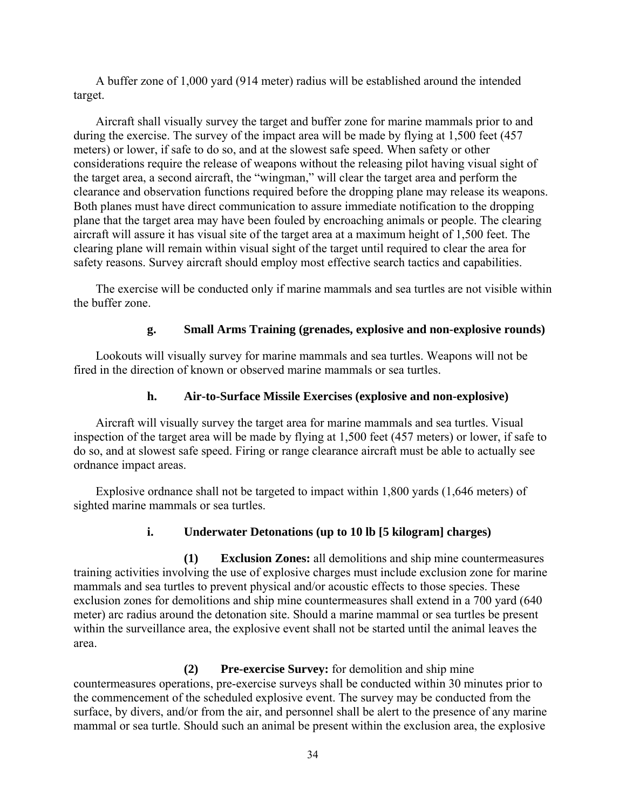A buffer zone of 1,000 yard (914 meter) radius will be established around the intended target.

Aircraft shall visually survey the target and buffer zone for marine mammals prior to and during the exercise. The survey of the impact area will be made by flying at 1,500 feet (457 meters) or lower, if safe to do so, and at the slowest safe speed. When safety or other considerations require the release of weapons without the releasing pilot having visual sight of the target area, a second aircraft, the "wingman," will clear the target area and perform the clearance and observation functions required before the dropping plane may release its weapons. Both planes must have direct communication to assure immediate notification to the dropping plane that the target area may have been fouled by encroaching animals or people. The clearing aircraft will assure it has visual site of the target area at a maximum height of 1,500 feet. The clearing plane will remain within visual sight of the target until required to clear the area for safety reasons. Survey aircraft should employ most effective search tactics and capabilities.

The exercise will be conducted only if marine mammals and sea turtles are not visible within the buffer zone.

# **g. Small Arms Training (grenades, explosive and non-explosive rounds)**

Lookouts will visually survey for marine mammals and sea turtles. Weapons will not be fired in the direction of known or observed marine mammals or sea turtles.

# **h. Air-to-Surface Missile Exercises (explosive and non-explosive)**

Aircraft will visually survey the target area for marine mammals and sea turtles. Visual inspection of the target area will be made by flying at 1,500 feet (457 meters) or lower, if safe to do so, and at slowest safe speed. Firing or range clearance aircraft must be able to actually see ordnance impact areas.

Explosive ordnance shall not be targeted to impact within 1,800 yards (1,646 meters) of sighted marine mammals or sea turtles.

# **i. Underwater Detonations (up to 10 lb [5 kilogram] charges)**

**(1) Exclusion Zones:** all demolitions and ship mine countermeasures training activities involving the use of explosive charges must include exclusion zone for marine mammals and sea turtles to prevent physical and/or acoustic effects to those species. These exclusion zones for demolitions and ship mine countermeasures shall extend in a 700 yard (640 meter) arc radius around the detonation site. Should a marine mammal or sea turtles be present within the surveillance area, the explosive event shall not be started until the animal leaves the area.

**(2) Pre-exercise Survey:** for demolition and ship mine countermeasures operations, pre-exercise surveys shall be conducted within 30 minutes prior to the commencement of the scheduled explosive event. The survey may be conducted from the surface, by divers, and/or from the air, and personnel shall be alert to the presence of any marine mammal or sea turtle. Should such an animal be present within the exclusion area, the explosive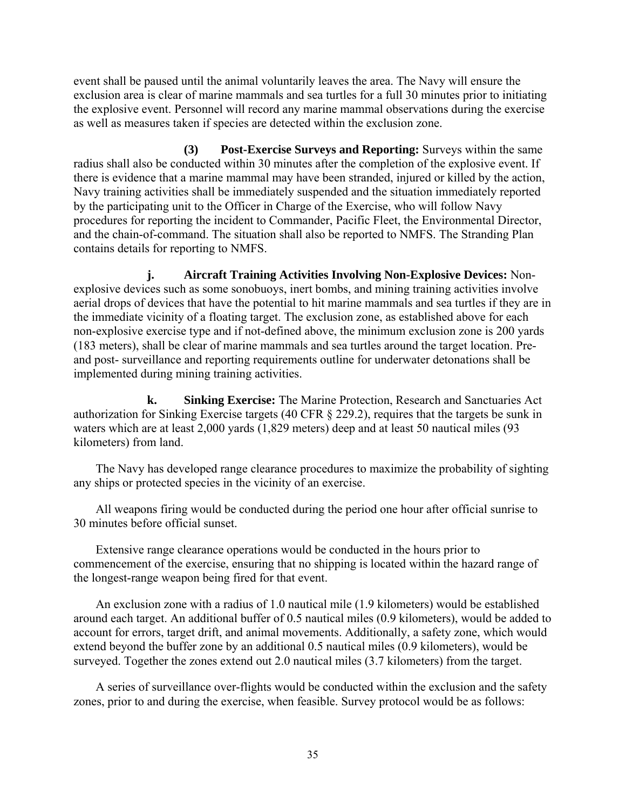event shall be paused until the animal voluntarily leaves the area. The Navy will ensure the exclusion area is clear of marine mammals and sea turtles for a full 30 minutes prior to initiating the explosive event. Personnel will record any marine mammal observations during the exercise as well as measures taken if species are detected within the exclusion zone.

**(3) Post-Exercise Surveys and Reporting:** Surveys within the same radius shall also be conducted within 30 minutes after the completion of the explosive event. If there is evidence that a marine mammal may have been stranded, injured or killed by the action, Navy training activities shall be immediately suspended and the situation immediately reported by the participating unit to the Officer in Charge of the Exercise, who will follow Navy procedures for reporting the incident to Commander, Pacific Fleet, the Environmental Director, and the chain-of-command. The situation shall also be reported to NMFS. The Stranding Plan contains details for reporting to NMFS.

**j. Aircraft Training Activities Involving Non-Explosive Devices:** Nonexplosive devices such as some sonobuoys, inert bombs, and mining training activities involve aerial drops of devices that have the potential to hit marine mammals and sea turtles if they are in the immediate vicinity of a floating target. The exclusion zone, as established above for each non-explosive exercise type and if not-defined above, the minimum exclusion zone is 200 yards (183 meters), shall be clear of marine mammals and sea turtles around the target location. Preand post- surveillance and reporting requirements outline for underwater detonations shall be implemented during mining training activities.

**k. Sinking Exercise:** The Marine Protection, Research and Sanctuaries Act authorization for Sinking Exercise targets (40 CFR § 229.2), requires that the targets be sunk in waters which are at least 2,000 yards (1,829 meters) deep and at least 50 nautical miles (93 kilometers) from land.

The Navy has developed range clearance procedures to maximize the probability of sighting any ships or protected species in the vicinity of an exercise.

All weapons firing would be conducted during the period one hour after official sunrise to 30 minutes before official sunset.

Extensive range clearance operations would be conducted in the hours prior to commencement of the exercise, ensuring that no shipping is located within the hazard range of the longest-range weapon being fired for that event.

An exclusion zone with a radius of 1.0 nautical mile (1.9 kilometers) would be established around each target. An additional buffer of 0.5 nautical miles (0.9 kilometers), would be added to account for errors, target drift, and animal movements. Additionally, a safety zone, which would extend beyond the buffer zone by an additional 0.5 nautical miles (0.9 kilometers), would be surveyed. Together the zones extend out 2.0 nautical miles (3.7 kilometers) from the target.

A series of surveillance over-flights would be conducted within the exclusion and the safety zones, prior to and during the exercise, when feasible. Survey protocol would be as follows: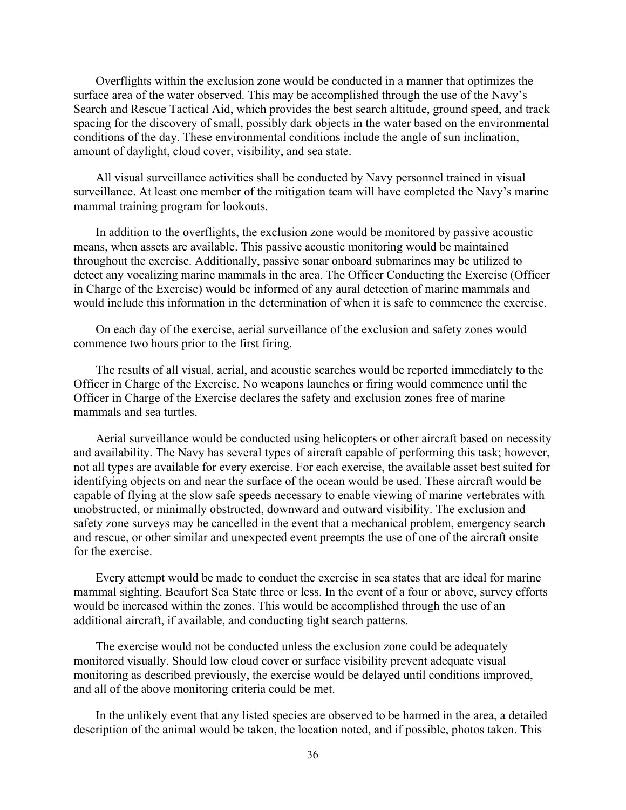Overflights within the exclusion zone would be conducted in a manner that optimizes the surface area of the water observed. This may be accomplished through the use of the Navy's Search and Rescue Tactical Aid, which provides the best search altitude, ground speed, and track spacing for the discovery of small, possibly dark objects in the water based on the environmental conditions of the day. These environmental conditions include the angle of sun inclination, amount of daylight, cloud cover, visibility, and sea state.

All visual surveillance activities shall be conducted by Navy personnel trained in visual surveillance. At least one member of the mitigation team will have completed the Navy's marine mammal training program for lookouts.

In addition to the overflights, the exclusion zone would be monitored by passive acoustic means, when assets are available. This passive acoustic monitoring would be maintained throughout the exercise. Additionally, passive sonar onboard submarines may be utilized to detect any vocalizing marine mammals in the area. The Officer Conducting the Exercise (Officer in Charge of the Exercise) would be informed of any aural detection of marine mammals and would include this information in the determination of when it is safe to commence the exercise.

On each day of the exercise, aerial surveillance of the exclusion and safety zones would commence two hours prior to the first firing.

The results of all visual, aerial, and acoustic searches would be reported immediately to the Officer in Charge of the Exercise. No weapons launches or firing would commence until the Officer in Charge of the Exercise declares the safety and exclusion zones free of marine mammals and sea turtles.

Aerial surveillance would be conducted using helicopters or other aircraft based on necessity and availability. The Navy has several types of aircraft capable of performing this task; however, not all types are available for every exercise. For each exercise, the available asset best suited for identifying objects on and near the surface of the ocean would be used. These aircraft would be capable of flying at the slow safe speeds necessary to enable viewing of marine vertebrates with unobstructed, or minimally obstructed, downward and outward visibility. The exclusion and safety zone surveys may be cancelled in the event that a mechanical problem, emergency search and rescue, or other similar and unexpected event preempts the use of one of the aircraft onsite for the exercise.

Every attempt would be made to conduct the exercise in sea states that are ideal for marine mammal sighting, Beaufort Sea State three or less. In the event of a four or above, survey efforts would be increased within the zones. This would be accomplished through the use of an additional aircraft, if available, and conducting tight search patterns.

The exercise would not be conducted unless the exclusion zone could be adequately monitored visually. Should low cloud cover or surface visibility prevent adequate visual monitoring as described previously, the exercise would be delayed until conditions improved, and all of the above monitoring criteria could be met.

In the unlikely event that any listed species are observed to be harmed in the area, a detailed description of the animal would be taken, the location noted, and if possible, photos taken. This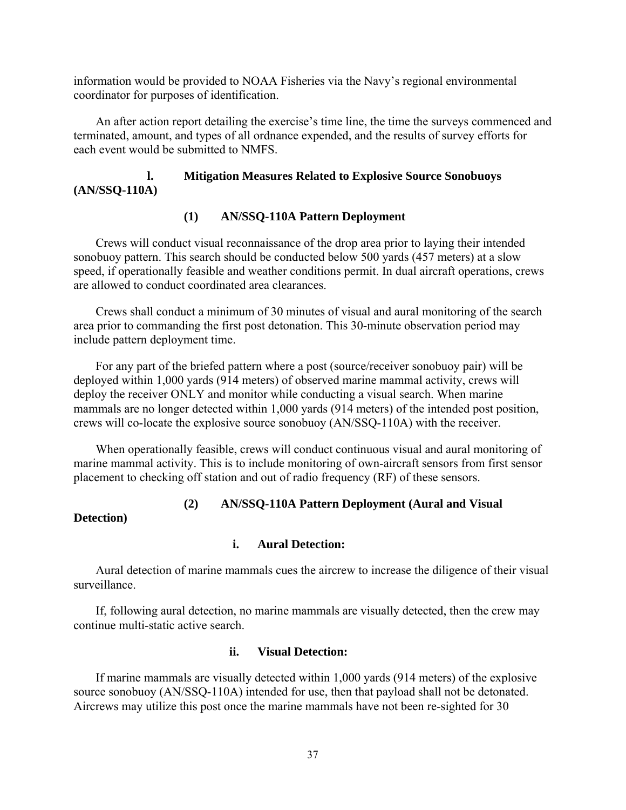information would be provided to NOAA Fisheries via the Navy's regional environmental coordinator for purposes of identification.

An after action report detailing the exercise's time line, the time the surveys commenced and terminated, amount, and types of all ordnance expended, and the results of survey efforts for each event would be submitted to NMFS.

# **l. Mitigation Measures Related to Explosive Source Sonobuoys (AN/SSQ-110A)**

## **(1) AN/SSQ-110A Pattern Deployment**

Crews will conduct visual reconnaissance of the drop area prior to laying their intended sonobuoy pattern. This search should be conducted below 500 yards (457 meters) at a slow speed, if operationally feasible and weather conditions permit. In dual aircraft operations, crews are allowed to conduct coordinated area clearances.

Crews shall conduct a minimum of 30 minutes of visual and aural monitoring of the search area prior to commanding the first post detonation. This 30-minute observation period may include pattern deployment time.

For any part of the briefed pattern where a post (source/receiver sonobuoy pair) will be deployed within 1,000 yards (914 meters) of observed marine mammal activity, crews will deploy the receiver ONLY and monitor while conducting a visual search. When marine mammals are no longer detected within 1,000 yards (914 meters) of the intended post position, crews will co-locate the explosive source sonobuoy (AN/SSQ-110A) with the receiver.

When operationally feasible, crews will conduct continuous visual and aural monitoring of marine mammal activity. This is to include monitoring of own-aircraft sensors from first sensor placement to checking off station and out of radio frequency (RF) of these sensors.

# **(2) AN/SSQ-110A Pattern Deployment (Aural and Visual**

**Detection)** 

#### **i. Aural Detection:**

Aural detection of marine mammals cues the aircrew to increase the diligence of their visual surveillance.

If, following aural detection, no marine mammals are visually detected, then the crew may continue multi-static active search.

#### **ii. Visual Detection:**

If marine mammals are visually detected within 1,000 yards (914 meters) of the explosive source sonobuoy (AN/SSQ-110A) intended for use, then that payload shall not be detonated. Aircrews may utilize this post once the marine mammals have not been re-sighted for 30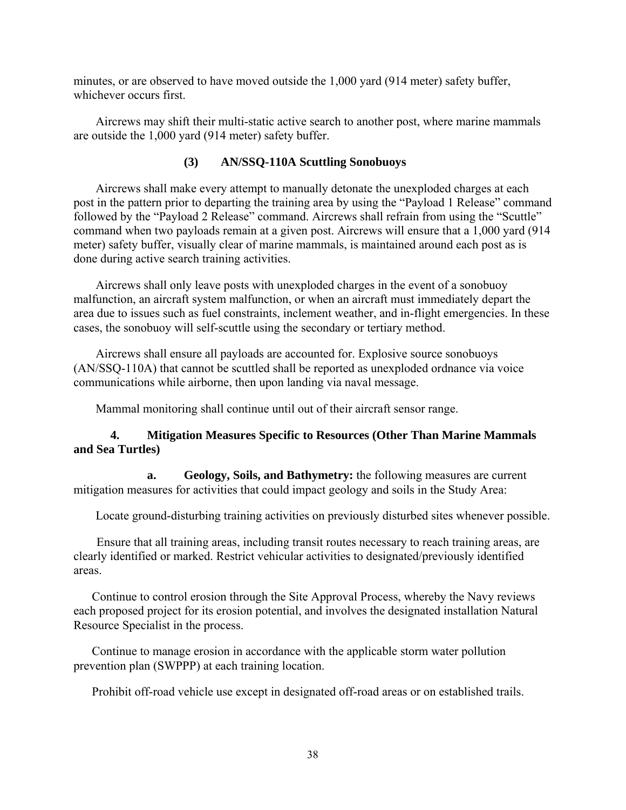minutes, or are observed to have moved outside the 1,000 yard (914 meter) safety buffer, whichever occurs first.

Aircrews may shift their multi-static active search to another post, where marine mammals are outside the 1,000 yard (914 meter) safety buffer.

# **(3) AN/SSQ-110A Scuttling Sonobuoys**

Aircrews shall make every attempt to manually detonate the unexploded charges at each post in the pattern prior to departing the training area by using the "Payload 1 Release" command followed by the "Payload 2 Release" command. Aircrews shall refrain from using the "Scuttle" command when two payloads remain at a given post. Aircrews will ensure that a 1,000 yard (914 meter) safety buffer, visually clear of marine mammals, is maintained around each post as is done during active search training activities.

Aircrews shall only leave posts with unexploded charges in the event of a sonobuoy malfunction, an aircraft system malfunction, or when an aircraft must immediately depart the area due to issues such as fuel constraints, inclement weather, and in-flight emergencies. In these cases, the sonobuoy will self-scuttle using the secondary or tertiary method.

Aircrews shall ensure all payloads are accounted for. Explosive source sonobuoys (AN/SSQ-110A) that cannot be scuttled shall be reported as unexploded ordnance via voice communications while airborne, then upon landing via naval message.

Mammal monitoring shall continue until out of their aircraft sensor range.

# **4. Mitigation Measures Specific to Resources (Other Than Marine Mammals and Sea Turtles)**

**a. Geology, Soils, and Bathymetry:** the following measures are current mitigation measures for activities that could impact geology and soils in the Study Area:

Locate ground-disturbing training activities on previously disturbed sites whenever possible.

Ensure that all training areas, including transit routes necessary to reach training areas, are clearly identified or marked. Restrict vehicular activities to designated/previously identified areas.

Continue to control erosion through the Site Approval Process, whereby the Navy reviews each proposed project for its erosion potential, and involves the designated installation Natural Resource Specialist in the process.

Continue to manage erosion in accordance with the applicable storm water pollution prevention plan (SWPPP) at each training location.

Prohibit off-road vehicle use except in designated off-road areas or on established trails.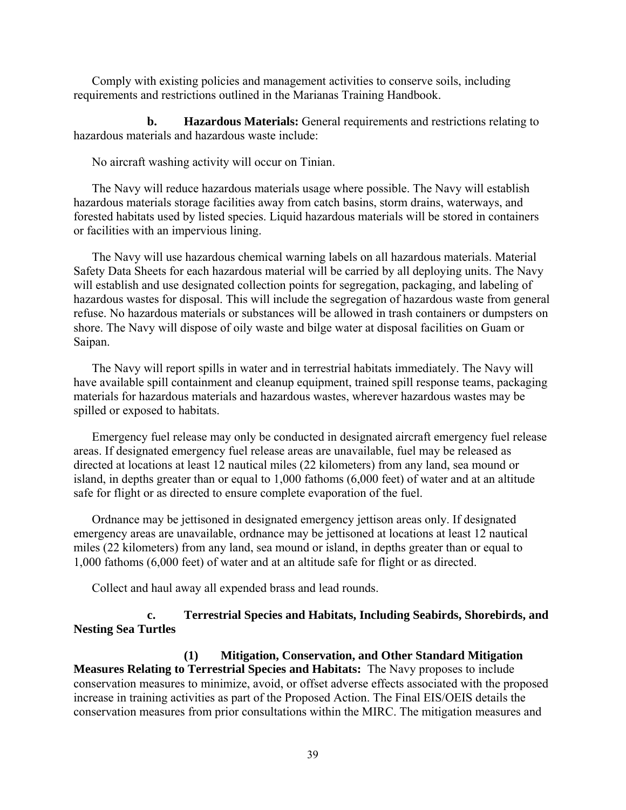Comply with existing policies and management activities to conserve soils, including requirements and restrictions outlined in the Marianas Training Handbook.

**b. Hazardous Materials:** General requirements and restrictions relating to hazardous materials and hazardous waste include:

No aircraft washing activity will occur on Tinian.

The Navy will reduce hazardous materials usage where possible. The Navy will establish hazardous materials storage facilities away from catch basins, storm drains, waterways, and forested habitats used by listed species. Liquid hazardous materials will be stored in containers or facilities with an impervious lining.

The Navy will use hazardous chemical warning labels on all hazardous materials. Material Safety Data Sheets for each hazardous material will be carried by all deploying units. The Navy will establish and use designated collection points for segregation, packaging, and labeling of hazardous wastes for disposal. This will include the segregation of hazardous waste from general refuse. No hazardous materials or substances will be allowed in trash containers or dumpsters on shore. The Navy will dispose of oily waste and bilge water at disposal facilities on Guam or Saipan.

The Navy will report spills in water and in terrestrial habitats immediately. The Navy will have available spill containment and cleanup equipment, trained spill response teams, packaging materials for hazardous materials and hazardous wastes, wherever hazardous wastes may be spilled or exposed to habitats.

Emergency fuel release may only be conducted in designated aircraft emergency fuel release areas. If designated emergency fuel release areas are unavailable, fuel may be released as directed at locations at least 12 nautical miles (22 kilometers) from any land, sea mound or island, in depths greater than or equal to 1,000 fathoms (6,000 feet) of water and at an altitude safe for flight or as directed to ensure complete evaporation of the fuel.

Ordnance may be jettisoned in designated emergency jettison areas only. If designated emergency areas are unavailable, ordnance may be jettisoned at locations at least 12 nautical miles (22 kilometers) from any land, sea mound or island, in depths greater than or equal to 1,000 fathoms (6,000 feet) of water and at an altitude safe for flight or as directed.

Collect and haul away all expended brass and lead rounds.

# **c. Terrestrial Species and Habitats, Including Seabirds, Shorebirds, and Nesting Sea Turtles**

**(1) Mitigation, Conservation, and Other Standard Mitigation Measures Relating to Terrestrial Species and Habitats:** The Navy proposes to include conservation measures to minimize, avoid, or offset adverse effects associated with the proposed increase in training activities as part of the Proposed Action. The Final EIS/OEIS details the conservation measures from prior consultations within the MIRC. The mitigation measures and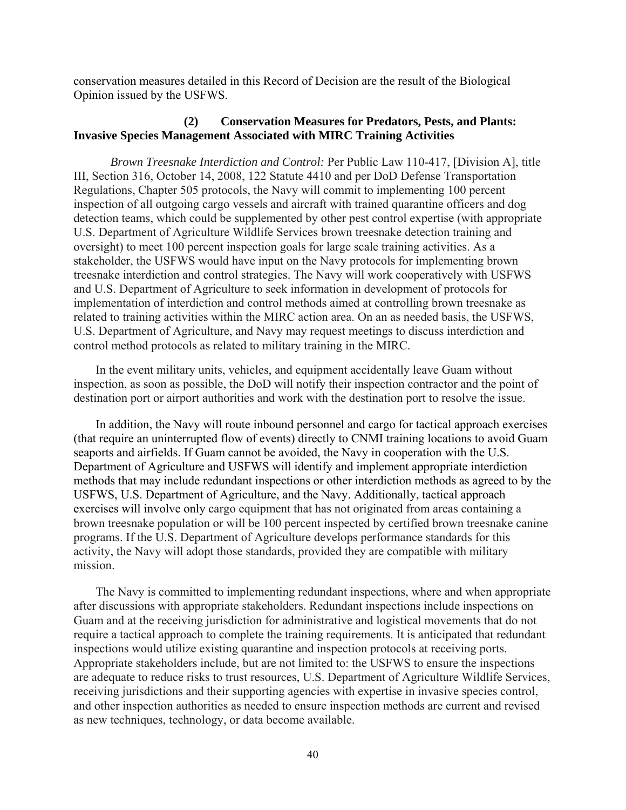conservation measures detailed in this Record of Decision are the result of the Biological Opinion issued by the USFWS.

## **(2) Conservation Measures for Predators, Pests, and Plants: Invasive Species Management Associated with MIRC Training Activities**

*Brown Treesnake Interdiction and Control:* Per Public Law 110-417, [Division A], title III, Section 316, October 14, 2008, 122 Statute 4410 and per DoD Defense Transportation Regulations, Chapter 505 protocols, the Navy will commit to implementing 100 percent inspection of all outgoing cargo vessels and aircraft with trained quarantine officers and dog detection teams, which could be supplemented by other pest control expertise (with appropriate U.S. Department of Agriculture Wildlife Services brown treesnake detection training and oversight) to meet 100 percent inspection goals for large scale training activities. As a stakeholder, the USFWS would have input on the Navy protocols for implementing brown treesnake interdiction and control strategies. The Navy will work cooperatively with USFWS and U.S. Department of Agriculture to seek information in development of protocols for implementation of interdiction and control methods aimed at controlling brown treesnake as related to training activities within the MIRC action area. On an as needed basis, the USFWS, U.S. Department of Agriculture, and Navy may request meetings to discuss interdiction and control method protocols as related to military training in the MIRC.

In the event military units, vehicles, and equipment accidentally leave Guam without inspection, as soon as possible, the DoD will notify their inspection contractor and the point of destination port or airport authorities and work with the destination port to resolve the issue.

In addition, the Navy will route inbound personnel and cargo for tactical approach exercises (that require an uninterrupted flow of events) directly to CNMI training locations to avoid Guam seaports and airfields. If Guam cannot be avoided, the Navy in cooperation with the U.S. Department of Agriculture and USFWS will identify and implement appropriate interdiction methods that may include redundant inspections or other interdiction methods as agreed to by the USFWS, U.S. Department of Agriculture, and the Navy. Additionally, tactical approach exercises will involve only cargo equipment that has not originated from areas containing a brown treesnake population or will be 100 percent inspected by certified brown treesnake canine programs. If the U.S. Department of Agriculture develops performance standards for this activity, the Navy will adopt those standards, provided they are compatible with military mission.

The Navy is committed to implementing redundant inspections, where and when appropriate after discussions with appropriate stakeholders. Redundant inspections include inspections on Guam and at the receiving jurisdiction for administrative and logistical movements that do not require a tactical approach to complete the training requirements. It is anticipated that redundant inspections would utilize existing quarantine and inspection protocols at receiving ports. Appropriate stakeholders include, but are not limited to: the USFWS to ensure the inspections are adequate to reduce risks to trust resources, U.S. Department of Agriculture Wildlife Services, receiving jurisdictions and their supporting agencies with expertise in invasive species control, and other inspection authorities as needed to ensure inspection methods are current and revised as new techniques, technology, or data become available.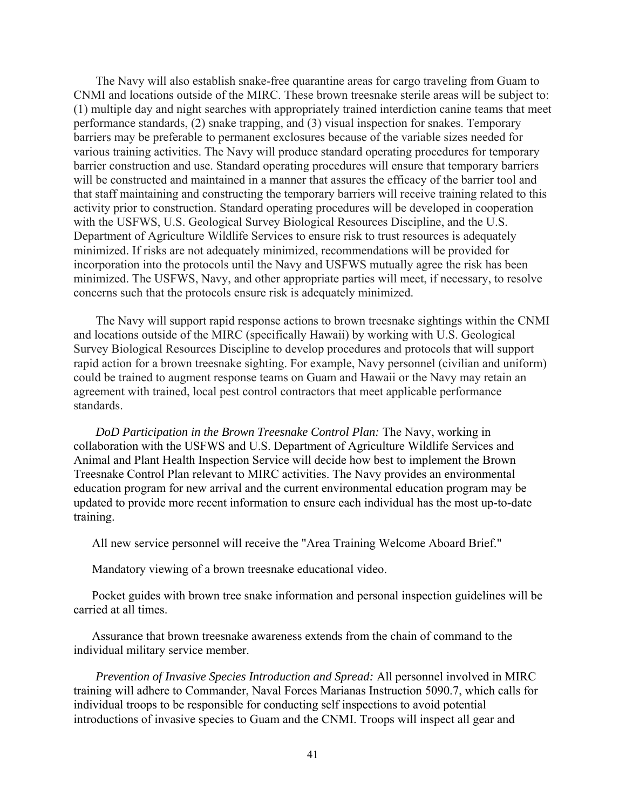The Navy will also establish snake-free quarantine areas for cargo traveling from Guam to CNMI and locations outside of the MIRC. These brown treesnake sterile areas will be subject to: (1) multiple day and night searches with appropriately trained interdiction canine teams that meet performance standards, (2) snake trapping, and (3) visual inspection for snakes. Temporary barriers may be preferable to permanent exclosures because of the variable sizes needed for various training activities. The Navy will produce standard operating procedures for temporary barrier construction and use. Standard operating procedures will ensure that temporary barriers will be constructed and maintained in a manner that assures the efficacy of the barrier tool and that staff maintaining and constructing the temporary barriers will receive training related to this activity prior to construction. Standard operating procedures will be developed in cooperation with the USFWS, U.S. Geological Survey Biological Resources Discipline, and the U.S. Department of Agriculture Wildlife Services to ensure risk to trust resources is adequately minimized. If risks are not adequately minimized, recommendations will be provided for incorporation into the protocols until the Navy and USFWS mutually agree the risk has been minimized. The USFWS, Navy, and other appropriate parties will meet, if necessary, to resolve concerns such that the protocols ensure risk is adequately minimized.

The Navy will support rapid response actions to brown treesnake sightings within the CNMI and locations outside of the MIRC (specifically Hawaii) by working with U.S. Geological Survey Biological Resources Discipline to develop procedures and protocols that will support rapid action for a brown treesnake sighting. For example, Navy personnel (civilian and uniform) could be trained to augment response teams on Guam and Hawaii or the Navy may retain an agreement with trained, local pest control contractors that meet applicable performance standards.

*DoD Participation in the Brown Treesnake Control Plan:* The Navy, working in collaboration with the USFWS and U.S. Department of Agriculture Wildlife Services and Animal and Plant Health Inspection Service will decide how best to implement the Brown Treesnake Control Plan relevant to MIRC activities. The Navy provides an environmental education program for new arrival and the current environmental education program may be updated to provide more recent information to ensure each individual has the most up-to-date training.

All new service personnel will receive the "Area Training Welcome Aboard Brief."

Mandatory viewing of a brown treesnake educational video.

Pocket guides with brown tree snake information and personal inspection guidelines will be carried at all times.

Assurance that brown treesnake awareness extends from the chain of command to the individual military service member.

*Prevention of Invasive Species Introduction and Spread:* All personnel involved in MIRC training will adhere to Commander, Naval Forces Marianas Instruction 5090.7, which calls for individual troops to be responsible for conducting self inspections to avoid potential introductions of invasive species to Guam and the CNMI. Troops will inspect all gear and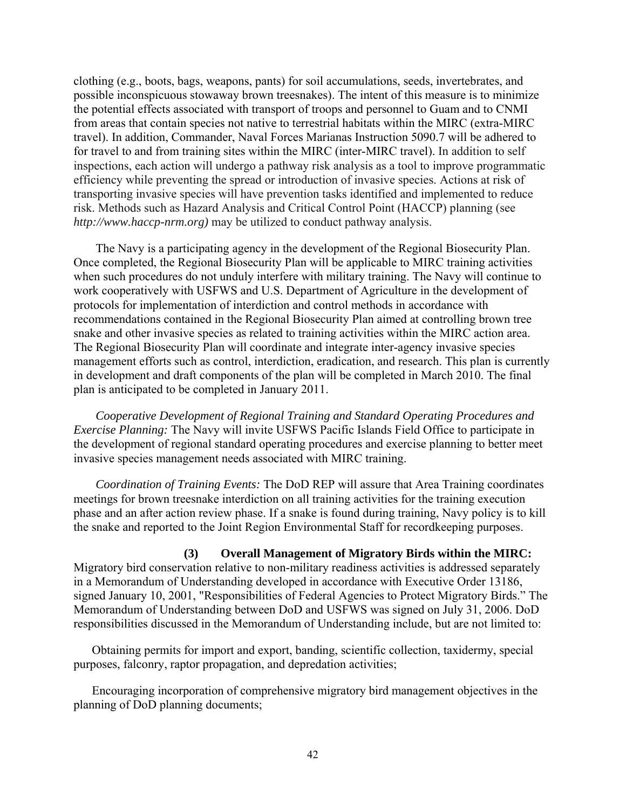clothing (e.g., boots, bags, weapons, pants) for soil accumulations, seeds, invertebrates, and possible inconspicuous stowaway brown treesnakes). The intent of this measure is to minimize the potential effects associated with transport of troops and personnel to Guam and to CNMI from areas that contain species not native to terrestrial habitats within the MIRC (extra-MIRC travel). In addition, Commander, Naval Forces Marianas Instruction 5090.7 will be adhered to for travel to and from training sites within the MIRC (inter-MIRC travel). In addition to self inspections, each action will undergo a pathway risk analysis as a tool to improve programmatic efficiency while preventing the spread or introduction of invasive species. Actions at risk of transporting invasive species will have prevention tasks identified and implemented to reduce risk. Methods such as Hazard Analysis and Critical Control Point (HACCP) planning (see *http://www.haccp-nrm.org)* may be utilized to conduct pathway analysis.

The Navy is a participating agency in the development of the Regional Biosecurity Plan. Once completed, the Regional Biosecurity Plan will be applicable to MIRC training activities when such procedures do not unduly interfere with military training. The Navy will continue to work cooperatively with USFWS and U.S. Department of Agriculture in the development of protocols for implementation of interdiction and control methods in accordance with recommendations contained in the Regional Biosecurity Plan aimed at controlling brown tree snake and other invasive species as related to training activities within the MIRC action area. The Regional Biosecurity Plan will coordinate and integrate inter-agency invasive species management efforts such as control, interdiction, eradication, and research. This plan is currently in development and draft components of the plan will be completed in March 2010. The final plan is anticipated to be completed in January 2011.

*Cooperative Development of Regional Training and Standard Operating Procedures and Exercise Planning:* The Navy will invite USFWS Pacific Islands Field Office to participate in the development of regional standard operating procedures and exercise planning to better meet invasive species management needs associated with MIRC training.

*Coordination of Training Events:* The DoD REP will assure that Area Training coordinates meetings for brown treesnake interdiction on all training activities for the training execution phase and an after action review phase. If a snake is found during training, Navy policy is to kill the snake and reported to the Joint Region Environmental Staff for recordkeeping purposes.

#### **(3) Overall Management of Migratory Birds within the MIRC:**

Migratory bird conservation relative to non-military readiness activities is addressed separately in a Memorandum of Understanding developed in accordance with Executive Order 13186, signed January 10, 2001, "Responsibilities of Federal Agencies to Protect Migratory Birds." The Memorandum of Understanding between DoD and USFWS was signed on July 31, 2006. DoD responsibilities discussed in the Memorandum of Understanding include, but are not limited to:

Obtaining permits for import and export, banding, scientific collection, taxidermy, special purposes, falconry, raptor propagation, and depredation activities;

Encouraging incorporation of comprehensive migratory bird management objectives in the planning of DoD planning documents;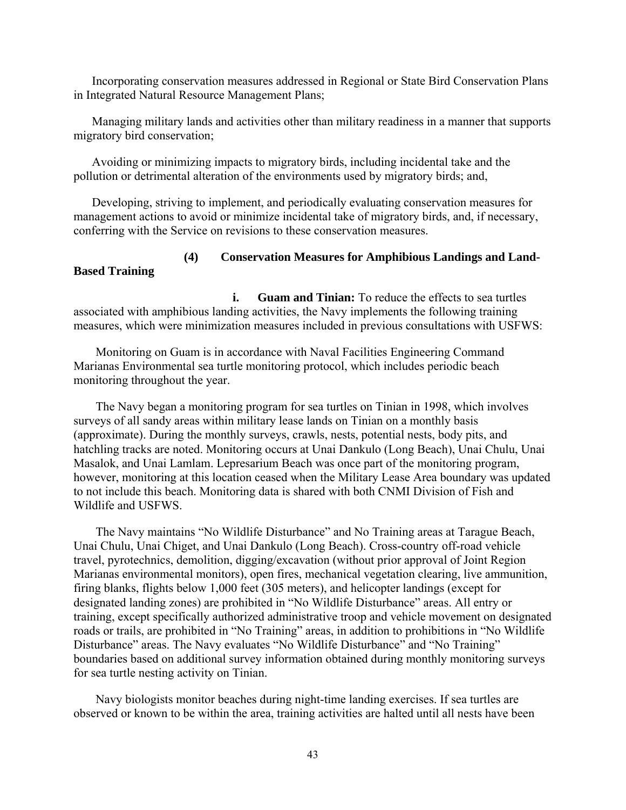Incorporating conservation measures addressed in Regional or State Bird Conservation Plans in Integrated Natural Resource Management Plans;

Managing military lands and activities other than military readiness in a manner that supports migratory bird conservation;

Avoiding or minimizing impacts to migratory birds, including incidental take and the pollution or detrimental alteration of the environments used by migratory birds; and,

Developing, striving to implement, and periodically evaluating conservation measures for management actions to avoid or minimize incidental take of migratory birds, and, if necessary, conferring with the Service on revisions to these conservation measures.

# **(4) Conservation Measures for Amphibious Landings and Land-**

**i. Guam and Tinian:** To reduce the effects to sea turtles associated with amphibious landing activities, the Navy implements the following training measures, which were minimization measures included in previous consultations with USFWS:

Monitoring on Guam is in accordance with Naval Facilities Engineering Command Marianas Environmental sea turtle monitoring protocol, which includes periodic beach monitoring throughout the year.

**Based Training**

The Navy began a monitoring program for sea turtles on Tinian in 1998, which involves surveys of all sandy areas within military lease lands on Tinian on a monthly basis (approximate). During the monthly surveys, crawls, nests, potential nests, body pits, and hatchling tracks are noted. Monitoring occurs at Unai Dankulo (Long Beach), Unai Chulu, Unai Masalok, and Unai Lamlam. Lepresarium Beach was once part of the monitoring program, however, monitoring at this location ceased when the Military Lease Area boundary was updated to not include this beach. Monitoring data is shared with both CNMI Division of Fish and Wildlife and USFWS.

The Navy maintains "No Wildlife Disturbance" and No Training areas at Tarague Beach, Unai Chulu, Unai Chiget, and Unai Dankulo (Long Beach). Cross-country off-road vehicle travel, pyrotechnics, demolition, digging/excavation (without prior approval of Joint Region Marianas environmental monitors), open fires, mechanical vegetation clearing, live ammunition, firing blanks, flights below 1,000 feet (305 meters), and helicopter landings (except for designated landing zones) are prohibited in "No Wildlife Disturbance" areas. All entry or training, except specifically authorized administrative troop and vehicle movement on designated roads or trails, are prohibited in "No Training" areas, in addition to prohibitions in "No Wildlife Disturbance" areas. The Navy evaluates "No Wildlife Disturbance" and "No Training" boundaries based on additional survey information obtained during monthly monitoring surveys for sea turtle nesting activity on Tinian.

Navy biologists monitor beaches during night-time landing exercises. If sea turtles are observed or known to be within the area, training activities are halted until all nests have been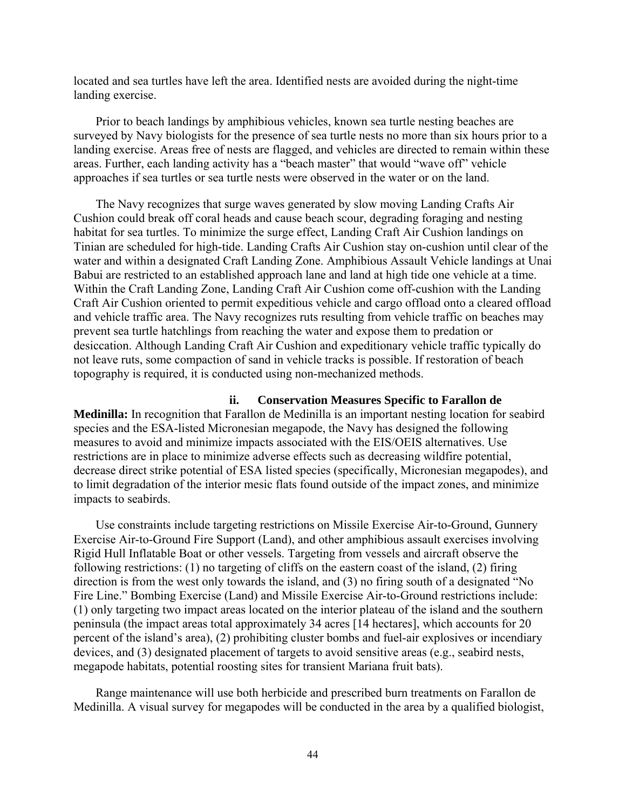located and sea turtles have left the area. Identified nests are avoided during the night-time landing exercise.

Prior to beach landings by amphibious vehicles, known sea turtle nesting beaches are surveyed by Navy biologists for the presence of sea turtle nests no more than six hours prior to a landing exercise. Areas free of nests are flagged, and vehicles are directed to remain within these areas. Further, each landing activity has a "beach master" that would "wave off" vehicle approaches if sea turtles or sea turtle nests were observed in the water or on the land.

The Navy recognizes that surge waves generated by slow moving Landing Crafts Air Cushion could break off coral heads and cause beach scour, degrading foraging and nesting habitat for sea turtles. To minimize the surge effect, Landing Craft Air Cushion landings on Tinian are scheduled for high-tide. Landing Crafts Air Cushion stay on-cushion until clear of the water and within a designated Craft Landing Zone. Amphibious Assault Vehicle landings at Unai Babui are restricted to an established approach lane and land at high tide one vehicle at a time. Within the Craft Landing Zone, Landing Craft Air Cushion come off-cushion with the Landing Craft Air Cushion oriented to permit expeditious vehicle and cargo offload onto a cleared offload and vehicle traffic area. The Navy recognizes ruts resulting from vehicle traffic on beaches may prevent sea turtle hatchlings from reaching the water and expose them to predation or desiccation. Although Landing Craft Air Cushion and expeditionary vehicle traffic typically do not leave ruts, some compaction of sand in vehicle tracks is possible. If restoration of beach topography is required, it is conducted using non-mechanized methods.

#### **ii. Conservation Measures Specific to Farallon de**

**Medinilla:** In recognition that Farallon de Medinilla is an important nesting location for seabird species and the ESA-listed Micronesian megapode, the Navy has designed the following measures to avoid and minimize impacts associated with the EIS/OEIS alternatives. Use restrictions are in place to minimize adverse effects such as decreasing wildfire potential, decrease direct strike potential of ESA listed species (specifically, Micronesian megapodes), and to limit degradation of the interior mesic flats found outside of the impact zones, and minimize impacts to seabirds.

Use constraints include targeting restrictions on Missile Exercise Air-to-Ground, Gunnery Exercise Air-to-Ground Fire Support (Land), and other amphibious assault exercises involving Rigid Hull Inflatable Boat or other vessels. Targeting from vessels and aircraft observe the following restrictions: (1) no targeting of cliffs on the eastern coast of the island, (2) firing direction is from the west only towards the island, and (3) no firing south of a designated "No Fire Line." Bombing Exercise (Land) and Missile Exercise Air-to-Ground restrictions include: (1) only targeting two impact areas located on the interior plateau of the island and the southern peninsula (the impact areas total approximately 34 acres [14 hectares], which accounts for 20 percent of the island's area), (2) prohibiting cluster bombs and fuel-air explosives or incendiary devices, and (3) designated placement of targets to avoid sensitive areas (e.g., seabird nests, megapode habitats, potential roosting sites for transient Mariana fruit bats).

Range maintenance will use both herbicide and prescribed burn treatments on Farallon de Medinilla. A visual survey for megapodes will be conducted in the area by a qualified biologist,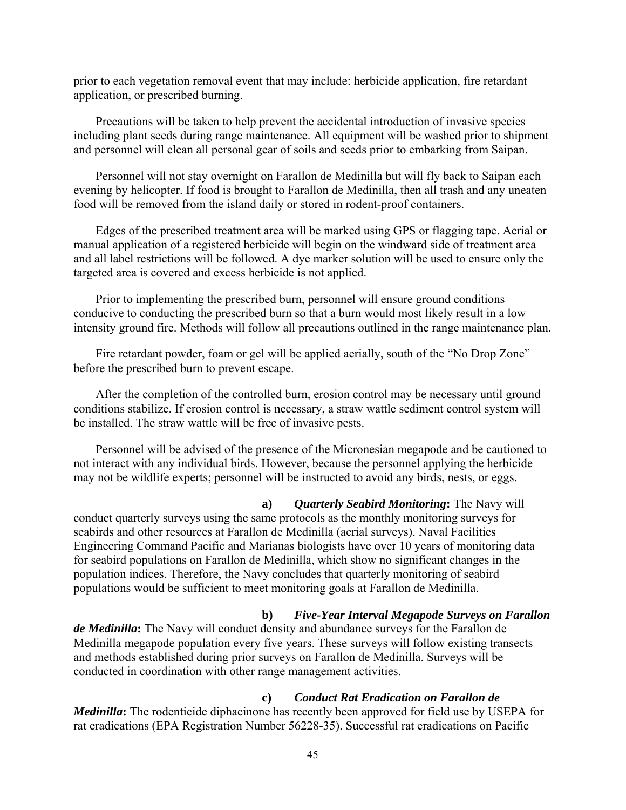prior to each vegetation removal event that may include: herbicide application, fire retardant application, or prescribed burning.

Precautions will be taken to help prevent the accidental introduction of invasive species including plant seeds during range maintenance. All equipment will be washed prior to shipment and personnel will clean all personal gear of soils and seeds prior to embarking from Saipan.

Personnel will not stay overnight on Farallon de Medinilla but will fly back to Saipan each evening by helicopter. If food is brought to Farallon de Medinilla, then all trash and any uneaten food will be removed from the island daily or stored in rodent-proof containers.

Edges of the prescribed treatment area will be marked using GPS or flagging tape. Aerial or manual application of a registered herbicide will begin on the windward side of treatment area and all label restrictions will be followed. A dye marker solution will be used to ensure only the targeted area is covered and excess herbicide is not applied.

Prior to implementing the prescribed burn, personnel will ensure ground conditions conducive to conducting the prescribed burn so that a burn would most likely result in a low intensity ground fire. Methods will follow all precautions outlined in the range maintenance plan.

Fire retardant powder, foam or gel will be applied aerially, south of the "No Drop Zone" before the prescribed burn to prevent escape.

After the completion of the controlled burn, erosion control may be necessary until ground conditions stabilize. If erosion control is necessary, a straw wattle sediment control system will be installed. The straw wattle will be free of invasive pests.

Personnel will be advised of the presence of the Micronesian megapode and be cautioned to not interact with any individual birds. However, because the personnel applying the herbicide may not be wildlife experts; personnel will be instructed to avoid any birds, nests, or eggs.

**a)** *Quarterly Seabird Monitoring***:** The Navy will conduct quarterly surveys using the same protocols as the monthly monitoring surveys for seabirds and other resources at Farallon de Medinilla (aerial surveys). Naval Facilities Engineering Command Pacific and Marianas biologists have over 10 years of monitoring data for seabird populations on Farallon de Medinilla, which show no significant changes in the population indices. Therefore, the Navy concludes that quarterly monitoring of seabird populations would be sufficient to meet monitoring goals at Farallon de Medinilla.

#### **b)** *Five-Year Interval Megapode Surveys on Farallon*

*de Medinilla***:** The Navy will conduct density and abundance surveys for the Farallon de Medinilla megapode population every five years. These surveys will follow existing transects and methods established during prior surveys on Farallon de Medinilla. Surveys will be conducted in coordination with other range management activities.

# **c)** *Conduct Rat Eradication on Farallon de*

*Medinilla*: The rodenticide diphacinone has recently been approved for field use by USEPA for rat eradications (EPA Registration Number 56228-35). Successful rat eradications on Pacific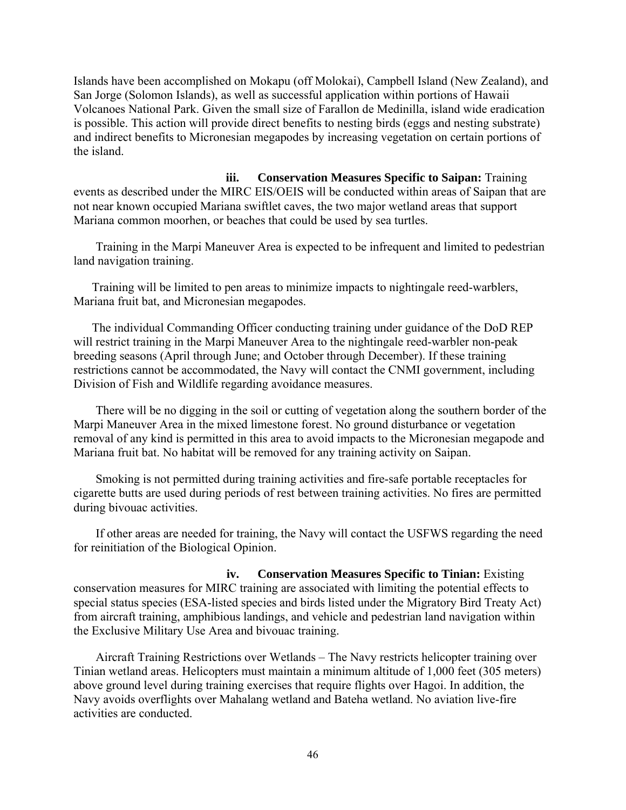Islands have been accomplished on Mokapu (off Molokai), Campbell Island (New Zealand), and San Jorge (Solomon Islands), as well as successful application within portions of Hawaii Volcanoes National Park. Given the small size of Farallon de Medinilla, island wide eradication is possible. This action will provide direct benefits to nesting birds (eggs and nesting substrate) and indirect benefits to Micronesian megapodes by increasing vegetation on certain portions of the island.

**iii. Conservation Measures Specific to Saipan:** Training events as described under the MIRC EIS/OEIS will be conducted within areas of Saipan that are not near known occupied Mariana swiftlet caves, the two major wetland areas that support Mariana common moorhen, or beaches that could be used by sea turtles.

Training in the Marpi Maneuver Area is expected to be infrequent and limited to pedestrian land navigation training.

Training will be limited to pen areas to minimize impacts to nightingale reed-warblers, Mariana fruit bat, and Micronesian megapodes.

The individual Commanding Officer conducting training under guidance of the DoD REP will restrict training in the Marpi Maneuver Area to the nightingale reed-warbler non-peak breeding seasons (April through June; and October through December). If these training restrictions cannot be accommodated, the Navy will contact the CNMI government, including Division of Fish and Wildlife regarding avoidance measures.

There will be no digging in the soil or cutting of vegetation along the southern border of the Marpi Maneuver Area in the mixed limestone forest. No ground disturbance or vegetation removal of any kind is permitted in this area to avoid impacts to the Micronesian megapode and Mariana fruit bat. No habitat will be removed for any training activity on Saipan.

Smoking is not permitted during training activities and fire-safe portable receptacles for cigarette butts are used during periods of rest between training activities. No fires are permitted during bivouac activities.

If other areas are needed for training, the Navy will contact the USFWS regarding the need for reinitiation of the Biological Opinion.

**iv. Conservation Measures Specific to Tinian:** Existing conservation measures for MIRC training are associated with limiting the potential effects to special status species (ESA-listed species and birds listed under the Migratory Bird Treaty Act) from aircraft training, amphibious landings, and vehicle and pedestrian land navigation within the Exclusive Military Use Area and bivouac training.

Aircraft Training Restrictions over Wetlands – The Navy restricts helicopter training over Tinian wetland areas. Helicopters must maintain a minimum altitude of 1,000 feet (305 meters) above ground level during training exercises that require flights over Hagoi. In addition, the Navy avoids overflights over Mahalang wetland and Bateha wetland. No aviation live-fire activities are conducted.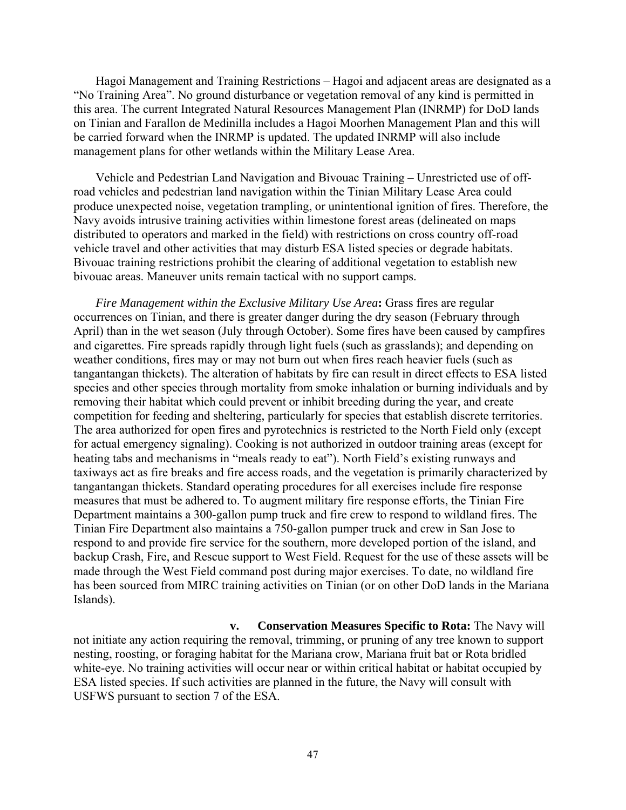Hagoi Management and Training Restrictions – Hagoi and adjacent areas are designated as a "No Training Area". No ground disturbance or vegetation removal of any kind is permitted in this area. The current Integrated Natural Resources Management Plan (INRMP) for DoD lands on Tinian and Farallon de Medinilla includes a Hagoi Moorhen Management Plan and this will be carried forward when the INRMP is updated. The updated INRMP will also include management plans for other wetlands within the Military Lease Area.

Vehicle and Pedestrian Land Navigation and Bivouac Training – Unrestricted use of offroad vehicles and pedestrian land navigation within the Tinian Military Lease Area could produce unexpected noise, vegetation trampling, or unintentional ignition of fires. Therefore, the Navy avoids intrusive training activities within limestone forest areas (delineated on maps distributed to operators and marked in the field) with restrictions on cross country off-road vehicle travel and other activities that may disturb ESA listed species or degrade habitats. Bivouac training restrictions prohibit the clearing of additional vegetation to establish new bivouac areas. Maneuver units remain tactical with no support camps.

*Fire Management within the Exclusive Military Use Area***:** Grass fires are regular occurrences on Tinian, and there is greater danger during the dry season (February through April) than in the wet season (July through October). Some fires have been caused by campfires and cigarettes. Fire spreads rapidly through light fuels (such as grasslands); and depending on weather conditions, fires may or may not burn out when fires reach heavier fuels (such as tangantangan thickets). The alteration of habitats by fire can result in direct effects to ESA listed species and other species through mortality from smoke inhalation or burning individuals and by removing their habitat which could prevent or inhibit breeding during the year, and create competition for feeding and sheltering, particularly for species that establish discrete territories. The area authorized for open fires and pyrotechnics is restricted to the North Field only (except for actual emergency signaling). Cooking is not authorized in outdoor training areas (except for heating tabs and mechanisms in "meals ready to eat"). North Field's existing runways and taxiways act as fire breaks and fire access roads, and the vegetation is primarily characterized by tangantangan thickets. Standard operating procedures for all exercises include fire response measures that must be adhered to. To augment military fire response efforts, the Tinian Fire Department maintains a 300-gallon pump truck and fire crew to respond to wildland fires. The Tinian Fire Department also maintains a 750-gallon pumper truck and crew in San Jose to respond to and provide fire service for the southern, more developed portion of the island, and backup Crash, Fire, and Rescue support to West Field. Request for the use of these assets will be made through the West Field command post during major exercises. To date, no wildland fire has been sourced from MIRC training activities on Tinian (or on other DoD lands in the Mariana Islands).

**v. Conservation Measures Specific to Rota:** The Navy will not initiate any action requiring the removal, trimming, or pruning of any tree known to support nesting, roosting, or foraging habitat for the Mariana crow, Mariana fruit bat or Rota bridled white-eye. No training activities will occur near or within critical habitat or habitat occupied by ESA listed species. If such activities are planned in the future, the Navy will consult with USFWS pursuant to section 7 of the ESA.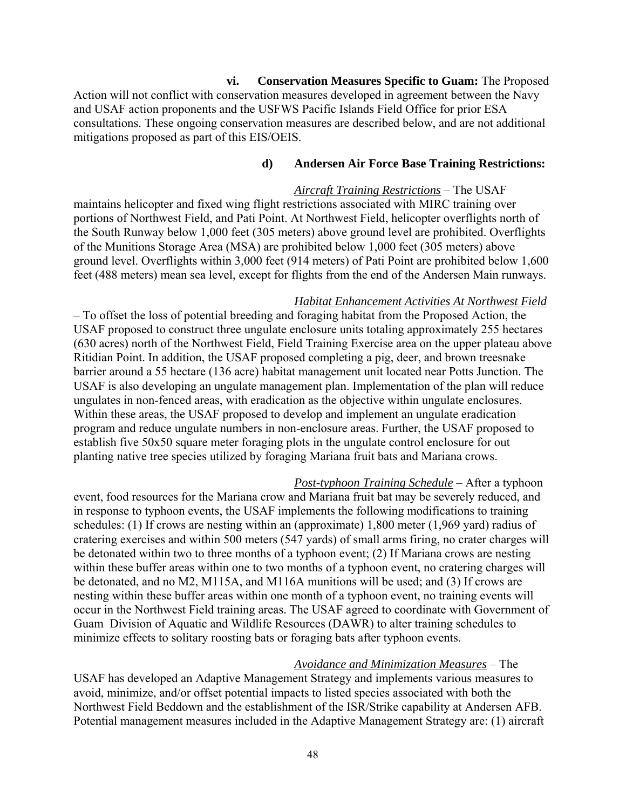**vi. Conservation Measures Specific to Guam:** The Proposed Action will not conflict with conservation measures developed in agreement between the Navy and USAF action proponents and the USFWS Pacific Islands Field Office for prior ESA consultations. These ongoing conservation measures are described below, and are not additional mitigations proposed as part of this EIS/OEIS.

#### **d) Andersen Air Force Base Training Restrictions:**

*Aircraft Training Restrictions* – The USAF maintains helicopter and fixed wing flight restrictions associated with MIRC training over portions of Northwest Field, and Pati Point. At Northwest Field, helicopter overflights north of the South Runway below 1,000 feet (305 meters) above ground level are prohibited. Overflights of the Munitions Storage Area (MSA) are prohibited below 1,000 feet (305 meters) above ground level. Overflights within 3,000 feet (914 meters) of Pati Point are prohibited below 1,600 feet (488 meters) mean sea level, except for flights from the end of the Andersen Main runways.

#### *Habitat Enhancement Activities At Northwest Field*

– To offset the loss of potential breeding and foraging habitat from the Proposed Action, the USAF proposed to construct three ungulate enclosure units totaling approximately 255 hectares (630 acres) north of the Northwest Field, Field Training Exercise area on the upper plateau above Ritidian Point. In addition, the USAF proposed completing a pig, deer, and brown treesnake barrier around a 55 hectare (136 acre) habitat management unit located near Potts Junction. The USAF is also developing an ungulate management plan. Implementation of the plan will reduce ungulates in non-fenced areas, with eradication as the objective within ungulate enclosures. Within these areas, the USAF proposed to develop and implement an ungulate eradication program and reduce ungulate numbers in non-enclosure areas. Further, the USAF proposed to establish five 50x50 square meter foraging plots in the ungulate control enclosure for out planting native tree species utilized by foraging Mariana fruit bats and Mariana crows.

*Post-typhoon Training Schedule* – After a typhoon

event, food resources for the Mariana crow and Mariana fruit bat may be severely reduced, and in response to typhoon events, the USAF implements the following modifications to training schedules: (1) If crows are nesting within an (approximate) 1,800 meter (1,969 yard) radius of cratering exercises and within 500 meters (547 yards) of small arms firing, no crater charges will be detonated within two to three months of a typhoon event; (2) If Mariana crows are nesting within these buffer areas within one to two months of a typhoon event, no cratering charges will be detonated, and no M2, M115A, and M116A munitions will be used; and (3) If crows are nesting within these buffer areas within one month of a typhoon event, no training events will occur in the Northwest Field training areas. The USAF agreed to coordinate with Government of Guam Division of Aquatic and Wildlife Resources (DAWR) to alter training schedules to minimize effects to solitary roosting bats or foraging bats after typhoon events.

#### *Avoidance and Minimization Measures* – The

USAF has developed an Adaptive Management Strategy and implements various measures to avoid, minimize, and/or offset potential impacts to listed species associated with both the Northwest Field Beddown and the establishment of the ISR/Strike capability at Andersen AFB. Potential management measures included in the Adaptive Management Strategy are: (1) aircraft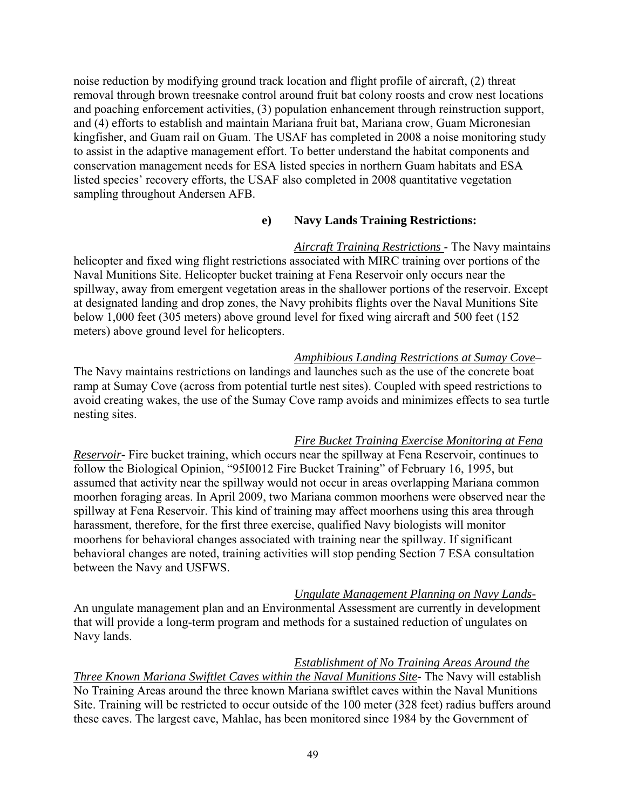noise reduction by modifying ground track location and flight profile of aircraft, (2) threat removal through brown treesnake control around fruit bat colony roosts and crow nest locations and poaching enforcement activities, (3) population enhancement through reinstruction support, and (4) efforts to establish and maintain Mariana fruit bat, Mariana crow, Guam Micronesian kingfisher, and Guam rail on Guam. The USAF has completed in 2008 a noise monitoring study to assist in the adaptive management effort. To better understand the habitat components and conservation management needs for ESA listed species in northern Guam habitats and ESA listed species' recovery efforts, the USAF also completed in 2008 quantitative vegetation sampling throughout Andersen AFB.

## **e) Navy Lands Training Restrictions:**

*Aircraft Training Restrictions* - The Navy maintains helicopter and fixed wing flight restrictions associated with MIRC training over portions of the Naval Munitions Site. Helicopter bucket training at Fena Reservoir only occurs near the spillway, away from emergent vegetation areas in the shallower portions of the reservoir. Except at designated landing and drop zones, the Navy prohibits flights over the Naval Munitions Site below 1,000 feet (305 meters) above ground level for fixed wing aircraft and 500 feet (152 meters) above ground level for helicopters.

## *Amphibious Landing Restrictions at Sumay Cove*–

The Navy maintains restrictions on landings and launches such as the use of the concrete boat ramp at Sumay Cove (across from potential turtle nest sites). Coupled with speed restrictions to avoid creating wakes, the use of the Sumay Cove ramp avoids and minimizes effects to sea turtle nesting sites.

#### *Fire Bucket Training Exercise Monitoring at Fena*

*Reservoir* Fire bucket training, which occurs near the spillway at Fena Reservoir, continues to follow the Biological Opinion, "95I0012 Fire Bucket Training" of February 16, 1995, but assumed that activity near the spillway would not occur in areas overlapping Mariana common moorhen foraging areas. In April 2009, two Mariana common moorhens were observed near the spillway at Fena Reservoir. This kind of training may affect moorhens using this area through harassment, therefore, for the first three exercise, qualified Navy biologists will monitor moorhens for behavioral changes associated with training near the spillway. If significant behavioral changes are noted, training activities will stop pending Section 7 ESA consultation between the Navy and USFWS.

#### *Ungulate Management Planning on Navy Lands-*

An ungulate management plan and an Environmental Assessment are currently in development that will provide a long-term program and methods for a sustained reduction of ungulates on Navy lands.

# *Establishment of No Training Areas Around the*

*Three Known Mariana Swiftlet Caves within the Naval Munitions Site***-** The Navy will establish No Training Areas around the three known Mariana swiftlet caves within the Naval Munitions Site. Training will be restricted to occur outside of the 100 meter (328 feet) radius buffers around these caves. The largest cave, Mahlac, has been monitored since 1984 by the Government of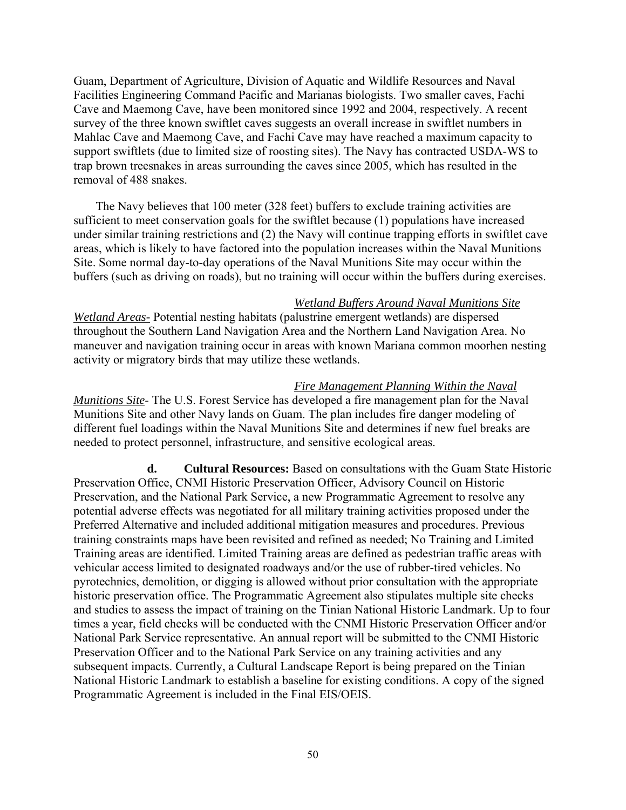Guam, Department of Agriculture, Division of Aquatic and Wildlife Resources and Naval Facilities Engineering Command Pacific and Marianas biologists. Two smaller caves, Fachi Cave and Maemong Cave, have been monitored since 1992 and 2004, respectively. A recent survey of the three known swiftlet caves suggests an overall increase in swiftlet numbers in Mahlac Cave and Maemong Cave, and Fachi Cave may have reached a maximum capacity to support swiftlets (due to limited size of roosting sites). The Navy has contracted USDA-WS to trap brown treesnakes in areas surrounding the caves since 2005, which has resulted in the removal of 488 snakes.

The Navy believes that 100 meter (328 feet) buffers to exclude training activities are sufficient to meet conservation goals for the swiftlet because (1) populations have increased under similar training restrictions and (2) the Navy will continue trapping efforts in swiftlet cave areas, which is likely to have factored into the population increases within the Naval Munitions Site. Some normal day-to-day operations of the Naval Munitions Site may occur within the buffers (such as driving on roads), but no training will occur within the buffers during exercises.

#### *Wetland Buffers Around Naval Munitions Site*

*Wetland Areas-* Potential nesting habitats (palustrine emergent wetlands) are dispersed throughout the Southern Land Navigation Area and the Northern Land Navigation Area. No maneuver and navigation training occur in areas with known Mariana common moorhen nesting activity or migratory birds that may utilize these wetlands.

#### *Fire Management Planning Within the Naval*

*Munitions Site*- The U.S. Forest Service has developed a fire management plan for the Naval Munitions Site and other Navy lands on Guam. The plan includes fire danger modeling of different fuel loadings within the Naval Munitions Site and determines if new fuel breaks are needed to protect personnel, infrastructure, and sensitive ecological areas.

**d. Cultural Resources:** Based on consultations with the Guam State Historic Preservation Office, CNMI Historic Preservation Officer, Advisory Council on Historic Preservation, and the National Park Service, a new Programmatic Agreement to resolve any potential adverse effects was negotiated for all military training activities proposed under the Preferred Alternative and included additional mitigation measures and procedures. Previous training constraints maps have been revisited and refined as needed; No Training and Limited Training areas are identified. Limited Training areas are defined as pedestrian traffic areas with vehicular access limited to designated roadways and/or the use of rubber-tired vehicles. No pyrotechnics, demolition, or digging is allowed without prior consultation with the appropriate historic preservation office. The Programmatic Agreement also stipulates multiple site checks and studies to assess the impact of training on the Tinian National Historic Landmark. Up to four times a year, field checks will be conducted with the CNMI Historic Preservation Officer and/or National Park Service representative. An annual report will be submitted to the CNMI Historic Preservation Officer and to the National Park Service on any training activities and any subsequent impacts. Currently, a Cultural Landscape Report is being prepared on the Tinian National Historic Landmark to establish a baseline for existing conditions. A copy of the signed Programmatic Agreement is included in the Final EIS/OEIS.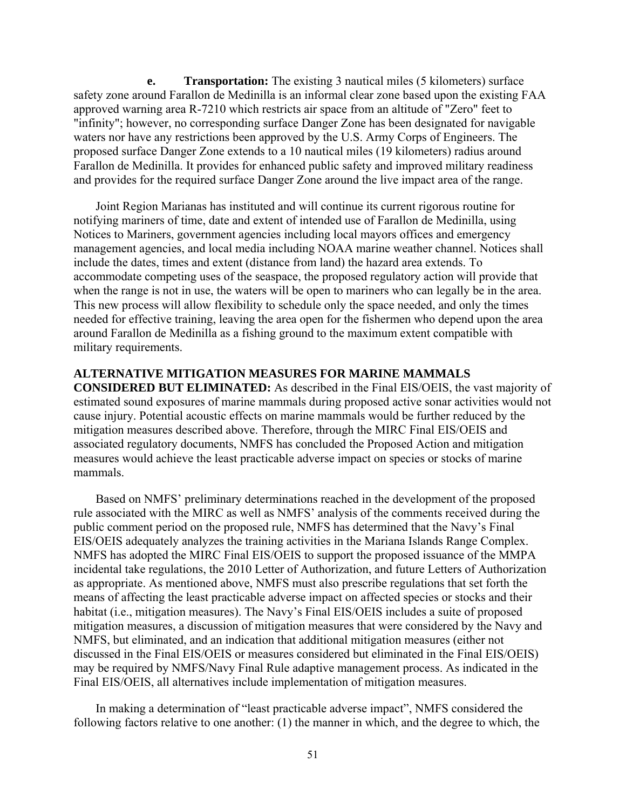**e. Transportation:** The existing 3 nautical miles (5 kilometers) surface safety zone around Farallon de Medinilla is an informal clear zone based upon the existing FAA approved warning area R-7210 which restricts air space from an altitude of "Zero" feet to "infinity"; however, no corresponding surface Danger Zone has been designated for navigable waters nor have any restrictions been approved by the U.S. Army Corps of Engineers. The proposed surface Danger Zone extends to a 10 nautical miles (19 kilometers) radius around Farallon de Medinilla. It provides for enhanced public safety and improved military readiness and provides for the required surface Danger Zone around the live impact area of the range.

Joint Region Marianas has instituted and will continue its current rigorous routine for notifying mariners of time, date and extent of intended use of Farallon de Medinilla, using Notices to Mariners, government agencies including local mayors offices and emergency management agencies, and local media including NOAA marine weather channel. Notices shall include the dates, times and extent (distance from land) the hazard area extends. To accommodate competing uses of the seaspace, the proposed regulatory action will provide that when the range is not in use, the waters will be open to mariners who can legally be in the area. This new process will allow flexibility to schedule only the space needed, and only the times needed for effective training, leaving the area open for the fishermen who depend upon the area around Farallon de Medinilla as a fishing ground to the maximum extent compatible with military requirements.

## **ALTERNATIVE MITIGATION MEASURES FOR MARINE MAMMALS**

**CONSIDERED BUT ELIMINATED:** As described in the Final EIS/OEIS, the vast majority of estimated sound exposures of marine mammals during proposed active sonar activities would not cause injury. Potential acoustic effects on marine mammals would be further reduced by the mitigation measures described above. Therefore, through the MIRC Final EIS/OEIS and associated regulatory documents, NMFS has concluded the Proposed Action and mitigation measures would achieve the least practicable adverse impact on species or stocks of marine mammals.

Based on NMFS' preliminary determinations reached in the development of the proposed rule associated with the MIRC as well as NMFS' analysis of the comments received during the public comment period on the proposed rule, NMFS has determined that the Navy's Final EIS/OEIS adequately analyzes the training activities in the Mariana Islands Range Complex. NMFS has adopted the MIRC Final EIS/OEIS to support the proposed issuance of the MMPA incidental take regulations, the 2010 Letter of Authorization, and future Letters of Authorization as appropriate. As mentioned above, NMFS must also prescribe regulations that set forth the means of affecting the least practicable adverse impact on affected species or stocks and their habitat (i.e., mitigation measures). The Navy's Final EIS/OEIS includes a suite of proposed mitigation measures, a discussion of mitigation measures that were considered by the Navy and NMFS, but eliminated, and an indication that additional mitigation measures (either not discussed in the Final EIS/OEIS or measures considered but eliminated in the Final EIS/OEIS) may be required by NMFS/Navy Final Rule adaptive management process. As indicated in the Final EIS/OEIS, all alternatives include implementation of mitigation measures.

In making a determination of "least practicable adverse impact", NMFS considered the following factors relative to one another: (1) the manner in which, and the degree to which, the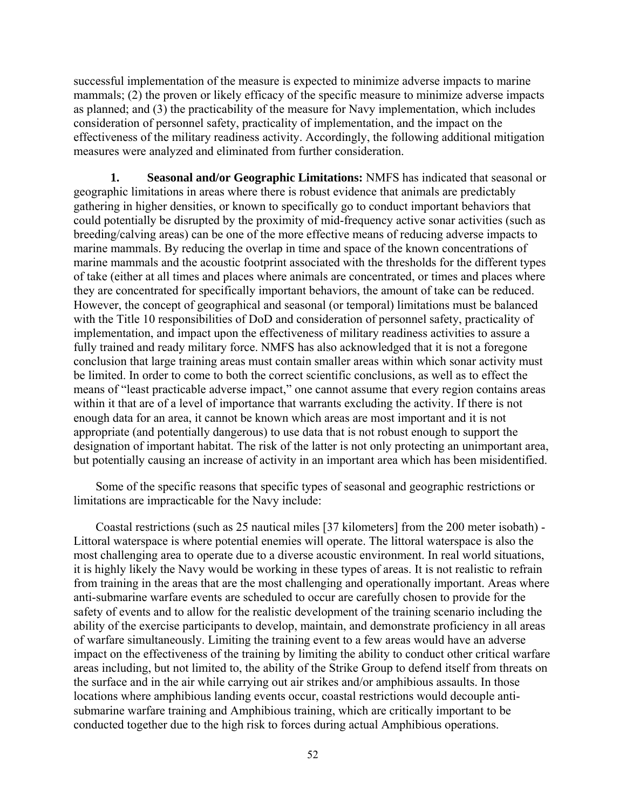successful implementation of the measure is expected to minimize adverse impacts to marine mammals; (2) the proven or likely efficacy of the specific measure to minimize adverse impacts as planned; and (3) the practicability of the measure for Navy implementation, which includes consideration of personnel safety, practicality of implementation, and the impact on the effectiveness of the military readiness activity. Accordingly, the following additional mitigation measures were analyzed and eliminated from further consideration.

**1. Seasonal and/or Geographic Limitations:** NMFS has indicated that seasonal or geographic limitations in areas where there is robust evidence that animals are predictably gathering in higher densities, or known to specifically go to conduct important behaviors that could potentially be disrupted by the proximity of mid-frequency active sonar activities (such as breeding/calving areas) can be one of the more effective means of reducing adverse impacts to marine mammals. By reducing the overlap in time and space of the known concentrations of marine mammals and the acoustic footprint associated with the thresholds for the different types of take (either at all times and places where animals are concentrated, or times and places where they are concentrated for specifically important behaviors, the amount of take can be reduced. However, the concept of geographical and seasonal (or temporal) limitations must be balanced with the Title 10 responsibilities of DoD and consideration of personnel safety, practicality of implementation, and impact upon the effectiveness of military readiness activities to assure a fully trained and ready military force. NMFS has also acknowledged that it is not a foregone conclusion that large training areas must contain smaller areas within which sonar activity must be limited. In order to come to both the correct scientific conclusions, as well as to effect the means of "least practicable adverse impact," one cannot assume that every region contains areas within it that are of a level of importance that warrants excluding the activity. If there is not enough data for an area, it cannot be known which areas are most important and it is not appropriate (and potentially dangerous) to use data that is not robust enough to support the designation of important habitat. The risk of the latter is not only protecting an unimportant area, but potentially causing an increase of activity in an important area which has been misidentified.

Some of the specific reasons that specific types of seasonal and geographic restrictions or limitations are impracticable for the Navy include:

Coastal restrictions (such as 25 nautical miles [37 kilometers] from the 200 meter isobath) - Littoral waterspace is where potential enemies will operate. The littoral waterspace is also the most challenging area to operate due to a diverse acoustic environment. In real world situations, it is highly likely the Navy would be working in these types of areas. It is not realistic to refrain from training in the areas that are the most challenging and operationally important. Areas where anti-submarine warfare events are scheduled to occur are carefully chosen to provide for the safety of events and to allow for the realistic development of the training scenario including the ability of the exercise participants to develop, maintain, and demonstrate proficiency in all areas of warfare simultaneously. Limiting the training event to a few areas would have an adverse impact on the effectiveness of the training by limiting the ability to conduct other critical warfare areas including, but not limited to, the ability of the Strike Group to defend itself from threats on the surface and in the air while carrying out air strikes and/or amphibious assaults. In those locations where amphibious landing events occur, coastal restrictions would decouple antisubmarine warfare training and Amphibious training, which are critically important to be conducted together due to the high risk to forces during actual Amphibious operations.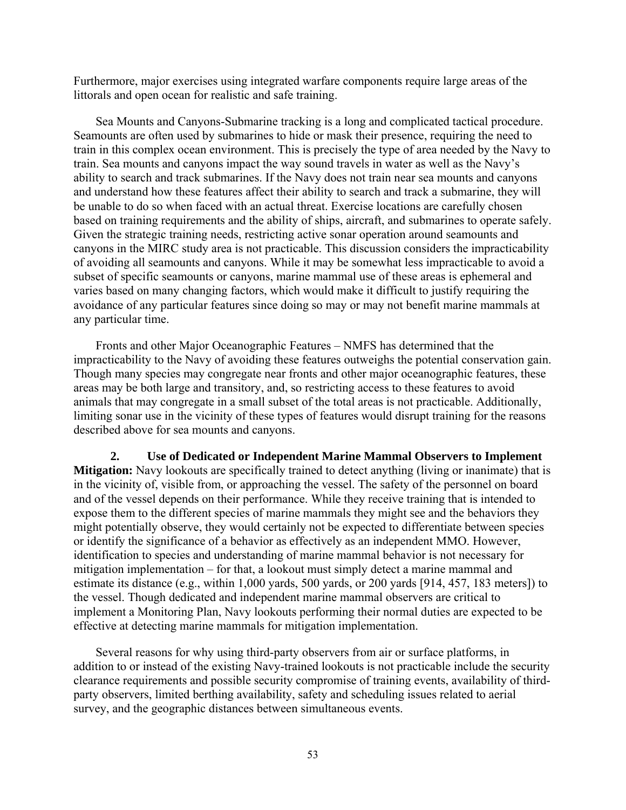Furthermore, major exercises using integrated warfare components require large areas of the littorals and open ocean for realistic and safe training.

Sea Mounts and Canyons-Submarine tracking is a long and complicated tactical procedure. Seamounts are often used by submarines to hide or mask their presence, requiring the need to train in this complex ocean environment. This is precisely the type of area needed by the Navy to train. Sea mounts and canyons impact the way sound travels in water as well as the Navy's ability to search and track submarines. If the Navy does not train near sea mounts and canyons and understand how these features affect their ability to search and track a submarine, they will be unable to do so when faced with an actual threat. Exercise locations are carefully chosen based on training requirements and the ability of ships, aircraft, and submarines to operate safely. Given the strategic training needs, restricting active sonar operation around seamounts and canyons in the MIRC study area is not practicable. This discussion considers the impracticability of avoiding all seamounts and canyons. While it may be somewhat less impracticable to avoid a subset of specific seamounts or canyons, marine mammal use of these areas is ephemeral and varies based on many changing factors, which would make it difficult to justify requiring the avoidance of any particular features since doing so may or may not benefit marine mammals at any particular time.

Fronts and other Major Oceanographic Features – NMFS has determined that the impracticability to the Navy of avoiding these features outweighs the potential conservation gain. Though many species may congregate near fronts and other major oceanographic features, these areas may be both large and transitory, and, so restricting access to these features to avoid animals that may congregate in a small subset of the total areas is not practicable. Additionally, limiting sonar use in the vicinity of these types of features would disrupt training for the reasons described above for sea mounts and canyons.

**2. Use of Dedicated or Independent Marine Mammal Observers to Implement Mitigation:** Navy lookouts are specifically trained to detect anything (living or inanimate) that is in the vicinity of, visible from, or approaching the vessel. The safety of the personnel on board and of the vessel depends on their performance. While they receive training that is intended to expose them to the different species of marine mammals they might see and the behaviors they might potentially observe, they would certainly not be expected to differentiate between species or identify the significance of a behavior as effectively as an independent MMO. However, identification to species and understanding of marine mammal behavior is not necessary for mitigation implementation – for that, a lookout must simply detect a marine mammal and estimate its distance (e.g., within 1,000 yards, 500 yards, or 200 yards [914, 457, 183 meters]) to the vessel. Though dedicated and independent marine mammal observers are critical to implement a Monitoring Plan, Navy lookouts performing their normal duties are expected to be effective at detecting marine mammals for mitigation implementation.

Several reasons for why using third-party observers from air or surface platforms, in addition to or instead of the existing Navy-trained lookouts is not practicable include the security clearance requirements and possible security compromise of training events, availability of thirdparty observers, limited berthing availability, safety and scheduling issues related to aerial survey, and the geographic distances between simultaneous events.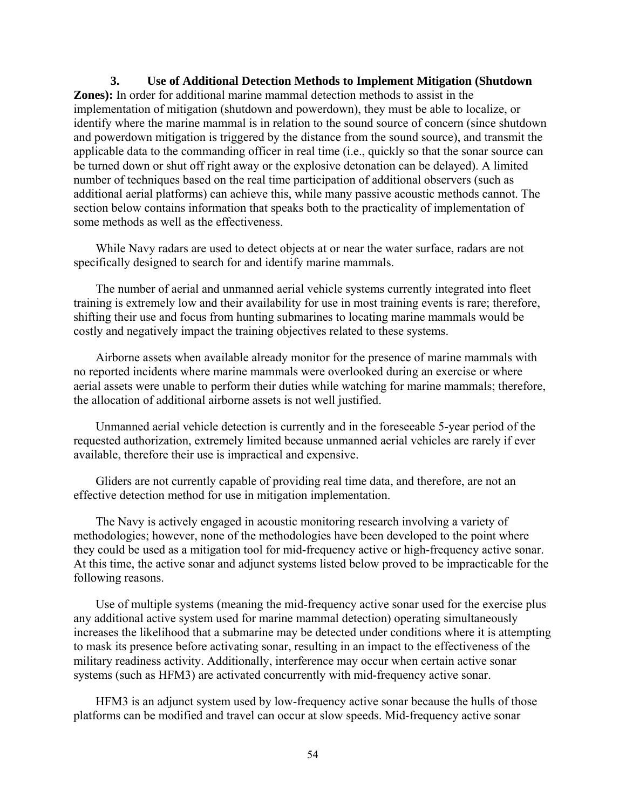# **3. Use of Additional Detection Methods to Implement Mitigation (Shutdown**

**Zones):** In order for additional marine mammal detection methods to assist in the implementation of mitigation (shutdown and powerdown), they must be able to localize, or identify where the marine mammal is in relation to the sound source of concern (since shutdown and powerdown mitigation is triggered by the distance from the sound source), and transmit the applicable data to the commanding officer in real time (i.e., quickly so that the sonar source can be turned down or shut off right away or the explosive detonation can be delayed). A limited number of techniques based on the real time participation of additional observers (such as additional aerial platforms) can achieve this, while many passive acoustic methods cannot. The section below contains information that speaks both to the practicality of implementation of some methods as well as the effectiveness.

While Navy radars are used to detect objects at or near the water surface, radars are not specifically designed to search for and identify marine mammals.

The number of aerial and unmanned aerial vehicle systems currently integrated into fleet training is extremely low and their availability for use in most training events is rare; therefore, shifting their use and focus from hunting submarines to locating marine mammals would be costly and negatively impact the training objectives related to these systems.

Airborne assets when available already monitor for the presence of marine mammals with no reported incidents where marine mammals were overlooked during an exercise or where aerial assets were unable to perform their duties while watching for marine mammals; therefore, the allocation of additional airborne assets is not well justified.

Unmanned aerial vehicle detection is currently and in the foreseeable 5-year period of the requested authorization, extremely limited because unmanned aerial vehicles are rarely if ever available, therefore their use is impractical and expensive.

Gliders are not currently capable of providing real time data, and therefore, are not an effective detection method for use in mitigation implementation.

The Navy is actively engaged in acoustic monitoring research involving a variety of methodologies; however, none of the methodologies have been developed to the point where they could be used as a mitigation tool for mid-frequency active or high-frequency active sonar. At this time, the active sonar and adjunct systems listed below proved to be impracticable for the following reasons.

Use of multiple systems (meaning the mid-frequency active sonar used for the exercise plus any additional active system used for marine mammal detection) operating simultaneously increases the likelihood that a submarine may be detected under conditions where it is attempting to mask its presence before activating sonar, resulting in an impact to the effectiveness of the military readiness activity. Additionally, interference may occur when certain active sonar systems (such as HFM3) are activated concurrently with mid-frequency active sonar.

HFM3 is an adjunct system used by low-frequency active sonar because the hulls of those platforms can be modified and travel can occur at slow speeds. Mid-frequency active sonar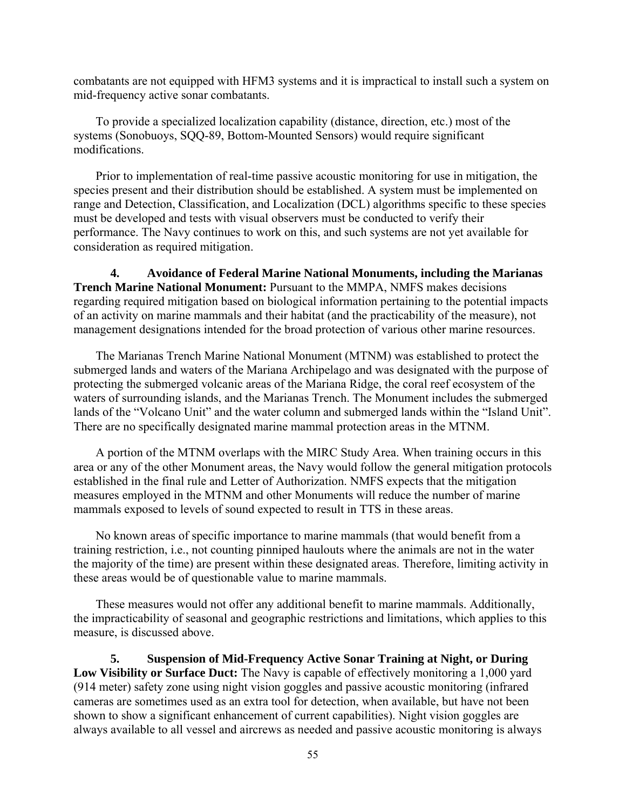combatants are not equipped with HFM3 systems and it is impractical to install such a system on mid-frequency active sonar combatants.

To provide a specialized localization capability (distance, direction, etc.) most of the systems (Sonobuoys, SQQ-89, Bottom-Mounted Sensors) would require significant modifications.

Prior to implementation of real-time passive acoustic monitoring for use in mitigation, the species present and their distribution should be established. A system must be implemented on range and Detection, Classification, and Localization (DCL) algorithms specific to these species must be developed and tests with visual observers must be conducted to verify their performance. The Navy continues to work on this, and such systems are not yet available for consideration as required mitigation.

**4. Avoidance of Federal Marine National Monuments, including the Marianas Trench Marine National Monument:** Pursuant to the MMPA, NMFS makes decisions regarding required mitigation based on biological information pertaining to the potential impacts of an activity on marine mammals and their habitat (and the practicability of the measure), not management designations intended for the broad protection of various other marine resources.

The Marianas Trench Marine National Monument (MTNM) was established to protect the submerged lands and waters of the Mariana Archipelago and was designated with the purpose of protecting the submerged volcanic areas of the Mariana Ridge, the coral reef ecosystem of the waters of surrounding islands, and the Marianas Trench. The Monument includes the submerged lands of the "Volcano Unit" and the water column and submerged lands within the "Island Unit". There are no specifically designated marine mammal protection areas in the MTNM.

A portion of the MTNM overlaps with the MIRC Study Area. When training occurs in this area or any of the other Monument areas, the Navy would follow the general mitigation protocols established in the final rule and Letter of Authorization. NMFS expects that the mitigation measures employed in the MTNM and other Monuments will reduce the number of marine mammals exposed to levels of sound expected to result in TTS in these areas.

No known areas of specific importance to marine mammals (that would benefit from a training restriction, i.e., not counting pinniped haulouts where the animals are not in the water the majority of the time) are present within these designated areas. Therefore, limiting activity in these areas would be of questionable value to marine mammals.

These measures would not offer any additional benefit to marine mammals. Additionally, the impracticability of seasonal and geographic restrictions and limitations, which applies to this measure, is discussed above.

**5. Suspension of Mid-Frequency Active Sonar Training at Night, or During Low Visibility or Surface Duct:** The Navy is capable of effectively monitoring a 1,000 yard (914 meter) safety zone using night vision goggles and passive acoustic monitoring (infrared cameras are sometimes used as an extra tool for detection, when available, but have not been shown to show a significant enhancement of current capabilities). Night vision goggles are always available to all vessel and aircrews as needed and passive acoustic monitoring is always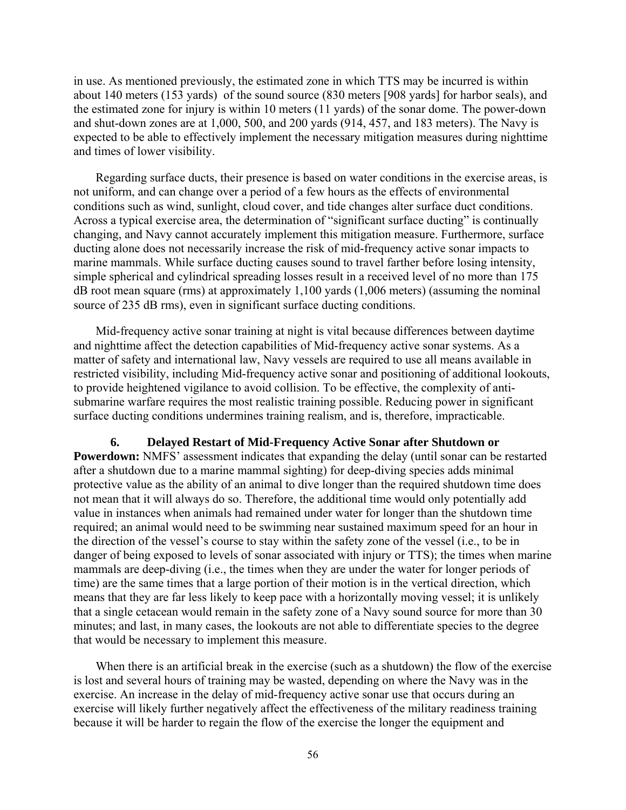in use. As mentioned previously, the estimated zone in which TTS may be incurred is within about 140 meters (153 yards) of the sound source (830 meters [908 yards] for harbor seals), and the estimated zone for injury is within 10 meters (11 yards) of the sonar dome. The power-down and shut-down zones are at 1,000, 500, and 200 yards (914, 457, and 183 meters). The Navy is expected to be able to effectively implement the necessary mitigation measures during nighttime and times of lower visibility.

Regarding surface ducts, their presence is based on water conditions in the exercise areas, is not uniform, and can change over a period of a few hours as the effects of environmental conditions such as wind, sunlight, cloud cover, and tide changes alter surface duct conditions. Across a typical exercise area, the determination of "significant surface ducting" is continually changing, and Navy cannot accurately implement this mitigation measure. Furthermore, surface ducting alone does not necessarily increase the risk of mid-frequency active sonar impacts to marine mammals. While surface ducting causes sound to travel farther before losing intensity, simple spherical and cylindrical spreading losses result in a received level of no more than 175 dB root mean square (rms) at approximately 1,100 yards (1,006 meters) (assuming the nominal source of 235 dB rms), even in significant surface ducting conditions.

Mid-frequency active sonar training at night is vital because differences between daytime and nighttime affect the detection capabilities of Mid-frequency active sonar systems. As a matter of safety and international law, Navy vessels are required to use all means available in restricted visibility, including Mid-frequency active sonar and positioning of additional lookouts, to provide heightened vigilance to avoid collision. To be effective, the complexity of antisubmarine warfare requires the most realistic training possible. Reducing power in significant surface ducting conditions undermines training realism, and is, therefore, impracticable.

**6. Delayed Restart of Mid-Frequency Active Sonar after Shutdown or Powerdown:** NMFS' assessment indicates that expanding the delay (until sonar can be restarted after a shutdown due to a marine mammal sighting) for deep-diving species adds minimal protective value as the ability of an animal to dive longer than the required shutdown time does not mean that it will always do so. Therefore, the additional time would only potentially add value in instances when animals had remained under water for longer than the shutdown time required; an animal would need to be swimming near sustained maximum speed for an hour in the direction of the vessel's course to stay within the safety zone of the vessel (i.e., to be in danger of being exposed to levels of sonar associated with injury or TTS); the times when marine mammals are deep-diving (i.e., the times when they are under the water for longer periods of time) are the same times that a large portion of their motion is in the vertical direction, which means that they are far less likely to keep pace with a horizontally moving vessel; it is unlikely that a single cetacean would remain in the safety zone of a Navy sound source for more than 30 minutes; and last, in many cases, the lookouts are not able to differentiate species to the degree that would be necessary to implement this measure.

When there is an artificial break in the exercise (such as a shutdown) the flow of the exercise is lost and several hours of training may be wasted, depending on where the Navy was in the exercise. An increase in the delay of mid-frequency active sonar use that occurs during an exercise will likely further negatively affect the effectiveness of the military readiness training because it will be harder to regain the flow of the exercise the longer the equipment and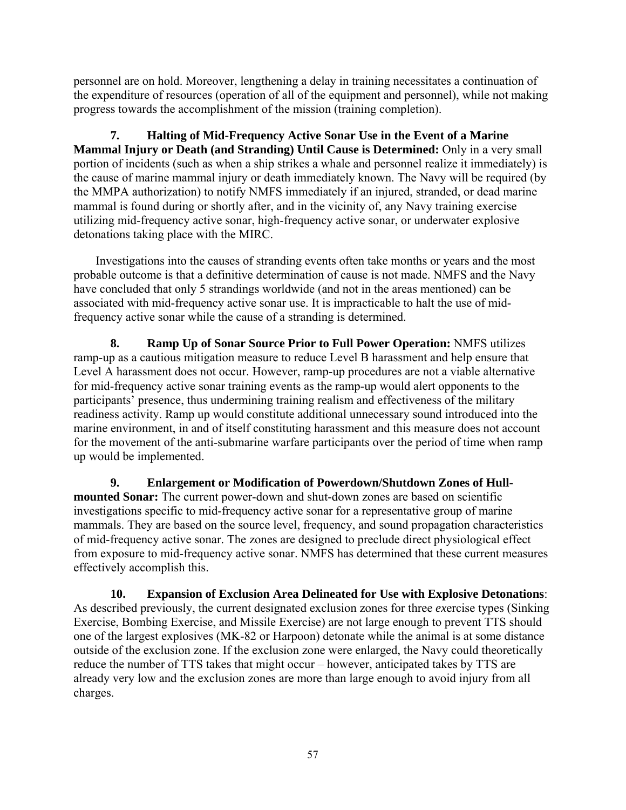personnel are on hold. Moreover, lengthening a delay in training necessitates a continuation of the expenditure of resources (operation of all of the equipment and personnel), while not making progress towards the accomplishment of the mission (training completion).

**7. Halting of Mid-Frequency Active Sonar Use in the Event of a Marine Mammal Injury or Death (and Stranding) Until Cause is Determined:** Only in a very small portion of incidents (such as when a ship strikes a whale and personnel realize it immediately) is the cause of marine mammal injury or death immediately known. The Navy will be required (by the MMPA authorization) to notify NMFS immediately if an injured, stranded, or dead marine mammal is found during or shortly after, and in the vicinity of, any Navy training exercise utilizing mid-frequency active sonar, high-frequency active sonar, or underwater explosive detonations taking place with the MIRC.

Investigations into the causes of stranding events often take months or years and the most probable outcome is that a definitive determination of cause is not made. NMFS and the Navy have concluded that only 5 strandings worldwide (and not in the areas mentioned) can be associated with mid-frequency active sonar use. It is impracticable to halt the use of midfrequency active sonar while the cause of a stranding is determined.

**8. Ramp Up of Sonar Source Prior to Full Power Operation:** NMFS utilizes ramp-up as a cautious mitigation measure to reduce Level B harassment and help ensure that Level A harassment does not occur. However, ramp-up procedures are not a viable alternative for mid-frequency active sonar training events as the ramp-up would alert opponents to the participants' presence, thus undermining training realism and effectiveness of the military readiness activity. Ramp up would constitute additional unnecessary sound introduced into the marine environment, in and of itself constituting harassment and this measure does not account for the movement of the anti-submarine warfare participants over the period of time when ramp up would be implemented.

**9. Enlargement or Modification of Powerdown/Shutdown Zones of Hullmounted Sonar:** The current power-down and shut-down zones are based on scientific investigations specific to mid-frequency active sonar for a representative group of marine mammals. They are based on the source level, frequency, and sound propagation characteristics of mid-frequency active sonar. The zones are designed to preclude direct physiological effect from exposure to mid-frequency active sonar. NMFS has determined that these current measures effectively accomplish this.

**10. Expansion of Exclusion Area Delineated for Use with Explosive Detonations**: As described previously, the current designated exclusion zones for three *ex*ercise types (Sinking Exercise, Bombing Exercise, and Missile Exercise) are not large enough to prevent TTS should one of the largest explosives (MK-82 or Harpoon) detonate while the animal is at some distance outside of the exclusion zone. If the exclusion zone were enlarged, the Navy could theoretically reduce the number of TTS takes that might occur – however, anticipated takes by TTS are already very low and the exclusion zones are more than large enough to avoid injury from all charges.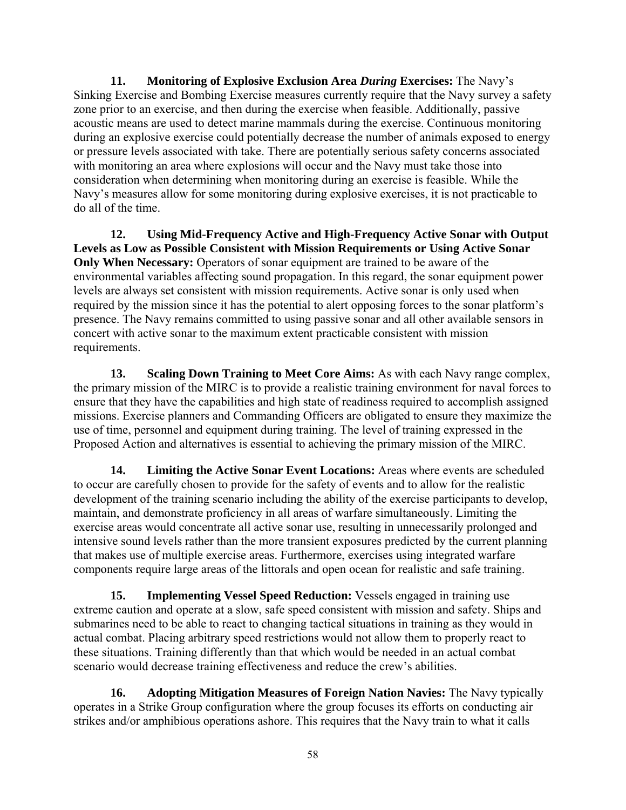**11. Monitoring of Explosive Exclusion Area** *During* **Exercises:** The Navy's Sinking Exercise and Bombing Exercise measures currently require that the Navy survey a safety zone prior to an exercise, and then during the exercise when feasible. Additionally, passive acoustic means are used to detect marine mammals during the exercise. Continuous monitoring during an explosive exercise could potentially decrease the number of animals exposed to energy or pressure levels associated with take. There are potentially serious safety concerns associated with monitoring an area where explosions will occur and the Navy must take those into consideration when determining when monitoring during an exercise is feasible. While the Navy's measures allow for some monitoring during explosive exercises, it is not practicable to do all of the time.

**12. Using Mid-Frequency Active and High-Frequency Active Sonar with Output Levels as Low as Possible Consistent with Mission Requirements or Using Active Sonar Only When Necessary:** Operators of sonar equipment are trained to be aware of the environmental variables affecting sound propagation. In this regard, the sonar equipment power levels are always set consistent with mission requirements. Active sonar is only used when required by the mission since it has the potential to alert opposing forces to the sonar platform's presence. The Navy remains committed to using passive sonar and all other available sensors in concert with active sonar to the maximum extent practicable consistent with mission requirements.

**13. Scaling Down Training to Meet Core Aims:** As with each Navy range complex, the primary mission of the MIRC is to provide a realistic training environment for naval forces to ensure that they have the capabilities and high state of readiness required to accomplish assigned missions. Exercise planners and Commanding Officers are obligated to ensure they maximize the use of time, personnel and equipment during training. The level of training expressed in the Proposed Action and alternatives is essential to achieving the primary mission of the MIRC.

**14. Limiting the Active Sonar Event Locations:** Areas where events are scheduled to occur are carefully chosen to provide for the safety of events and to allow for the realistic development of the training scenario including the ability of the exercise participants to develop, maintain, and demonstrate proficiency in all areas of warfare simultaneously. Limiting the exercise areas would concentrate all active sonar use, resulting in unnecessarily prolonged and intensive sound levels rather than the more transient exposures predicted by the current planning that makes use of multiple exercise areas. Furthermore, exercises using integrated warfare components require large areas of the littorals and open ocean for realistic and safe training.

**15. Implementing Vessel Speed Reduction:** Vessels engaged in training use extreme caution and operate at a slow, safe speed consistent with mission and safety. Ships and submarines need to be able to react to changing tactical situations in training as they would in actual combat. Placing arbitrary speed restrictions would not allow them to properly react to these situations. Training differently than that which would be needed in an actual combat scenario would decrease training effectiveness and reduce the crew's abilities.

**16. Adopting Mitigation Measures of Foreign Nation Navies:** The Navy typically operates in a Strike Group configuration where the group focuses its efforts on conducting air strikes and/or amphibious operations ashore. This requires that the Navy train to what it calls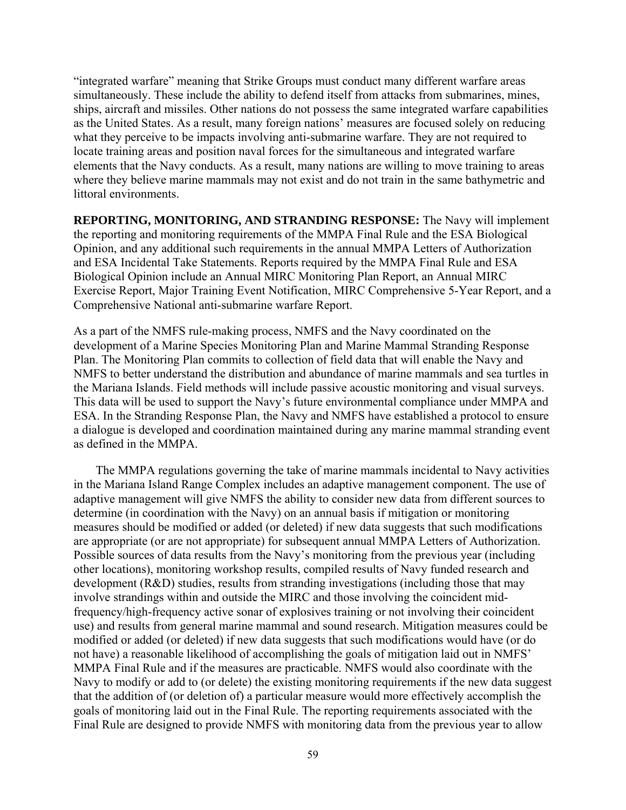"integrated warfare" meaning that Strike Groups must conduct many different warfare areas simultaneously. These include the ability to defend itself from attacks from submarines, mines, ships, aircraft and missiles. Other nations do not possess the same integrated warfare capabilities as the United States. As a result, many foreign nations' measures are focused solely on reducing what they perceive to be impacts involving anti-submarine warfare. They are not required to locate training areas and position naval forces for the simultaneous and integrated warfare elements that the Navy conducts. As a result, many nations are willing to move training to areas where they believe marine mammals may not exist and do not train in the same bathymetric and littoral environments.

**REPORTING, MONITORING, AND STRANDING RESPONSE:** The Navy will implement the reporting and monitoring requirements of the MMPA Final Rule and the ESA Biological Opinion, and any additional such requirements in the annual MMPA Letters of Authorization and ESA Incidental Take Statements. Reports required by the MMPA Final Rule and ESA Biological Opinion include an Annual MIRC Monitoring Plan Report, an Annual MIRC Exercise Report, Major Training Event Notification, MIRC Comprehensive 5-Year Report, and a Comprehensive National anti-submarine warfare Report.

As a part of the NMFS rule-making process, NMFS and the Navy coordinated on the development of a Marine Species Monitoring Plan and Marine Mammal Stranding Response Plan. The Monitoring Plan commits to collection of field data that will enable the Navy and NMFS to better understand the distribution and abundance of marine mammals and sea turtles in the Mariana Islands. Field methods will include passive acoustic monitoring and visual surveys. This data will be used to support the Navy's future environmental compliance under MMPA and ESA. In the Stranding Response Plan, the Navy and NMFS have established a protocol to ensure a dialogue is developed and coordination maintained during any marine mammal stranding event as defined in the MMPA.

The MMPA regulations governing the take of marine mammals incidental to Navy activities in the Mariana Island Range Complex includes an adaptive management component. The use of adaptive management will give NMFS the ability to consider new data from different sources to determine (in coordination with the Navy) on an annual basis if mitigation or monitoring measures should be modified or added (or deleted) if new data suggests that such modifications are appropriate (or are not appropriate) for subsequent annual MMPA Letters of Authorization. Possible sources of data results from the Navy's monitoring from the previous year (including other locations), monitoring workshop results, compiled results of Navy funded research and development (R&D) studies, results from stranding investigations (including those that may involve strandings within and outside the MIRC and those involving the coincident midfrequency/high-frequency active sonar of explosives training or not involving their coincident use) and results from general marine mammal and sound research. Mitigation measures could be modified or added (or deleted) if new data suggests that such modifications would have (or do not have) a reasonable likelihood of accomplishing the goals of mitigation laid out in NMFS' MMPA Final Rule and if the measures are practicable. NMFS would also coordinate with the Navy to modify or add to (or delete) the existing monitoring requirements if the new data suggest that the addition of (or deletion of) a particular measure would more effectively accomplish the goals of monitoring laid out in the Final Rule. The reporting requirements associated with the Final Rule are designed to provide NMFS with monitoring data from the previous year to allow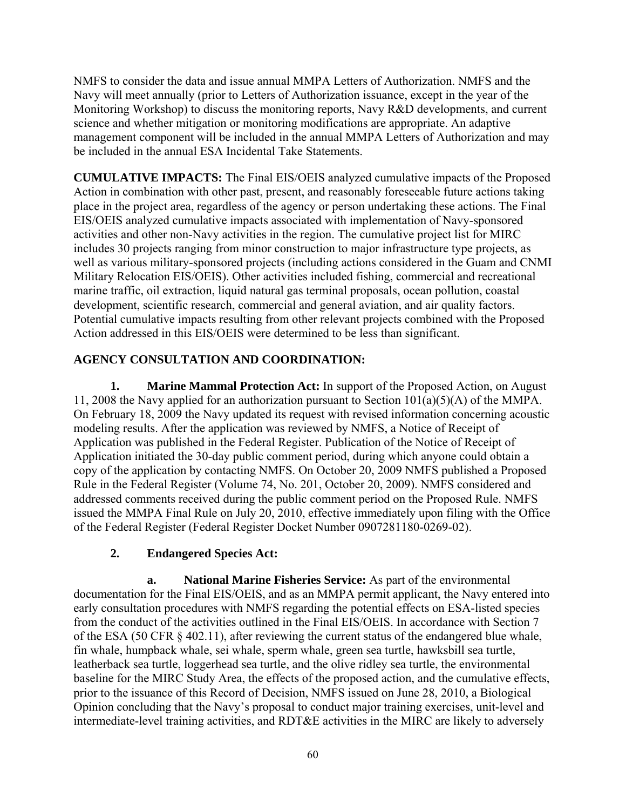NMFS to consider the data and issue annual MMPA Letters of Authorization. NMFS and the Navy will meet annually (prior to Letters of Authorization issuance, except in the year of the Monitoring Workshop) to discuss the monitoring reports, Navy R&D developments, and current science and whether mitigation or monitoring modifications are appropriate. An adaptive management component will be included in the annual MMPA Letters of Authorization and may be included in the annual ESA Incidental Take Statements.

**CUMULATIVE IMPACTS:** The Final EIS/OEIS analyzed cumulative impacts of the Proposed Action in combination with other past, present, and reasonably foreseeable future actions taking place in the project area, regardless of the agency or person undertaking these actions. The Final EIS/OEIS analyzed cumulative impacts associated with implementation of Navy-sponsored activities and other non-Navy activities in the region. The cumulative project list for MIRC includes 30 projects ranging from minor construction to major infrastructure type projects, as well as various military-sponsored projects (including actions considered in the Guam and CNMI Military Relocation EIS/OEIS). Other activities included fishing, commercial and recreational marine traffic, oil extraction, liquid natural gas terminal proposals, ocean pollution, coastal development, scientific research, commercial and general aviation, and air quality factors. Potential cumulative impacts resulting from other relevant projects combined with the Proposed Action addressed in this EIS/OEIS were determined to be less than significant.

# **AGENCY CONSULTATION AND COORDINATION:**

**1. Marine Mammal Protection Act:** In support of the Proposed Action, on August 11, 2008 the Navy applied for an authorization pursuant to Section 101(a)(5)(A) of the MMPA. On February 18, 2009 the Navy updated its request with revised information concerning acoustic modeling results. After the application was reviewed by NMFS, a Notice of Receipt of Application was published in the Federal Register. Publication of the Notice of Receipt of Application initiated the 30-day public comment period, during which anyone could obtain a copy of the application by contacting NMFS. On October 20, 2009 NMFS published a Proposed Rule in the Federal Register (Volume 74, No. 201, October 20, 2009). NMFS considered and addressed comments received during the public comment period on the Proposed Rule. NMFS issued the MMPA Final Rule on July 20, 2010, effective immediately upon filing with the Office of the Federal Register (Federal Register Docket Number 0907281180-0269-02).

# **2. Endangered Species Act:**

**a. National Marine Fisheries Service:** As part of the environmental documentation for the Final EIS/OEIS, and as an MMPA permit applicant, the Navy entered into early consultation procedures with NMFS regarding the potential effects on ESA-listed species from the conduct of the activities outlined in the Final EIS/OEIS. In accordance with Section 7 of the ESA (50 CFR § 402.11), after reviewing the current status of the endangered blue whale, fin whale, humpback whale, sei whale, sperm whale, green sea turtle, hawksbill sea turtle, leatherback sea turtle, loggerhead sea turtle, and the olive ridley sea turtle, the environmental baseline for the MIRC Study Area, the effects of the proposed action, and the cumulative effects, prior to the issuance of this Record of Decision, NMFS issued on June 28, 2010, a Biological Opinion concluding that the Navy's proposal to conduct major training exercises, unit-level and intermediate-level training activities, and RDT&E activities in the MIRC are likely to adversely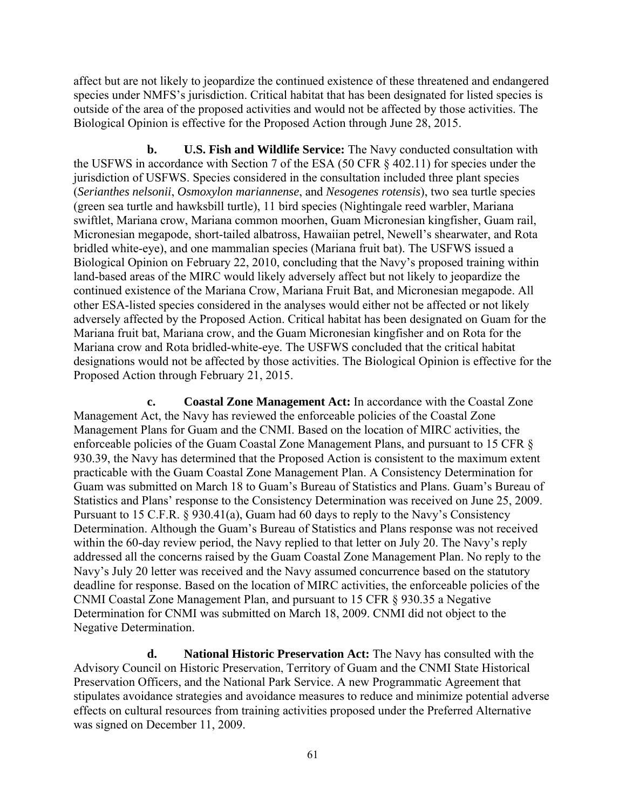affect but are not likely to jeopardize the continued existence of these threatened and endangered species under NMFS's jurisdiction. Critical habitat that has been designated for listed species is outside of the area of the proposed activities and would not be affected by those activities. The Biological Opinion is effective for the Proposed Action through June 28, 2015.

**b. U.S. Fish and Wildlife Service:** The Navy conducted consultation with the USFWS in accordance with Section 7 of the ESA (50 CFR § 402.11) for species under the jurisdiction of USFWS. Species considered in the consultation included three plant species (*Serianthes nelsonii*, *Osmoxylon mariannense*, and *Nesogenes rotensis*), two sea turtle species (green sea turtle and hawksbill turtle), 11 bird species (Nightingale reed warbler, Mariana swiftlet, Mariana crow, Mariana common moorhen, Guam Micronesian kingfisher, Guam rail, Micronesian megapode, short-tailed albatross, Hawaiian petrel, Newell's shearwater, and Rota bridled white-eye), and one mammalian species (Mariana fruit bat). The USFWS issued a Biological Opinion on February 22, 2010, concluding that the Navy's proposed training within land-based areas of the MIRC would likely adversely affect but not likely to jeopardize the continued existence of the Mariana Crow, Mariana Fruit Bat, and Micronesian megapode. All other ESA-listed species considered in the analyses would either not be affected or not likely adversely affected by the Proposed Action. Critical habitat has been designated on Guam for the Mariana fruit bat, Mariana crow, and the Guam Micronesian kingfisher and on Rota for the Mariana crow and Rota bridled-white-eye. The USFWS concluded that the critical habitat designations would not be affected by those activities. The Biological Opinion is effective for the Proposed Action through February 21, 2015.

**c. Coastal Zone Management Act:** In accordance with the Coastal Zone Management Act, the Navy has reviewed the enforceable policies of the Coastal Zone Management Plans for Guam and the CNMI. Based on the location of MIRC activities, the enforceable policies of the Guam Coastal Zone Management Plans, and pursuant to 15 CFR § 930.39, the Navy has determined that the Proposed Action is consistent to the maximum extent practicable with the Guam Coastal Zone Management Plan. A Consistency Determination for Guam was submitted on March 18 to Guam's Bureau of Statistics and Plans. Guam's Bureau of Statistics and Plans' response to the Consistency Determination was received on June 25, 2009. Pursuant to 15 C.F.R. § 930.41(a), Guam had 60 days to reply to the Navy's Consistency Determination. Although the Guam's Bureau of Statistics and Plans response was not received within the 60-day review period, the Navy replied to that letter on July 20. The Navy's reply addressed all the concerns raised by the Guam Coastal Zone Management Plan. No reply to the Navy's July 20 letter was received and the Navy assumed concurrence based on the statutory deadline for response. Based on the location of MIRC activities, the enforceable policies of the CNMI Coastal Zone Management Plan, and pursuant to 15 CFR § 930.35 a Negative Determination for CNMI was submitted on March 18, 2009. CNMI did not object to the Negative Determination.

**d. National Historic Preservation Act:** The Navy has consulted with the Advisory Council on Historic Preservation, Territory of Guam and the CNMI State Historical Preservation Officers, and the National Park Service. A new Programmatic Agreement that stipulates avoidance strategies and avoidance measures to reduce and minimize potential adverse effects on cultural resources from training activities proposed under the Preferred Alternative was signed on December 11, 2009.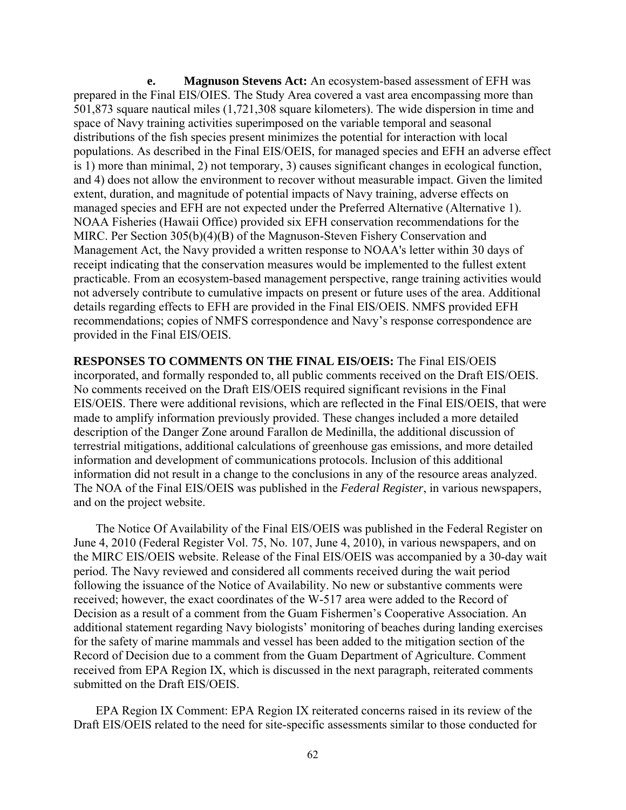**e. Magnuson Stevens Act:** An ecosystem-based assessment of EFH was prepared in the Final EIS/OIES. The Study Area covered a vast area encompassing more than 501,873 square nautical miles (1,721,308 square kilometers). The wide dispersion in time and space of Navy training activities superimposed on the variable temporal and seasonal distributions of the fish species present minimizes the potential for interaction with local populations. As described in the Final EIS/OEIS, for managed species and EFH an adverse effect is 1) more than minimal, 2) not temporary, 3) causes significant changes in ecological function, and 4) does not allow the environment to recover without measurable impact. Given the limited extent, duration, and magnitude of potential impacts of Navy training, adverse effects on managed species and EFH are not expected under the Preferred Alternative (Alternative 1). NOAA Fisheries (Hawaii Office) provided six EFH conservation recommendations for the MIRC. Per Section 305(b)(4)(B) of the Magnuson-Steven Fishery Conservation and Management Act, the Navy provided a written response to NOAA's letter within 30 days of receipt indicating that the conservation measures would be implemented to the fullest extent practicable. From an ecosystem-based management perspective, range training activities would not adversely contribute to cumulative impacts on present or future uses of the area. Additional details regarding effects to EFH are provided in the Final EIS/OEIS. NMFS provided EFH recommendations; copies of NMFS correspondence and Navy's response correspondence are provided in the Final EIS/OEIS.

**RESPONSES TO COMMENTS ON THE FINAL EIS/OEIS:** The Final EIS/OEIS incorporated, and formally responded to, all public comments received on the Draft EIS/OEIS. No comments received on the Draft EIS/OEIS required significant revisions in the Final EIS/OEIS. There were additional revisions, which are reflected in the Final EIS/OEIS, that were made to amplify information previously provided. These changes included a more detailed description of the Danger Zone around Farallon de Medinilla, the additional discussion of terrestrial mitigations, additional calculations of greenhouse gas emissions, and more detailed information and development of communications protocols. Inclusion of this additional information did not result in a change to the conclusions in any of the resource areas analyzed. The NOA of the Final EIS/OEIS was published in the *Federal Register*, in various newspapers, and on the project website.

The Notice Of Availability of the Final EIS/OEIS was published in the Federal Register on June 4, 2010 (Federal Register Vol. 75, No. 107, June 4, 2010), in various newspapers, and on the MIRC EIS/OEIS website. Release of the Final EIS/OEIS was accompanied by a 30-day wait period. The Navy reviewed and considered all comments received during the wait period following the issuance of the Notice of Availability. No new or substantive comments were received; however, the exact coordinates of the W-517 area were added to the Record of Decision as a result of a comment from the Guam Fishermen's Cooperative Association. An additional statement regarding Navy biologists' monitoring of beaches during landing exercises for the safety of marine mammals and vessel has been added to the mitigation section of the Record of Decision due to a comment from the Guam Department of Agriculture. Comment received from EPA Region IX, which is discussed in the next paragraph, reiterated comments submitted on the Draft EIS/OEIS.

EPA Region IX Comment: EPA Region IX reiterated concerns raised in its review of the Draft EIS/OEIS related to the need for site-specific assessments similar to those conducted for